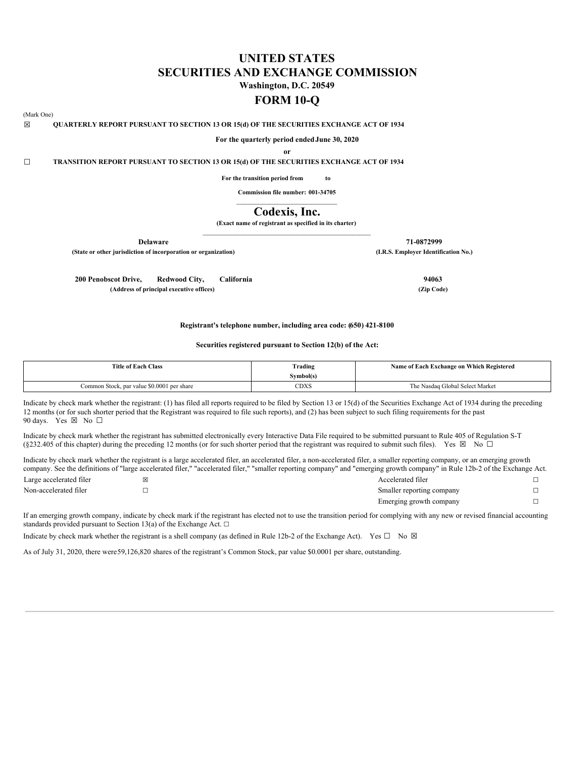# **UNITED STATES SECURITIES AND EXCHANGE COMMISSION**

**Washington, D.C. 20549**

# **FORM 10-Q**

(Mark One)

☒ **QUARTERLY REPORT PURSUANT TO SECTION 13 OR 15(d) OF THE SECURITIES EXCHANGE ACT OF 1934**

**For the quarterly period endedJune 30, 2020**

**or**

☐ **TRANSITION REPORT PURSUANT TO SECTION 13 OR 15(d) OF THE SECURITIES EXCHANGE ACT OF 1934**

**For the transition period from to**

**Commission file number: 001-34705**  $\mathcal{L}_\text{max}$  and  $\mathcal{L}_\text{max}$  and  $\mathcal{L}_\text{max}$  and  $\mathcal{L}_\text{max}$ 

# **Codexis, Inc.**

**(Exact name of registrant as specified in its charter)** \_\_\_\_\_\_\_\_\_\_\_\_\_\_\_\_\_\_\_\_\_\_\_\_\_\_\_\_\_\_\_\_\_\_\_\_\_\_\_\_\_\_\_\_\_

**Delaware 71-0872999**

**(State or other jurisdiction of incorporation or organization) (I.R.S. Employer Identification No.)**

**200 Penobscot Drive, Redwood City, California 94063 (Address of principal executive offices) (Zip Code)**

**Registrant's telephone number, including area code: (650) 421-8100**

### **Securities registered pursuant to Section 12(b) of the Act:**

| <b>Title of Each Class</b>                 | Trading   | Name of Each Exchange on Which Registered |
|--------------------------------------------|-----------|-------------------------------------------|
|                                            | Symbol(s) |                                           |
| Common Stock, par value \$0.0001 per share | CDXS      | The Nasdaq Global Select Market           |

Indicate by check mark whether the registrant: (1) has filed all reports required to be filed by Section 13 or 15(d) of the Securities Exchange Act of 1934 during the preceding 12 months (or for such shorter period that the Registrant was required to file such reports), and (2) has been subject to such filing requirements for the past 90 days. Yes ⊠ No □

Indicate by check mark whether the registrant has submitted electronically every Interactive Data File required to be submitted pursuant to Rule 405 of Regulation S-T (§232.405 of this chapter) during the preceding 12 months (or for such shorter period that the registrant was required to submit such files). Yes  $\boxtimes$  No  $\Box$ 

Indicate by check mark whether the registrant is a large accelerated filer, an accelerated filer, a non-accelerated filer, a smaller reporting company, or an emerging growth company. See the definitions of "large accelerated filer," "accelerated filer," "smaller reporting company" and "emerging growth company" in Rule 12b-2 of the Exchange Act.

| Large accelerated filer | ⊠ | Accelerated filer         |                          |
|-------------------------|---|---------------------------|--------------------------|
| Non-accelerated filer   |   | Smaller reporting company |                          |
|                         |   | Emerging growth company   | $\overline{\phantom{0}}$ |

If an emerging growth company, indicate by check mark if the registrant has elected not to use the transition period for complying with any new or revised financial accounting standards provided pursuant to Section 13(a) of the Exchange Act.  $\square$ 

Indicate by check mark whether the registrant is a shell company (as defined in Rule 12b-2 of the Exchange Act). Yes  $\square$  No  $\boxtimes$ 

As of July 31, 2020, there were59,126,820 shares of the registrant's Common Stock, par value \$0.0001 per share, outstanding.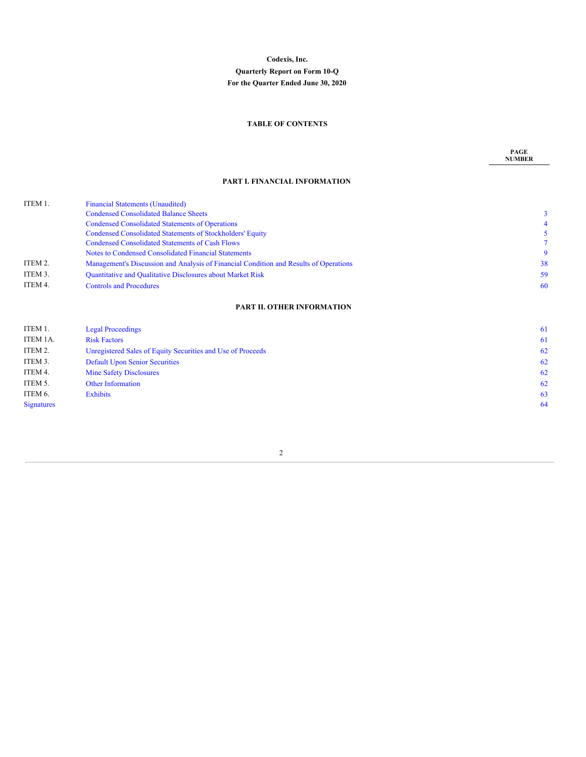# **Codexis, Inc. Quarterly Report on Form 10-Q For the Quarter Ended June 30, 2020**

### **TABLE OF CONTENTS**

**PAGE NUMBER**

## **PART I. FINANCIAL INFORMATION**

| ITEM 1. | <b>Financial Statements (Unaudited)</b>                                               |        |
|---------|---------------------------------------------------------------------------------------|--------|
|         | <b>Condensed Consolidated Balance Sheets</b>                                          |        |
|         | <b>Condensed Consolidated Statements of Operations</b>                                |        |
|         | <b>Condensed Consolidated Statements of Stockholders' Equity</b>                      |        |
|         | <b>Condensed Consolidated Statements of Cash Flows</b>                                | $\tau$ |
|         | Notes to Condensed Consolidated Financial Statements                                  | 9      |
| ITEM 2. | Management's Discussion and Analysis of Financial Condition and Results of Operations | 38     |
| ITEM 3. | Quantitative and Qualitative Disclosures about Market Risk                            | 59     |
| ITEM 4. | <b>Controls and Procedures</b>                                                        | -60    |
|         |                                                                                       |        |

## **PART II. OTHER [INFORMATION](#page-59-0)**

<span id="page-1-0"></span>

| ITEM 1A.<br><b>Risk Factors</b><br>ITEM 2.<br>Unregistered Sales of Equity Securities and Use of Proceeds<br>ITEM 3.<br><b>Default Upon Senior Securities</b><br>ITEM 4.<br><b>Mine Safety Disclosures</b><br>ITEM 5.<br>Other Information<br>ITEM 6.<br><b>Exhibits</b><br><b>Signatures</b> | ITEM 1. | <b>Legal Proceedings</b> | 61 |
|-----------------------------------------------------------------------------------------------------------------------------------------------------------------------------------------------------------------------------------------------------------------------------------------------|---------|--------------------------|----|
|                                                                                                                                                                                                                                                                                               |         |                          | 61 |
|                                                                                                                                                                                                                                                                                               |         |                          | 62 |
|                                                                                                                                                                                                                                                                                               |         |                          | 62 |
|                                                                                                                                                                                                                                                                                               |         |                          | 62 |
|                                                                                                                                                                                                                                                                                               |         |                          | 62 |
|                                                                                                                                                                                                                                                                                               |         |                          | 63 |
|                                                                                                                                                                                                                                                                                               |         |                          | 64 |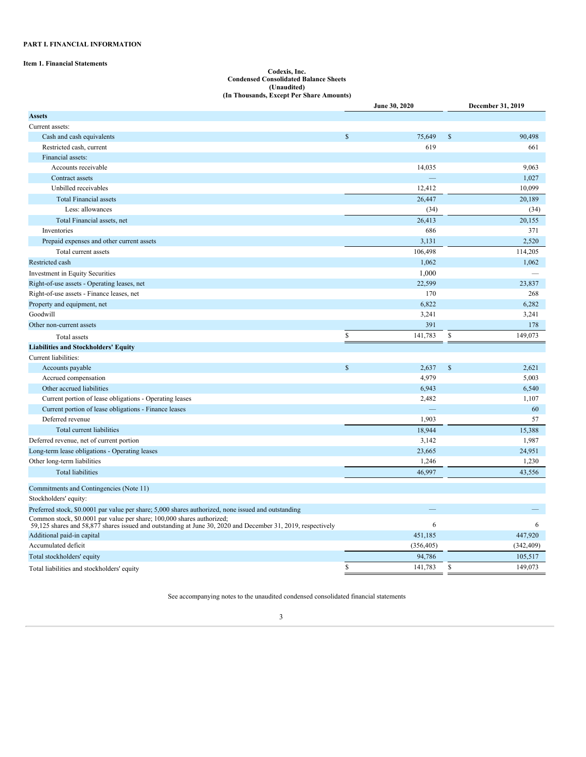## **PART I. FINANCIAL INFORMATION**

## **Item 1. Financial Statements**

#### **Codexis, Inc. Condensed Consolidated Balance Sheets (Unaudited) (In Thousands, Except Per Share Amounts)**

|                                                                                                                                                                                       |              | June 30, 2020 |              | December 31, 2019 |
|---------------------------------------------------------------------------------------------------------------------------------------------------------------------------------------|--------------|---------------|--------------|-------------------|
| <b>Assets</b>                                                                                                                                                                         |              |               |              |                   |
| Current assets:                                                                                                                                                                       |              |               |              |                   |
| Cash and cash equivalents                                                                                                                                                             | $\mathbb{S}$ | 75,649        | $\mathbb{S}$ | 90,498            |
| Restricted cash, current                                                                                                                                                              |              | 619           |              | 661               |
| Financial assets:                                                                                                                                                                     |              |               |              |                   |
| Accounts receivable                                                                                                                                                                   |              | 14,035        |              | 9,063             |
| Contract assets                                                                                                                                                                       |              |               |              | 1,027             |
| Unbilled receivables                                                                                                                                                                  |              | 12,412        |              | 10,099            |
| <b>Total Financial assets</b>                                                                                                                                                         |              | 26,447        |              | 20,189            |
| Less: allowances                                                                                                                                                                      |              | (34)          |              | (34)              |
| Total Financial assets, net                                                                                                                                                           |              | 26,413        |              | 20,155            |
| Inventories                                                                                                                                                                           |              | 686           |              | 371               |
| Prepaid expenses and other current assets                                                                                                                                             |              | 3,131         |              | 2,520             |
| Total current assets                                                                                                                                                                  |              | 106,498       |              | 114,205           |
| Restricted cash                                                                                                                                                                       |              | 1,062         |              | 1,062             |
| <b>Investment in Equity Securities</b>                                                                                                                                                |              | 1,000         |              |                   |
| Right-of-use assets - Operating leases, net                                                                                                                                           |              | 22,599        |              | 23,837            |
| Right-of-use assets - Finance leases, net                                                                                                                                             |              | 170           |              | 268               |
| Property and equipment, net                                                                                                                                                           |              | 6,822         |              | 6,282             |
| Goodwill                                                                                                                                                                              |              | 3,241         |              | 3,241             |
| Other non-current assets                                                                                                                                                              |              | 391           |              | 178               |
| Total assets                                                                                                                                                                          | \$           | 141,783       | $\mathbb{S}$ | 149,073           |
| <b>Liabilities and Stockholders' Equity</b>                                                                                                                                           |              |               |              |                   |
| Current liabilities:                                                                                                                                                                  |              |               |              |                   |
| Accounts payable                                                                                                                                                                      | $\mathbb S$  | 2,637         | $\mathbb{S}$ | 2,621             |
| Accrued compensation                                                                                                                                                                  |              | 4,979         |              | 5,003             |
| Other accrued liabilities                                                                                                                                                             |              | 6,943         |              | 6,540             |
| Current portion of lease obligations - Operating leases                                                                                                                               |              | 2,482         |              | 1,107             |
| Current portion of lease obligations - Finance leases                                                                                                                                 |              |               |              | 60                |
| Deferred revenue                                                                                                                                                                      |              | 1,903         |              | 57                |
| Total current liabilities                                                                                                                                                             |              | 18,944        |              | 15,388            |
| Deferred revenue, net of current portion                                                                                                                                              |              | 3,142         |              | 1,987             |
| Long-term lease obligations - Operating leases                                                                                                                                        |              | 23,665        |              | 24,951            |
| Other long-term liabilities                                                                                                                                                           |              | 1,246         |              | 1,230             |
| <b>Total liabilities</b>                                                                                                                                                              |              | 46,997        |              | 43,556            |
| Commitments and Contingencies (Note 11)                                                                                                                                               |              |               |              |                   |
| Stockholders' equity:                                                                                                                                                                 |              |               |              |                   |
| Preferred stock, \$0.0001 par value per share; 5,000 shares authorized, none issued and outstanding                                                                                   |              |               |              |                   |
| Common stock, \$0.0001 par value per share; 100,000 shares authorized;<br>59,125 shares and 58,877 shares issued and outstanding at June 30, 2020 and December 31, 2019, respectively |              | 6             |              | 6                 |
| Additional paid-in capital                                                                                                                                                            |              | 451,185       |              | 447,920           |
| Accumulated deficit                                                                                                                                                                   |              | (356, 405)    |              | (342, 409)        |
| Total stockholders' equity                                                                                                                                                            |              | 94,786        |              | 105,517           |
| Total liabilities and stockholders' equity                                                                                                                                            | $\mathbf S$  | 141,783       | $\mathbb{S}$ | 149,073           |

<span id="page-2-0"></span>See accompanying notes to the unaudited condensed consolidated financial statements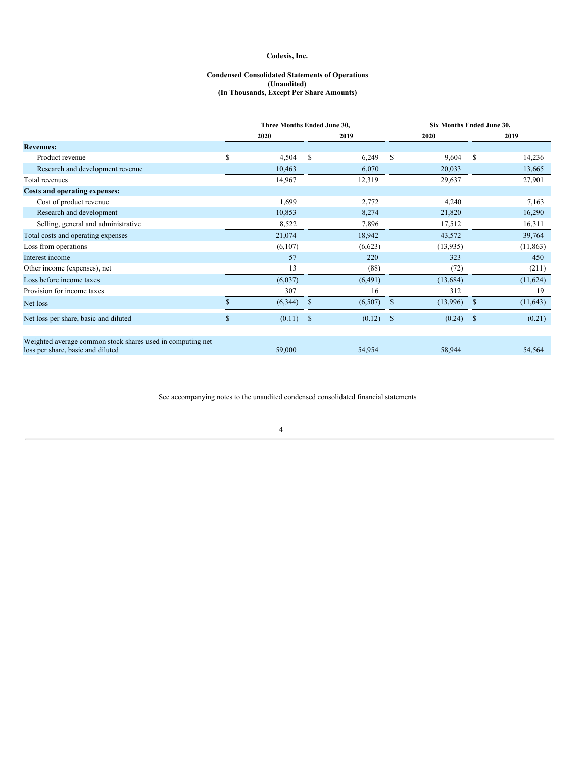### **Codexis, Inc.**

### **Condensed Consolidated Statements of Operations (Unaudited) (In Thousands, Except Per Share Amounts)**

|                                                                                                 | Three Months Ended June 30, |         |               |          | Six Months Ended June 30, |           |            |           |  |
|-------------------------------------------------------------------------------------------------|-----------------------------|---------|---------------|----------|---------------------------|-----------|------------|-----------|--|
|                                                                                                 |                             | 2020    |               | 2019     |                           | 2020      |            | 2019      |  |
| <b>Revenues:</b>                                                                                |                             |         |               |          |                           |           |            |           |  |
| Product revenue                                                                                 | \$                          | 4,504   | <sup>\$</sup> | 6,249    | S                         | 9,604     | \$         | 14,236    |  |
| Research and development revenue                                                                |                             | 10,463  |               | 6,070    |                           | 20,033    |            | 13,665    |  |
| Total revenues                                                                                  |                             | 14,967  |               | 12,319   |                           | 29,637    |            | 27,901    |  |
| Costs and operating expenses:                                                                   |                             |         |               |          |                           |           |            |           |  |
| Cost of product revenue                                                                         |                             | 1,699   |               | 2,772    |                           | 4,240     |            | 7,163     |  |
| Research and development                                                                        |                             | 10,853  |               | 8,274    |                           | 21,820    |            | 16,290    |  |
| Selling, general and administrative                                                             |                             | 8,522   |               | 7,896    |                           | 17,512    |            | 16,311    |  |
| Total costs and operating expenses                                                              |                             | 21,074  |               | 18,942   |                           | 43,572    |            | 39,764    |  |
| Loss from operations                                                                            |                             | (6,107) |               | (6,623)  |                           | (13,935)  |            | (11, 863) |  |
| Interest income                                                                                 |                             | 57      |               | 220      |                           | 323       |            | 450       |  |
| Other income (expenses), net                                                                    |                             | 13      |               | (88)     |                           | (72)      |            | (211)     |  |
| Loss before income taxes                                                                        |                             | (6,037) |               | (6, 491) |                           | (13, 684) |            | (11,624)  |  |
| Provision for income taxes                                                                      |                             | 307     |               | 16       |                           | 312       |            | 19        |  |
| Net loss                                                                                        |                             | (6,344) | S             | (6,507)  | \$                        | (13,996)  | \$         | (11, 643) |  |
| Net loss per share, basic and diluted                                                           | $\mathbb{S}$                | (0.11)  | - \$          | (0.12)   | $\mathbb{S}$              | (0.24)    | $^{\circ}$ | (0.21)    |  |
| Weighted average common stock shares used in computing net<br>loss per share, basic and diluted |                             | 59,000  |               | 54,954   |                           | 58,944    |            | 54,564    |  |

<span id="page-3-0"></span>See accompanying notes to the unaudited condensed consolidated financial statements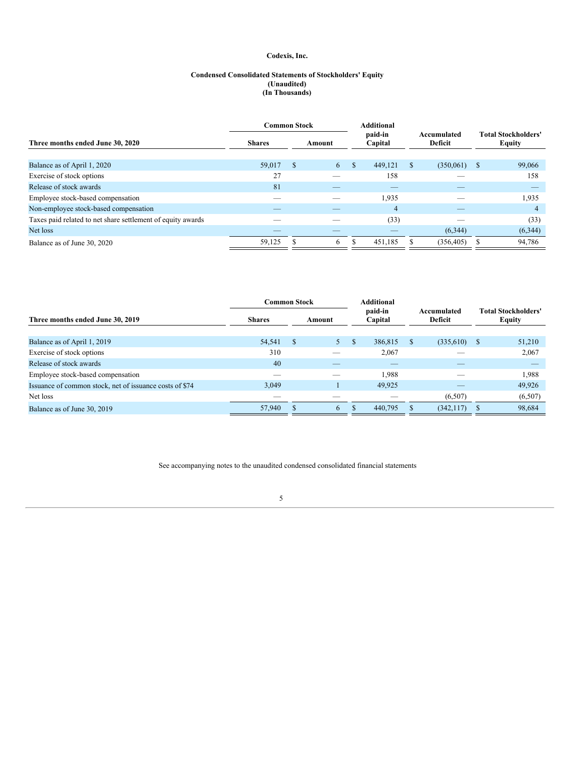### **Codexis, Inc.**

### **Condensed Consolidated Statements of Stockholders' Equity (Unaudited) (In Thousands)**

|                                                             | <b>Common Stock</b>     |              |                          |          | <b>Additional</b>  |     |            |   |         |  |  |  |  |  |  |  |  |  |  |  |  |  |  |  |  |  |  |  |  |  |  |  |  |  |  |  |                        |  |                                             |
|-------------------------------------------------------------|-------------------------|--------------|--------------------------|----------|--------------------|-----|------------|---|---------|--|--|--|--|--|--|--|--|--|--|--|--|--|--|--|--|--|--|--|--|--|--|--|--|--|--|--|------------------------|--|---------------------------------------------|
| Three months ended June 30, 2020                            | <b>Shares</b><br>Amount |              |                          |          | paid-in<br>Capital |     |            |   |         |  |  |  |  |  |  |  |  |  |  |  |  |  |  |  |  |  |  |  |  |  |  |  |  |  |  |  | Accumulated<br>Deficit |  | <b>Total Stockholders'</b><br><b>Equity</b> |
|                                                             |                         |              |                          |          |                    |     |            |   |         |  |  |  |  |  |  |  |  |  |  |  |  |  |  |  |  |  |  |  |  |  |  |  |  |  |  |  |                        |  |                                             |
| Balance as of April 1, 2020                                 | 59,017                  | <sup>S</sup> | 6                        | <b>S</b> | 449,121            | \$. | (350,061)  | S | 99,066  |  |  |  |  |  |  |  |  |  |  |  |  |  |  |  |  |  |  |  |  |  |  |  |  |  |  |  |                        |  |                                             |
| Exercise of stock options                                   | 27                      |              |                          |          | 158                |     |            |   | 158     |  |  |  |  |  |  |  |  |  |  |  |  |  |  |  |  |  |  |  |  |  |  |  |  |  |  |  |                        |  |                                             |
| Release of stock awards                                     | 81                      |              |                          |          |                    |     |            |   |         |  |  |  |  |  |  |  |  |  |  |  |  |  |  |  |  |  |  |  |  |  |  |  |  |  |  |  |                        |  |                                             |
| Employee stock-based compensation                           |                         |              |                          |          | 1,935              |     |            |   | 1,935   |  |  |  |  |  |  |  |  |  |  |  |  |  |  |  |  |  |  |  |  |  |  |  |  |  |  |  |                        |  |                                             |
| Non-employee stock-based compensation                       |                         |              | $\overline{\phantom{a}}$ |          | $\overline{4}$     |     | __         |   | 4       |  |  |  |  |  |  |  |  |  |  |  |  |  |  |  |  |  |  |  |  |  |  |  |  |  |  |  |                        |  |                                             |
| Taxes paid related to net share settlement of equity awards |                         |              |                          |          | (33)               |     |            |   | (33)    |  |  |  |  |  |  |  |  |  |  |  |  |  |  |  |  |  |  |  |  |  |  |  |  |  |  |  |                        |  |                                             |
| Net loss                                                    |                         |              |                          |          |                    |     | (6,344)    |   | (6,344) |  |  |  |  |  |  |  |  |  |  |  |  |  |  |  |  |  |  |  |  |  |  |  |  |  |  |  |                        |  |                                             |
| Balance as of June 30, 2020                                 | 59,125                  |              | 6                        |          | 451.185            |     | (356, 405) |   | 94,786  |  |  |  |  |  |  |  |  |  |  |  |  |  |  |  |  |  |  |  |  |  |  |  |  |  |  |  |                        |  |                                             |

|                                                         | <b>Common Stock</b> |   |                          | <b>Additional</b> |         |               |                                   |   |                                      |  |
|---------------------------------------------------------|---------------------|---|--------------------------|-------------------|---------|---------------|-----------------------------------|---|--------------------------------------|--|
| Three months ended June 30, 2019                        | <b>Shares</b>       |   | Amount                   |                   | Capital |               | paid-in<br>Accumulated<br>Deficit |   | <b>Total Stockholders'</b><br>Equity |  |
|                                                         |                     |   |                          |                   |         |               |                                   |   |                                      |  |
| Balance as of April 1, 2019                             | 54,541              | S | 5 <sup>1</sup>           | S                 | 386,815 | <sup>\$</sup> | (335,610)                         | S | 51,210                               |  |
| Exercise of stock options                               | 310                 |   | $\overline{\phantom{a}}$ |                   | 2,067   |               |                                   |   | 2,067                                |  |
| Release of stock awards                                 | 40                  |   |                          |                   |         |               |                                   |   |                                      |  |
| Employee stock-based compensation                       |                     |   |                          |                   | 1,988   |               |                                   |   | 1,988                                |  |
| Issuance of common stock, net of issuance costs of \$74 | 3,049               |   |                          |                   | 49,925  |               |                                   |   | 49,926                               |  |
| Net loss                                                |                     |   |                          |                   |         |               | (6,507)                           |   | (6,507)                              |  |
| Balance as of June 30, 2019                             | 57,940              |   | 6                        |                   | 440,795 |               | (342, 117)                        |   | 98,684                               |  |

See accompanying notes to the unaudited condensed consolidated financial statements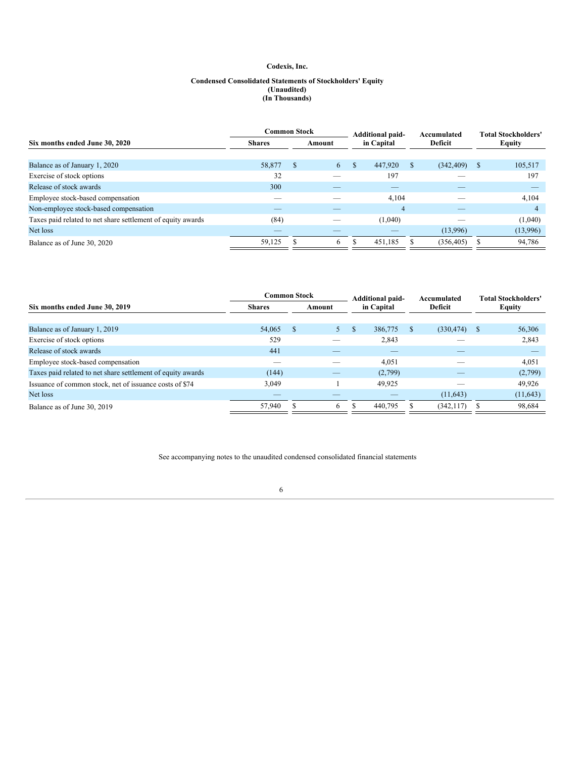## **Codexis, Inc.**

### **Condensed Consolidated Statements of Stockholders' Equity (Unaudited) (In Thousands)**

|                                                             | <b>Common Stock</b> |    | Additional paid- |   |            | Accumulated |            | <b>Total Stockholders'</b> |          |  |        |
|-------------------------------------------------------------|---------------------|----|------------------|---|------------|-------------|------------|----------------------------|----------|--|--------|
| Six months ended June 30, 2020                              | <b>Shares</b>       |    | Amount           |   | in Capital |             |            |                            | Deficit  |  | Equity |
|                                                             |                     |    |                  |   |            |             |            |                            |          |  |        |
| Balance as of January 1, 2020                               | 58,877              | -S | 6                | S | 447,920    | S           | (342, 409) | S                          | 105,517  |  |        |
| Exercise of stock options                                   | 32                  |    |                  |   | 197        |             |            |                            | 197      |  |        |
| Release of stock awards                                     | 300                 |    |                  |   |            |             |            |                            |          |  |        |
| Employee stock-based compensation                           |                     |    |                  |   | 4,104      |             |            |                            | 4,104    |  |        |
| Non-employee stock-based compensation                       | _                   |    |                  |   | 4          |             |            |                            |          |  |        |
| Taxes paid related to net share settlement of equity awards | (84)                |    |                  |   | (1,040)    |             |            |                            | (1,040)  |  |        |
| Net loss                                                    | __                  |    |                  |   | _          |             | (13,996)   |                            | (13,996) |  |        |
| Balance as of June 30, 2020                                 | 59,125              |    | 6.               |   | 451,185    |             | (356, 405) |                            | 94,786   |  |        |

|                                                             | <b>Common Stock</b> |   |                | <b>Additional paid-</b> |            | Accumulated   |            |   | <b>Total Stockholders'</b><br><b>Equity</b> |  |
|-------------------------------------------------------------|---------------------|---|----------------|-------------------------|------------|---------------|------------|---|---------------------------------------------|--|
| Six months ended June 30, 2019                              | <b>Shares</b>       |   | Amount         |                         | in Capital |               | Deficit    |   |                                             |  |
|                                                             |                     |   |                |                         |            |               |            |   |                                             |  |
| Balance as of January 1, 2019                               | 54,065              | S | 5 <sup>1</sup> | <sup>\$</sup>           | 386,775    | <sup>\$</sup> | (330, 474) | S | 56,306                                      |  |
| Exercise of stock options                                   | 529                 |   |                |                         | 2,843      |               |            |   | 2,843                                       |  |
| Release of stock awards                                     | 441                 |   |                |                         |            |               |            |   |                                             |  |
| Employee stock-based compensation                           |                     |   |                |                         | 4,051      |               |            |   | 4,051                                       |  |
| Taxes paid related to net share settlement of equity awards | (144)               |   | _              |                         | (2,799)    |               |            |   | (2,799)                                     |  |
| Issuance of common stock, net of issuance costs of \$74     | 3,049               |   |                |                         | 49,925     |               |            |   | 49,926                                      |  |
| Net loss                                                    |                     |   |                |                         |            |               | (11, 643)  |   | (11, 643)                                   |  |
| Balance as of June 30, 2019                                 | 57,940              |   | 6              |                         | 440,795    |               | (342, 117) |   | 98,684                                      |  |

<span id="page-5-0"></span>See accompanying notes to the unaudited condensed consolidated financial statements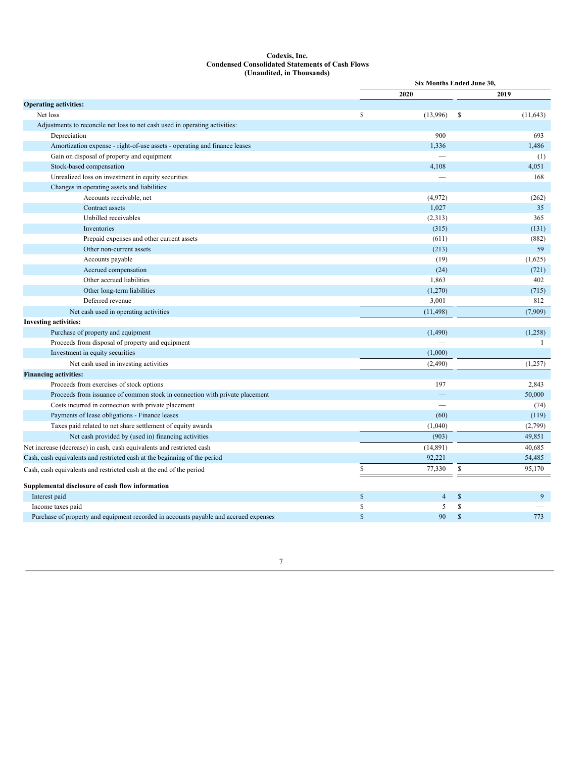### **Codexis, Inc. Condensed Consolidated Statements of Cash Flows (Unaudited, in Thousands)**

|                                                                                      | <b>Six Months Ended June 30,</b> |                |               |              |  |
|--------------------------------------------------------------------------------------|----------------------------------|----------------|---------------|--------------|--|
|                                                                                      |                                  | 2020           | 2019          |              |  |
| <b>Operating activities:</b>                                                         |                                  |                |               |              |  |
| Net loss                                                                             | \$                               | (13,996)       | -S            | (11, 643)    |  |
| Adjustments to reconcile net loss to net cash used in operating activities:          |                                  |                |               |              |  |
| Depreciation                                                                         |                                  | 900            |               | 693          |  |
| Amortization expense - right-of-use assets - operating and finance leases            |                                  | 1,336          |               | 1,486        |  |
| Gain on disposal of property and equipment                                           |                                  |                |               | (1)          |  |
| Stock-based compensation                                                             |                                  | 4,108          |               | 4,051        |  |
| Unrealized loss on investment in equity securities                                   |                                  |                |               | 168          |  |
| Changes in operating assets and liabilities:                                         |                                  |                |               |              |  |
| Accounts receivable, net                                                             |                                  | (4,972)        |               | (262)        |  |
| Contract assets                                                                      |                                  | 1,027          |               | 35           |  |
| Unbilled receivables                                                                 |                                  | (2,313)        |               | 365          |  |
| Inventories                                                                          |                                  | (315)          |               | (131)        |  |
| Prepaid expenses and other current assets                                            |                                  | (611)          |               | (882)        |  |
| Other non-current assets                                                             |                                  | (213)          |               | 59           |  |
| Accounts payable                                                                     |                                  | (19)           |               | (1,625)      |  |
| Accrued compensation                                                                 |                                  | (24)           |               | (721)        |  |
| Other accrued liabilities                                                            |                                  | 1,863          |               | 402          |  |
| Other long-term liabilities                                                          |                                  | (1,270)        |               | (715)        |  |
| Deferred revenue                                                                     |                                  | 3,001          |               | 812          |  |
| Net cash used in operating activities                                                |                                  | (11, 498)      |               | (7,909)      |  |
| <b>Investing activities:</b>                                                         |                                  |                |               |              |  |
| Purchase of property and equipment                                                   |                                  | (1,490)        |               | (1,258)      |  |
| Proceeds from disposal of property and equipment                                     |                                  |                |               | $\mathbf{1}$ |  |
| Investment in equity securities                                                      |                                  | (1,000)        |               |              |  |
| Net cash used in investing activities                                                |                                  | (2, 490)       |               | (1,257)      |  |
| <b>Financing activities:</b>                                                         |                                  |                |               |              |  |
| Proceeds from exercises of stock options                                             |                                  | 197            |               | 2,843        |  |
| Proceeds from issuance of common stock in connection with private placement          |                                  | Ш.             |               | 50,000       |  |
| Costs incurred in connection with private placement                                  |                                  |                |               | (74)         |  |
| Payments of lease obligations - Finance leases                                       |                                  | (60)           |               | (119)        |  |
| Taxes paid related to net share settlement of equity awards                          |                                  | (1,040)        |               | (2,799)      |  |
| Net cash provided by (used in) financing activities                                  |                                  | (903)          |               | 49,851       |  |
| Net increase (decrease) in cash, cash equivalents and restricted cash                |                                  | (14, 891)      |               | 40,685       |  |
| Cash, cash equivalents and restricted cash at the beginning of the period            |                                  | 92,221         |               | 54,485       |  |
| Cash, cash equivalents and restricted cash at the end of the period                  | <sup>\$</sup>                    | 77,330         | \$            | 95,170       |  |
| Supplemental disclosure of cash flow information                                     |                                  |                |               |              |  |
| Interest paid                                                                        | \$                               | $\overline{4}$ | <sup>\$</sup> | 9            |  |
| Income taxes paid                                                                    | \$                               | 5              | \$            |              |  |
| Purchase of property and equipment recorded in accounts payable and accrued expenses | \$                               | 90             | \$            | 773          |  |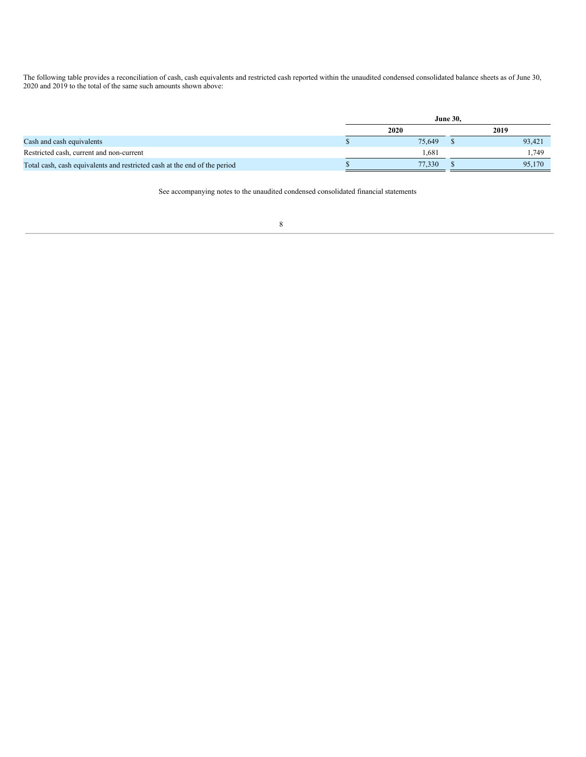The following table provides a reconciliation of cash, cash equivalents and restricted cash reported within the unaudited condensed consolidated balance sheets as of June 30, 2020 and 2019 to the total of the same such amounts shown above:

<span id="page-7-0"></span>

|                                                                           |      |        | <b>June 30.</b> |        |
|---------------------------------------------------------------------------|------|--------|-----------------|--------|
|                                                                           | 2020 |        |                 | 2019   |
| Cash and cash equivalents                                                 |      | 75,649 |                 | 93,421 |
| Restricted cash, current and non-current                                  |      | 1,681  |                 | 1.749  |
| Total cash, cash equivalents and restricted cash at the end of the period |      | 77.330 |                 | 95,170 |

See accompanying notes to the unaudited condensed consolidated financial statements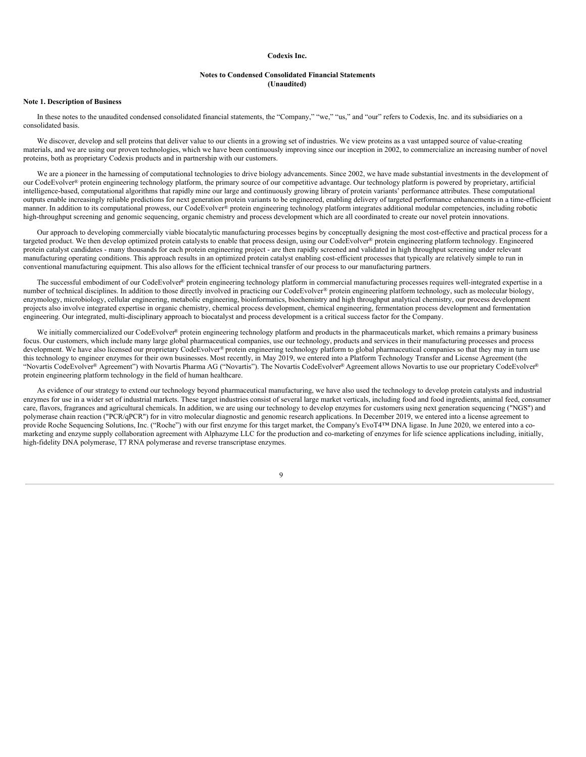### **Codexis Inc.**

### **Notes to Condensed Consolidated Financial Statements (Unaudited)**

### **Note 1. Description of Business**

In these notes to the unaudited condensed consolidated financial statements, the "Company," "we," "us," and "our" refers to Codexis, Inc. and its subsidiaries on a consolidated basis.

We discover, develop and sell proteins that deliver value to our clients in a growing set of industries. We view proteins as a vast untapped source of value-creating materials, and we are using our proven technologies, which we have been continuously improving since our inception in 2002, to commercialize an increasing number of novel proteins, both as proprietary Codexis products and in partnership with our customers.

We are a pioneer in the harnessing of computational technologies to drive biology advancements. Since 2002, we have made substantial investments in the development of our CodeEvolver® protein engineering technology platform, the primary source of our competitive advantage. Our technology platform is powered by proprietary, artificial intelligence-based, computational algorithms that rapidly mine our large and continuously growing library of protein variants' performance attributes. These computational outputs enable increasingly reliable predictions for next generation protein variants to be engineered, enabling delivery of targeted performance enhancements in a time-efficient manner. In addition to its computational prowess, our CodeEvolver® protein engineering technology platform integrates additional modular competencies, including robotic high-throughput screening and genomic sequencing, organic chemistry and process development which are all coordinated to create our novel protein innovations.

Our approach to developing commercially viable biocatalytic manufacturing processes begins by conceptually designing the most cost-effective and practical process for a targeted product. We then develop optimized protein catalysts to enable that process design, using our CodeEvolver® protein engineering platform technology. Engineered protein catalyst candidates - many thousands for each protein engineering project - are then rapidly screened and validated in high throughput screening under relevant manufacturing operating conditions. This approach results in an optimized protein catalyst enabling cost-efficient processes that typically are relatively simple to run in conventional manufacturing equipment. This also allows for the efficient technical transfer of our process to our manufacturing partners.

The successful embodiment of our CodeEvolver® protein engineering technology platform in commercial manufacturing processes requires well-integrated expertise in a number of technical disciplines. In addition to those directly involved in practicing our CodeEvolver® protein engineering platform technology, such as molecular biology, enzymology, microbiology, cellular engineering, metabolic engineering, bioinformatics, biochemistry and high throughput analytical chemistry, our process development projects also involve integrated expertise in organic chemistry, chemical process development, chemical engineering, fermentation process development and fermentation engineering. Our integrated, multi-disciplinary approach to biocatalyst and process development is a critical success factor for the Company.

We initially commercialized our CodeEvolver® protein engineering technology platform and products in the pharmaceuticals market, which remains a primary business focus. Our customers, which include many large global pharmaceutical companies, use our technology, products and services in their manufacturing processes and process development. We have also licensed our proprietary CodeEvolver® protein engineering technology platform to global pharmaceutical companies so that they may in turn use this technology to engineer enzymes for their own businesses. Most recently, in May 2019, we entered into a Platform Technology Transfer and License Agreement (the "Novartis CodeEvolver® Agreement") with Novartis Pharma AG ("Novartis"). The Novartis CodeEvolver® Agreement allows Novartis to use our proprietary CodeEvolver® protein engineering platform technology in the field of human healthcare.

As evidence of our strategy to extend our technology beyond pharmaceutical manufacturing, we have also used the technology to develop protein catalysts and industrial enzymes for use in a wider set of industrial markets. These target industries consist of several large market verticals, including food and food ingredients, animal feed, consumer care, flavors, fragrances and agricultural chemicals. In addition, we are using our technology to develop enzymes for customers using next generation sequencing ("NGS") and polymerase chain reaction ("PCR/qPCR") for in vitro molecular diagnostic and genomic research applications. In December 2019, we entered into a license agreement to provide Roche Sequencing Solutions, Inc. ("Roche") with our first enzyme for this target market, the Company's EvoT4™ DNA ligase. In June 2020, we entered into a comarketing and enzyme supply collaboration agreement with Alphazyme LLC for the production and co-marketing of enzymes for life science applications including, initially, high-fidelity DNA polymerase, T7 RNA polymerase and reverse transcriptase enzymes.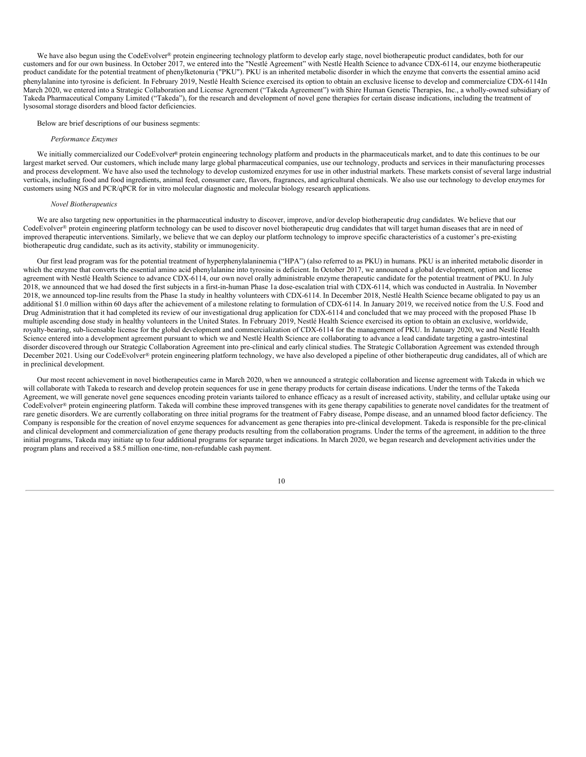We have also begun using the CodeEvolver® protein engineering technology platform to develop early stage, novel biotherapeutic product candidates, both for our customers and for our own business. In October 2017, we entered into the "Nestlé Agreement" with Nestlé Health Science to advance CDX-6114, our enzyme biotherapeutic product candidate for the potential treatment of phenylketonuria ("PKU"). PKU is an inherited metabolic disorder in which the enzyme that converts the essential amino acid phenylalanine into tyrosine is deficient. In February 2019, Nestlé Health Science exercised its option to obtain an exclusive license to develop and commercialize CDX-6114In March 2020, we entered into a Strategic Collaboration and License Agreement ("Takeda Agreement") with Shire Human Genetic Therapies, Inc., a wholly-owned subsidiary of Takeda Pharmaceutical Company Limited ("Takeda"), for the research and development of novel gene therapies for certain disease indications, including the treatment of lysosomal storage disorders and blood factor deficiencies.

Below are brief descriptions of our business segments:

#### *Performance Enzymes*

We initially commercialized our CodeEvolver® protein engineering technology platform and products in the pharmaceuticals market, and to date this continues to be our largest market served. Our customers, which include many large global pharmaceutical companies, use our technology, products and services in their manufacturing processes and process development. We have also used the technology to develop customized enzymes for use in other industrial markets. These markets consist of several large industrial verticals, including food and food ingredients, animal feed, consumer care, flavors, fragrances, and agricultural chemicals. We also use our technology to develop enzymes for customers using NGS and PCR/qPCR for in vitro molecular diagnostic and molecular biology research applications.

### *Novel Biotherapeutics*

We are also targeting new opportunities in the pharmaceutical industry to discover, improve, and/or develop biotherapeutic drug candidates. We believe that our CodeEvolver<sup>®</sup> protein engineering platform technology can be used to discover novel biotherapeutic drug candidates that will target human diseases that are in need of improved therapeutic interventions. Similarly, we believe that we can deploy our platform technology to improve specific characteristics of a customer's pre-existing biotherapeutic drug candidate, such as its activity, stability or immunogenicity.

Our first lead program was for the potential treatment of hyperphenylalaninemia ("HPA") (also referred to as PKU) in humans. PKU is an inherited metabolic disorder in which the enzyme that converts the essential amino acid phenylalanine into tyrosine is deficient. In October 2017, we announced a global development, option and license agreement with Nestlé Health Science to advance CDX-6114, our own novel orally administrable enzyme therapeutic candidate for the potential treatment of PKU. In July 2018, we announced that we had dosed the first subjects in a first-in-human Phase 1a dose-escalation trial with CDX-6114, which was conducted in Australia. In November 2018, we announced top-line results from the Phase 1a study in healthy volunteers with CDX-6114. In December 2018, Nestlé Health Science became obligated to pay us an additional \$1.0 million within 60 days after the achievement of a milestone relating to formulation of CDX-6114. In January 2019, we received notice from the U.S. Food and Drug Administration that it had completed its review of our investigational drug application for CDX-6114 and concluded that we may proceed with the proposed Phase 1b multiple ascending dose study in healthy volunteers in the United States. In February 2019, Nestlé Health Science exercised its option to obtain an exclusive, worldwide, royalty-bearing, sub-licensable license for the global development and commercialization of CDX-6114 for the management of PKU. In January 2020, we and Nestlé Health Science entered into a development agreement pursuant to which we and Nestlé Health Science are collaborating to advance a lead candidate targeting a gastro-intestinal disorder discovered through our Strategic Collaboration Agreement into pre-clinical and early clinical studies. The Strategic Collaboration Agreement was extended through December 2021. Using our CodeEvolver® protein engineering platform technology, we have also developed a pipeline of other biotherapeutic drug candidates, all of which are in preclinical development.

Our most recent achievement in novel biotherapeutics came in March 2020, when we announced a strategic collaboration and license agreement with Takeda in which we will collaborate with Takeda to research and develop protein sequences for use in gene therapy products for certain disease indications. Under the terms of the Takeda Agreement, we will generate novel gene sequences encoding protein variants tailored to enhance efficacy as a result of increased activity, stability, and cellular uptake using our CodeEvolver® protein engineering platform. Takeda will combine these improved transgenes with its gene therapy capabilities to generate novel candidates for the treatment of rare genetic disorders. We are currently collaborating on three initial programs for the treatment of Fabry disease, Pompe disease, and an unnamed blood factor deficiency. The Company is responsible for the creation of novel enzyme sequences for advancement as gene therapies into pre-clinical development. Takeda is responsible for the pre-clinical and clinical development and commercialization of gene therapy products resulting from the collaboration programs. Under the terms of the agreement, in addition to the three initial programs, Takeda may initiate up to four additional programs for separate target indications. In March 2020, we began research and development activities under the program plans and received a \$8.5 million one-time, non-refundable cash payment.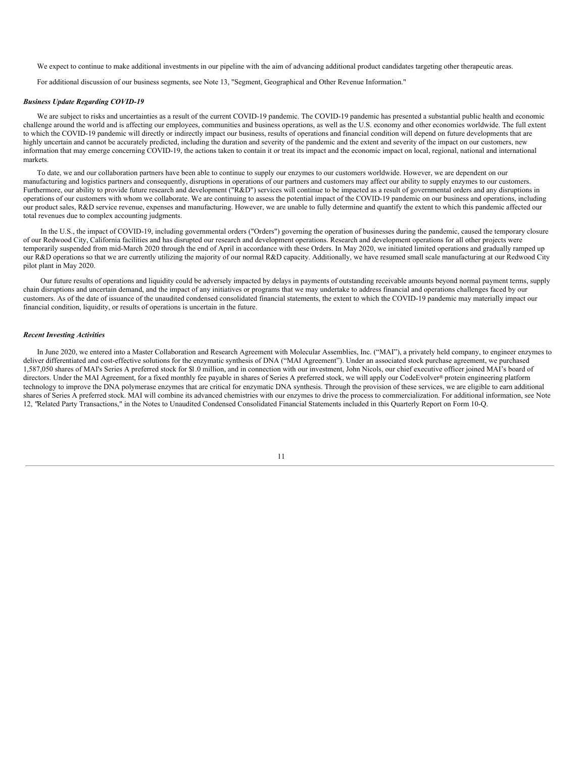We expect to continue to make additional investments in our pipeline with the aim of advancing additional product candidates targeting other therapeutic areas.

For additional discussion of our business segments, see Note 13, "Segment, Geographical and Other Revenue Information."

### *Business Update Regarding COVID-19*

We are subject to risks and uncertainties as a result of the current COVID-19 pandemic. The COVID-19 pandemic has presented a substantial public health and economic challenge around the world and is affecting our employees, communities and business operations, as well as the U.S. economy and other economies worldwide. The full extent to which the COVID-19 pandemic will directly or indirectly impact our business, results of operations and financial condition will depend on future developments that are highly uncertain and cannot be accurately predicted, including the duration and severity of the pandemic and the extent and severity of the impact on our customers, new information that may emerge concerning COVID-19, the actions taken to contain it or treat its impact and the economic impact on local, regional, national and international markets.

To date, we and our collaboration partners have been able to continue to supply our enzymes to our customers worldwide. However, we are dependent on our manufacturing and logistics partners and consequently, disruptions in operations of our partners and customers may affect our ability to supply enzymes to our customers. Furthermore, our ability to provide future research and development ("R&D") services will continue to be impacted as a result of governmental orders and any disruptions in operations of our customers with whom we collaborate. We are continuing to assess the potential impact of the COVID-19 pandemic on our business and operations, including our product sales, R&D service revenue, expenses and manufacturing. However, we are unable to fully determine and quantify the extent to which this pandemic affected our total revenues due to complex accounting judgments.

In the U.S., the impact of COVID-19, including governmental orders ("Orders") governing the operation of businesses during the pandemic, caused the temporary closure of our Redwood City, California facilities and has disrupted our research and development operations. Research and development operations for all other projects were temporarily suspended from mid-March 2020 through the end of April in accordance with these Orders. In May 2020, we initiated limited operations and gradually ramped up our R&D operations so that we are currently utilizing the majority of our normal R&D capacity. Additionally, we have resumed small scale manufacturing at our Redwood City pilot plant in May 2020.

Our future results of operations and liquidity could be adversely impacted by delays in payments of outstanding receivable amounts beyond normal payment terms, supply chain disruptions and uncertain demand, and the impact of any initiatives or programs that we may undertake to address financial and operations challenges faced by our customers. As of the date of issuance of the unaudited condensed consolidated financial statements, the extent to which the COVID-19 pandemic may materially impact our financial condition, liquidity, or results of operations is uncertain in the future.

### *Recent Investing Activities*

In June 2020, we entered into a Master Collaboration and Research Agreement with Molecular Assemblies, Inc. ("MAI"), a privately held company, to engineer enzymes to deliver differentiated and cost-effective solutions for the enzymatic synthesis of DNA ("MAI Agreement"). Under an associated stock purchase agreement, we purchased 1,587,050 shares of MAI's Series A preferred stock for \$1.0 million, and in connection with our investment, John Nicols, our chief executive officer joined MAI's board of directors. Under the MAI Agreement, for a fixed monthly fee payable in shares of Series A preferred stock, we will apply our CodeEvolver® protein engineering platform technology to improve the DNA polymerase enzymes that are critical for enzymatic DNA synthesis. Through the provision of these services, we are eligible to earn additional shares of Series A preferred stock. MAI will combine its advanced chemistries with our enzymes to drive the process to commercialization. For additional information, see Note 12, *"*Related Party Transactions," in the Notes to Unaudited Condensed Consolidated Financial Statements included in this Quarterly Report on Form 10-Q.

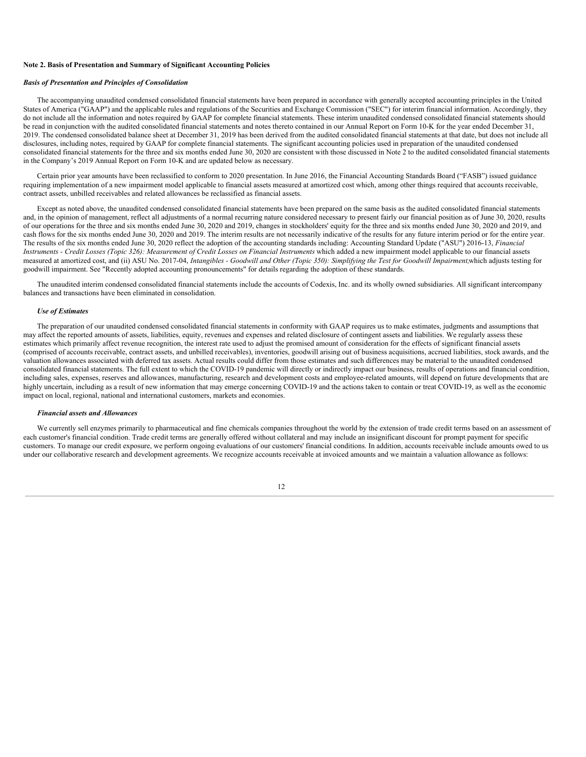#### **Note 2. Basis of Presentation and Summary of Significant Accounting Policies**

### *Basis of Presentation and Principles of Consolidation*

The accompanying unaudited condensed consolidated financial statements have been prepared in accordance with generally accepted accounting principles in the United States of America ("GAAP") and the applicable rules and regulations of the Securities and Exchange Commission ("SEC") for interim financial information. Accordingly, they do not include all the information and notes required by GAAP for complete financial statements. These interim unaudited condensed consolidated financial statements should be read in conjunction with the audited consolidated financial statements and notes thereto contained in our Annual Report on Form 10-K for the year ended December 31, 2019. The condensed consolidated balance sheet at December 31, 2019 has been derived from the audited consolidated financial statements at that date, but does not include all disclosures, including notes, required by GAAP for complete financial statements. The significant accounting policies used in preparation of the unaudited condensed consolidated financial statements for the three and six months ended June 30, 2020 are consistent with those discussed in Note 2 to the audited consolidated financial statements in the Company's 2019 Annual Report on Form 10-K and are updated below as necessary.

Certain prior year amounts have been reclassified to conform to 2020 presentation. In June 2016, the Financial Accounting Standards Board ("FASB") issued guidance requiring implementation of a new impairment model applicable to financial assets measured at amortized cost which, among other things required that accounts receivable, contract assets, unbilled receivables and related allowances be reclassified as financial assets.

Except as noted above, the unaudited condensed consolidated financial statements have been prepared on the same basis as the audited consolidated financial statements and, in the opinion of management, reflect all adjustments of a normal recurring nature considered necessary to present fairly our financial position as of June 30, 2020, results of our operations for the three and six months ended June 30, 2020 and 2019, changes in stockholders' equity for the three and six months ended June 30, 2020 and 2019, and cash flows for the six months ended June 30, 2020 and 2019. The interim results are not necessarily indicative of the results for any future interim period or for the entire year. The results of the six months ended June 30, 2020 reflect the adoption of the accounting standards including: Accounting Standard Update ("ASU") 2016-13, *Financial* Instruments - Credit Losses (Topic 326): Measurement of Credit Losses on Financial Instruments which added a new impairment model applicable to our financial assets measured at amortized cost, and (ii) ASU No. 2017-04, Intangibles - Goodwill and Other (Topic 350): Simplifying the Test for Goodwill Impairment, which adjusts testing for goodwill impairment. See "Recently adopted accounting pronouncements" for details regarding the adoption of these standards.

The unaudited interim condensed consolidated financial statements include the accounts of Codexis, Inc. and its wholly owned subsidiaries. All significant intercompany balances and transactions have been eliminated in consolidation.

### *Use of Estimates*

The preparation of our unaudited condensed consolidated financial statements in conformity with GAAP requires us to make estimates, judgments and assumptions that may affect the reported amounts of assets, liabilities, equity, revenues and expenses and related disclosure of contingent assets and liabilities. We regularly assess these estimates which primarily affect revenue recognition, the interest rate used to adjust the promised amount of consideration for the effects of significant financial assets (comprised of accounts receivable, contract assets, and unbilled receivables), inventories, goodwill arising out of business acquisitions, accrued liabilities, stock awards, and the valuation allowances associated with deferred tax assets. Actual results could differ from those estimates and such differences may be material to the unaudited condensed consolidated financial statements. The full extent to which the COVID-19 pandemic will directly or indirectly impact our business, results of operations and financial condition, including sales, expenses, reserves and allowances, manufacturing, research and development costs and employee-related amounts, will depend on future developments that are highly uncertain, including as a result of new information that may emerge concerning COVID-19 and the actions taken to contain or treat COVID-19, as well as the economic impact on local, regional, national and international customers, markets and economies.

### *Financial assets and Allowances*

We currently sell enzymes primarily to pharmaceutical and fine chemicals companies throughout the world by the extension of trade credit terms based on an assessment of each customer's financial condition. Trade credit terms are generally offered without collateral and may include an insignificant discount for prompt payment for specific customers. To manage our credit exposure, we perform ongoing evaluations of our customers' financial conditions. In addition, accounts receivable include amounts owed to us under our collaborative research and development agreements. We recognize accounts receivable at invoiced amounts and we maintain a valuation allowance as follows:

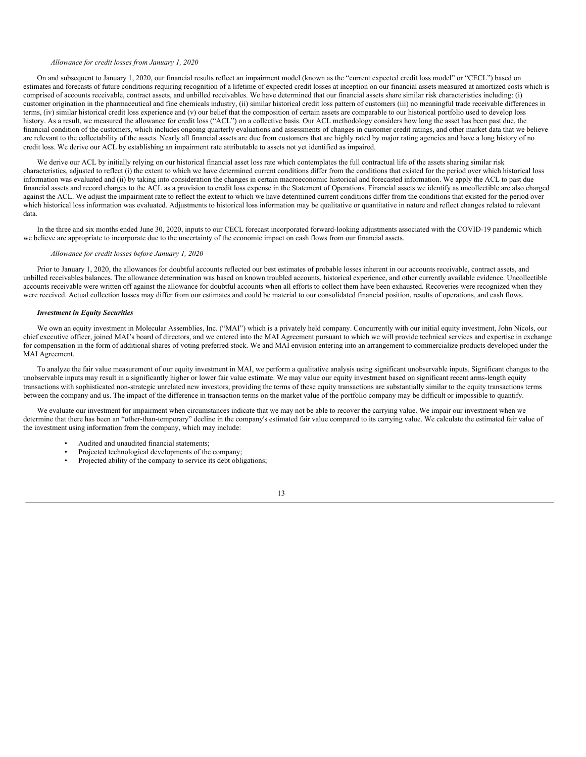#### *Allowance for credit losses from January 1, 2020*

On and subsequent to January 1, 2020, our financial results reflect an impairment model (known as the "current expected credit loss model" or "CECL") based on estimates and forecasts of future conditions requiring recognition of a lifetime of expected credit losses at inception on our financial assets measured at amortized costs which is comprised of accounts receivable, contract assets, and unbilled receivables. We have determined that our financial assets share similar risk characteristics including: (i) customer origination in the pharmaceutical and fine chemicals industry, (ii) similar historical credit loss pattern of customers (iii) no meaningful trade receivable differences in terms, (iv) similar historical credit loss experience and (v) our belief that the composition of certain assets are comparable to our historical portfolio used to develop loss history. As a result, we measured the allowance for credit loss ("ACL") on a collective basis. Our ACL methodology considers how long the asset has been past due, the financial condition of the customers, which includes ongoing quarterly evaluations and assessments of changes in customer credit ratings, and other market data that we believe are relevant to the collectability of the assets. Nearly all financial assets are due from customers that are highly rated by major rating agencies and have a long history of no credit loss. We derive our ACL by establishing an impairment rate attributable to assets not yet identified as impaired.

We derive our ACL by initially relying on our historical financial asset loss rate which contemplates the full contractual life of the assets sharing similar risk characteristics, adjusted to reflect (i) the extent to which we have determined current conditions differ from the conditions that existed for the period over which historical loss information was evaluated and (ii) by taking into consideration the changes in certain macroeconomic historical and forecasted information. We apply the ACL to past due financial assets and record charges to the ACL as a provision to credit loss expense in the Statement of Operations. Financial assets we identify as uncollectible are also charged against the ACL. We adjust the impairment rate to reflect the extent to which we have determined current conditions differ from the conditions that existed for the period over which historical loss information was evaluated. Adjustments to historical loss information may be qualitative or quantitative in nature and reflect changes related to relevant data.

In the three and six months ended June 30, 2020, inputs to our CECL forecast incorporated forward-looking adjustments associated with the COVID-19 pandemic which we believe are appropriate to incorporate due to the uncertainty of the economic impact on cash flows from our financial assets.

### *Allowance for credit losses before January 1, 2020*

Prior to January 1, 2020, the allowances for doubtful accounts reflected our best estimates of probable losses inherent in our accounts receivable, contract assets, and unbilled receivables balances. The allowance determination was based on known troubled accounts, historical experience, and other currently available evidence. Uncollectible accounts receivable were written off against the allowance for doubtful accounts when all efforts to collect them have been exhausted. Recoveries were recognized when they were received. Actual collection losses may differ from our estimates and could be material to our consolidated financial position, results of operations, and cash flows.

#### *Investment in Equity Securities*

We own an equity investment in Molecular Assemblies, Inc. ("MAI") which is a privately held company. Concurrently with our initial equity investment, John Nicols, our chief executive officer, joined MAI's board of directors, and we entered into the MAI Agreement pursuant to which we will provide technical services and expertise in exchange for compensation in the form of additional shares of voting preferred stock. We and MAI envision entering into an arrangement to commercialize products developed under the MAI Agreement.

To analyze the fair value measurement of our equity investment in MAI, we perform a qualitative analysis using significant unobservable inputs. Significant changes to the unobservable inputs may result in a significantly higher or lower fair value estimate. We may value our equity investment based on significant recent arms-length equity transactions with sophisticated non-strategic unrelated new investors, providing the terms of these equity transactions are substantially similar to the equity transactions terms between the company and us. The impact of the difference in transaction terms on the market value of the portfolio company may be difficult or impossible to quantify.

We evaluate our investment for impairment when circumstances indicate that we may not be able to recover the carrying value. We impair our investment when we determine that there has been an "other-than-temporary" decline in the company's estimated fair value compared to its carrying value. We calculate the estimated fair value of the investment using information from the company, which may include:

- Audited and unaudited financial statements;
- Projected technological developments of the company;
- Projected ability of the company to service its debt obligations;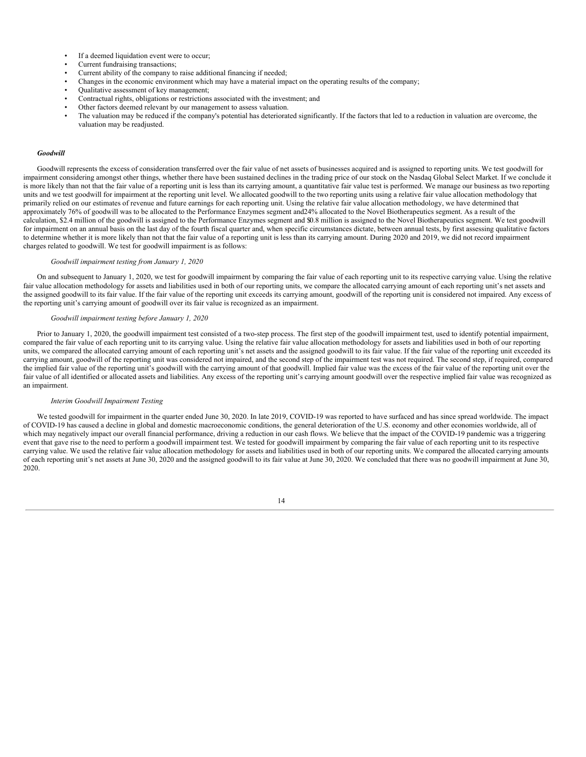- If a deemed liquidation event were to occur;
- Current fundraising transactions;
- Current ability of the company to raise additional financing if needed;
- Changes in the economic environment which may have a material impact on the operating results of the company;
- Qualitative assessment of key management;
- Contractual rights, obligations or restrictions associated with the investment; and
- Other factors deemed relevant by our management to assess valuation.
- The valuation may be reduced if the company's potential has deteriorated significantly. If the factors that led to a reduction in valuation are overcome, the valuation may be readjusted.

#### *Goodwill*

Goodwill represents the excess of consideration transferred over the fair value of net assets of businesses acquired and is assigned to reporting units. We test goodwill for impairment considering amongst other things, whether there have been sustained declines in the trading price of our stock on the Nasdaq Global Select Market. If we conclude it is more likely than not that the fair value of a reporting unit is less than its carrying amount, a quantitative fair value test is performed. We manage our business as two reporting units and we test goodwill for impairment at the reporting unit level. We allocated goodwill to the two reporting units using a relative fair value allocation methodology that primarily relied on our estimates of revenue and future earnings for each reporting unit. Using the relative fair value allocation methodology, we have determined that approximately 76% of goodwill was to be allocated to the Performance Enzymes segment and24% allocated to the Novel Biotherapeutics segment. As a result of the calculation, \$2.4 million of the goodwill is assigned to the Performance Enzymes segment and \$0.8 million is assigned to the Novel Biotherapeutics segment. We test goodwill for impairment on an annual basis on the last day of the fourth fiscal quarter and, when specific circumstances dictate, between annual tests, by first assessing qualitative factors to determine whether it is more likely than not that the fair value of a reporting unit is less than its carrying amount. During 2020 and 2019, we did not record impairment charges related to goodwill. We test for goodwill impairment is as follows:

### *Goodwill impairment testing from January 1, 2020*

On and subsequent to January 1, 2020, we test for goodwill impairment by comparing the fair value of each reporting unit to its respective carrying value. Using the relative fair value allocation methodology for assets and liabilities used in both of our reporting units, we compare the allocated carrying amount of each reporting unit's net assets and the assigned goodwill to its fair value. If the fair value of the reporting unit exceeds its carrying amount, goodwill of the reporting unit is considered not impaired. Any excess of the reporting unit's carrying amount of goodwill over its fair value is recognized as an impairment.

### *Goodwill impairment testing before January 1, 2020*

Prior to January 1, 2020, the goodwill impairment test consisted of a two-step process. The first step of the goodwill impairment test, used to identify potential impairment, compared the fair value of each reporting unit to its carrying value. Using the relative fair value allocation methodology for assets and liabilities used in both of our reporting units, we compared the allocated carrying amount of each reporting unit's net assets and the assigned goodwill to its fair value. If the fair value of the reporting unit exceeded its carrying amount, goodwill of the reporting unit was considered not impaired, and the second step of the impairment test was not required. The second step, if required, compared the implied fair value of the reporting unit's goodwill with the carrying amount of that goodwill. Implied fair value was the excess of the fair value of the reporting unit over the fair value of all identified or allocated assets and liabilities. Any excess of the reporting unit's carrying amount goodwill over the respective implied fair value was recognized as an impairment.

### *Interim Goodwill Impairment Testing*

We tested goodwill for impairment in the quarter ended June 30, 2020. In late 2019, COVID-19 was reported to have surfaced and has since spread worldwide. The impact of COVID-19 has caused a decline in global and domestic macroeconomic conditions, the general deterioration of the U.S. economy and other economies worldwide, all of which may negatively impact our overall financial performance, driving a reduction in our cash flows. We believe that the impact of the COVID-19 pandemic was a triggering event that gave rise to the need to perform a goodwill impairment test. We tested for goodwill impairment by comparing the fair value of each reporting unit to its respective carrying value. We used the relative fair value allocation methodology for assets and liabilities used in both of our reporting units. We compared the allocated carrying amounts of each reporting unit's net assets at June 30, 2020 and the assigned goodwill to its fair value at June 30, 2020. We concluded that there was no goodwill impairment at June 30, 2020.

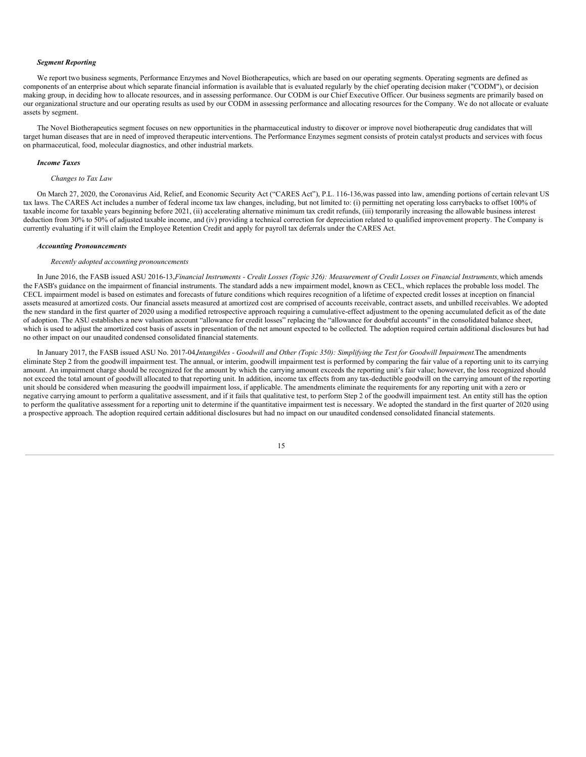### *Segment Reporting*

We report two business segments, Performance Enzymes and Novel Biotherapeutics, which are based on our operating segments. Operating segments are defined as components of an enterprise about which separate financial information is available that is evaluated regularly by the chief operating decision maker ("CODM"), or decision making group, in deciding how to allocate resources, and in assessing performance. Our CODM is our Chief Executive Officer. Our business segments are primarily based on our organizational structure and our operating results as used by our CODM in assessing performance and allocating resources for the Company. We do not allocate or evaluate assets by segment.

The Novel Biotherapeutics segment focuses on new opportunities in the pharmaceutical industry to discover or improve novel biotherapeutic drug candidates that will target human diseases that are in need of improved therapeutic interventions. The Performance Enzymes segment consists of protein catalyst products and services with focus on pharmaceutical, food, molecular diagnostics, and other industrial markets.

#### *Income Taxes*

### *Changes to Tax Law*

On March 27, 2020, the Coronavirus Aid, Relief, and Economic Security Act ("CARES Act"), P.L. 116-136,was passed into law, amending portions of certain relevant US tax laws. The CARES Act includes a number of federal income tax law changes, including, but not limited to: (i) permitting net operating loss carrybacks to offset 100% of taxable income for taxable years beginning before 2021, (ii) accelerating alternative minimum tax credit refunds, (iii) temporarily increasing the allowable business interest deduction from 30% to 50% of adjusted taxable income, and (iv) providing a technical correction for depreciation related to qualified improvement property. The Company is currently evaluating if it will claim the Employee Retention Credit and apply for payroll tax deferrals under the CARES Act.

#### *Accounting Pronouncements*

#### *Recently adopted accounting pronouncements*

In June 2016, the FASB issued ASU 2016-13, Financial Instruments - Credit Losses (Topic 326): Measurement of Credit Losses on Financial Instruments, which amends the FASB's guidance on the impairment of financial instruments. The standard adds a new impairment model, known as CECL, which replaces the probable loss model. The CECL impairment model is based on estimates and forecasts of future conditions which requires recognition of a lifetime of expected credit losses at inception on financial assets measured at amortized costs. Our financial assets measured at amortized cost are comprised of accounts receivable, contract assets, and unbilled receivables. We adopted the new standard in the first quarter of 2020 using a modified retrospective approach requiring a cumulative-effect adjustment to the opening accumulated deficit as of the date of adoption. The ASU establishes a new valuation account "allowance for credit losses" replacing the "allowance for doubtful accounts" in the consolidated balance sheet, which is used to adjust the amortized cost basis of assets in presentation of the net amount expected to be collected. The adoption required certain additional disclosures but had no other impact on our unaudited condensed consolidated financial statements.

In January 2017, the FASB issued ASU No. 2017-04 Intangibles - Goodwill and Other (Topic 350): Simplifying the Test for Goodwill Impairment. The amendments eliminate Step 2 from the goodwill impairment test. The annual, or interim, goodwill impairment test is performed by comparing the fair value of a reporting unit to its carrying amount. An impairment charge should be recognized for the amount by which the carrying amount exceeds the reporting unit's fair value; however, the loss recognized should not exceed the total amount of goodwill allocated to that reporting unit. In addition, income tax effects from any tax-deductible goodwill on the carrying amount of the reporting unit should be considered when measuring the goodwill impairment loss, if applicable. The amendments eliminate the requirements for any reporting unit with a zero or negative carrying amount to perform a qualitative assessment, and if it fails that qualitative test, to perform Step 2 of the goodwill impairment test. An entity still has the option to perform the qualitative assessment for a reporting unit to determine if the quantitative impairment test is necessary. We adopted the standard in the first quarter of 2020 using a prospective approach. The adoption required certain additional disclosures but had no impact on our unaudited condensed consolidated financial statements.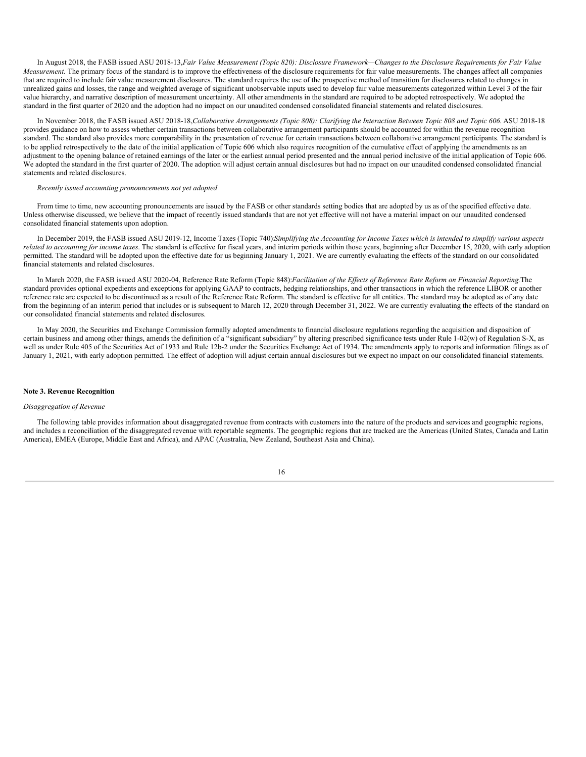In August 2018, the FASB issued ASU 2018-13, Fair Value Measurement (Topic 820): Disclosure Framework-Changes to the Disclosure Requirements for Fair Value *Measurement.* The primary focus of the standard is to improve the effectiveness of the disclosure requirements for fair value measurements. The changes affect all companies that are required to include fair value measurement disclosures. The standard requires the use of the prospective method of transition for disclosures related to changes in unrealized gains and losses, the range and weighted average of significant unobservable inputs used to develop fair value measurements categorized within Level 3 of the fair value hierarchy, and narrative description of measurement uncertainty. All other amendments in the standard are required to be adopted retrospectively. We adopted the standard in the first quarter of 2020 and the adoption had no impact on our unaudited condensed consolidated financial statements and related disclosures.

In November 2018, the FASB issued ASU 2018-18, Collaborative Arrangements (Topic 808): Clarifying the Interaction Between Topic 808 and Topic 606. ASU 2018-18 provides guidance on how to assess whether certain transactions between collaborative arrangement participants should be accounted for within the revenue recognition standard. The standard also provides more comparability in the presentation of revenue for certain transactions between collaborative arrangement participants. The standard is to be applied retrospectively to the date of the initial application of Topic 606 which also requires recognition of the cumulative effect of applying the amendments as an adjustment to the opening balance of retained earnings of the later or the earliest annual period presented and the annual period inclusive of the initial application of Topic 606. We adopted the standard in the first quarter of 2020. The adoption will adjust certain annual disclosures but had no impact on our unaudited condensed consolidated financial statements and related disclosures.

#### *Recently issued accounting pronouncements not yet adopted*

From time to time, new accounting pronouncements are issued by the FASB or other standards setting bodies that are adopted by us as of the specified effective date. Unless otherwise discussed, we believe that the impact of recently issued standards that are not yet effective will not have a material impact on our unaudited condensed consolidated financial statements upon adoption.

In December 2019, the FASB issued ASU 2019-12, Income Taxes (Topic 740) Simplifying the Accounting for Income Taxes which is intended to simplify various aspects *related to accounting for income taxes*. The standard is effective for fiscal years, and interim periods within those years, beginning after December 15, 2020, with early adoption permitted. The standard will be adopted upon the effective date for us beginning January 1, 2021. We are currently evaluating the effects of the standard on our consolidated financial statements and related disclosures.

In March 2020, the FASB issued ASU 2020-04, Reference Rate Reform (Topic 848): Facilitation of the Effects of Reference Rate Reform on Financial Reporting. The standard provides optional expedients and exceptions for applying GAAP to contracts, hedging relationships, and other transactions in which the reference LIBOR or another reference rate are expected to be discontinued as a result of the Reference Rate Reform. The standard is effective for all entities. The standard may be adopted as of any date from the beginning of an interim period that includes or is subsequent to March 12, 2020 through December 31, 2022. We are currently evaluating the effects of the standard on our consolidated financial statements and related disclosures.

In May 2020, the Securities and Exchange Commission formally adopted amendments to financial disclosure regulations regarding the acquisition and disposition of certain business and among other things, amends the definition of a "significant subsidiary" by altering prescribed significance tests under Rule 1-02(w) of Regulation S-X, as well as under Rule 405 of the Securities Act of 1933 and Rule 12b-2 under the Securities Exchange Act of 1934. The amendments apply to reports and information filings as of January 1, 2021, with early adoption permitted. The effect of adoption will adjust certain annual disclosures but we expect no impact on our consolidated financial statements.

#### **Note 3. Revenue Recognition**

#### *Disaggregation of Revenue*

The following table provides information about disaggregated revenue from contracts with customers into the nature of the products and services and geographic regions, and includes a reconciliation of the disaggregated revenue with reportable segments. The geographic regions that are tracked are the Americas (United States, Canada and Latin America), EMEA (Europe, Middle East and Africa), and APAC (Australia, New Zealand, Southeast Asia and China).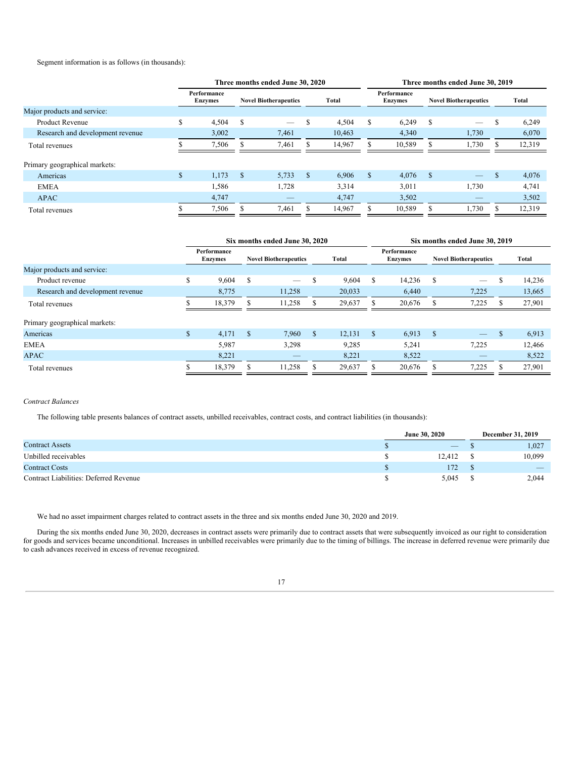Segment information is as follows (in thousands):

| Three months ended June 30, 2020 |       |                               |       |                              |              | Three months ended June 30, 2019 |                |             |       |                              |        |  |
|----------------------------------|-------|-------------------------------|-------|------------------------------|--------------|----------------------------------|----------------|-------------|-------|------------------------------|--------|--|
|                                  |       |                               |       |                              | <b>Total</b> |                                  | <b>Enzymes</b> |             |       |                              | Total  |  |
|                                  |       |                               |       |                              |              |                                  |                |             |       |                              |        |  |
| \$                               | 4,504 | <sup>\$</sup>                 |       | S                            | 4,504        | S                                | 6.249          | S           | -     | S                            | 6,249  |  |
|                                  | 3,002 |                               | 7,461 |                              | 10.463       |                                  | 4,340          |             | 1,730 |                              | 6,070  |  |
|                                  | 7,506 | ж                             | 7,461 |                              | 14.967       |                                  | 10,589         |             | 1,730 |                              | 12,319 |  |
|                                  |       |                               |       |                              |              |                                  |                |             |       |                              |        |  |
| \$                               | 1,173 | <sup>\$</sup>                 | 5,733 | <sup>\$</sup>                | 6,906        | \$                               | 4,076          | \$          |       | S                            | 4,076  |  |
|                                  | 1,586 |                               | 1,728 |                              | 3,314        |                                  | 3,011          |             | 1,730 |                              | 4,741  |  |
|                                  | 4,747 |                               |       |                              | 4,747        |                                  | 3,502          |             | _     |                              | 3,502  |  |
|                                  | 7,506 |                               | 7,461 |                              | 14,967       |                                  | 10,589         |             | .730  |                              | 12,319 |  |
|                                  |       | Performance<br><b>Enzymes</b> |       | <b>Novel Biotherapeutics</b> |              |                                  |                | Performance |       | <b>Novel Biotherapeutics</b> |        |  |

|                                  |    | Six months ended June 30, 2020 |                                       |                          |   |                               |                              |        | Six months ended June 30, 2019 |       |    |        |  |  |  |
|----------------------------------|----|--------------------------------|---------------------------------------|--------------------------|---|-------------------------------|------------------------------|--------|--------------------------------|-------|----|--------|--|--|--|
|                                  |    | Performance<br>Enzymes         | Total<br><b>Novel Biotherapeutics</b> |                          |   | Performance<br><b>Enzymes</b> | <b>Novel Biotherapeutics</b> |        |                                | Total |    |        |  |  |  |
| Major products and service:      |    |                                |                                       |                          |   |                               |                              |        |                                |       |    |        |  |  |  |
| Product revenue                  | S  | 9,604                          | S                                     | $\overline{\phantom{m}}$ | S | 9,604                         | S                            | 14,236 | \$                             |       | S  | 14,236 |  |  |  |
| Research and development revenue |    | 8,775                          |                                       | 11,258                   |   | 20,033                        |                              | 6,440  |                                | 7,225 |    | 13,665 |  |  |  |
| Total revenues                   |    | 18,379                         | ъ                                     | 11,258                   | ъ | 29,637                        | ъ                            | 20,676 | S                              | 7,225 | S  | 27,901 |  |  |  |
| Primary geographical markets:    |    |                                |                                       |                          |   |                               |                              |        |                                |       |    |        |  |  |  |
| Americas                         | \$ | 4,171                          | \$                                    | 7,960                    | S | 12,131                        | <sup>\$</sup>                | 6,913  | <sup>\$</sup>                  |       | \$ | 6,913  |  |  |  |
| <b>EMEA</b>                      |    | 5,987                          |                                       | 3,298                    |   | 9,285                         |                              | 5,241  |                                | 7,225 |    | 12,466 |  |  |  |
| <b>APAC</b>                      |    | 8,221                          |                                       |                          |   | 8,221                         |                              | 8,522  |                                |       |    | 8,522  |  |  |  |
| Total revenues                   |    | 18,379                         |                                       | 11,258                   |   | 29,637                        |                              | 20,676 |                                | 7,225 |    | 27,901 |  |  |  |

### *Contract Balances*

The following table presents balances of contract assets, unbilled receivables, contract costs, and contract liabilities (in thousands):

|                                        | <b>June 30, 2020</b>     | December 31, 2019        |
|----------------------------------------|--------------------------|--------------------------|
| <b>Contract Assets</b>                 | $\overline{\phantom{a}}$ | 1,027                    |
| Unbilled receivables                   | 12.412                   | 10,099                   |
| <b>Contract Costs</b>                  | 172                      | $\overline{\phantom{a}}$ |
| Contract Liabilities: Deferred Revenue | 5,045                    | 2,044                    |

We had no asset impairment charges related to contract assets in the three and six months ended June 30, 2020 and 2019.

During the six months ended June 30, 2020, decreases in contract assets were primarily due to contract assets that were subsequently invoiced as our right to consideration for goods and services became unconditional. Increases in unbilled receivables were primarily due to the timing of billings. The increase in deferred revenue were primarily due to cash advances received in excess of revenue recognized.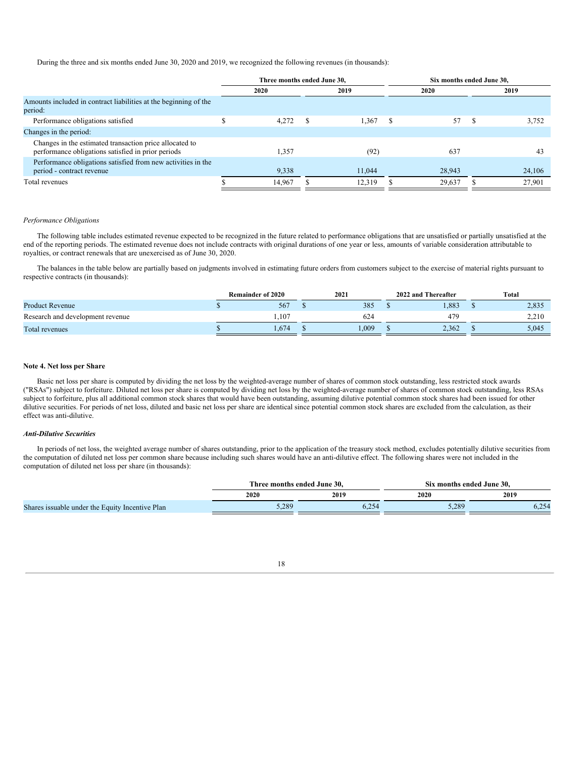During the three and six months ended June 30, 2020 and 2019, we recognized the following revenues (in thousands):

|                                                                                                               | Three months ended June 30. |        |  | Six months ended June 30. |          |        |    |        |
|---------------------------------------------------------------------------------------------------------------|-----------------------------|--------|--|---------------------------|----------|--------|----|--------|
|                                                                                                               |                             | 2020   |  | 2019                      |          | 2020   |    | 2019   |
| Amounts included in contract liabilities at the beginning of the<br>period:                                   |                             |        |  |                           |          |        |    |        |
| Performance obligations satisfied                                                                             |                             | 4,272  |  | 1.367                     | <b>S</b> | 57     | -S | 3,752  |
| Changes in the period:                                                                                        |                             |        |  |                           |          |        |    |        |
| Changes in the estimated transaction price allocated to<br>performance obligations satisfied in prior periods |                             | 1.357  |  | (92)                      |          | 637    |    | 43     |
| Performance obligations satisfied from new activities in the<br>period - contract revenue                     |                             | 9.338  |  | 11,044                    |          | 28.943 |    | 24,106 |
| Total revenues                                                                                                |                             | 14.967 |  | 12.319                    |          | 29.637 |    | 27.901 |

### *Performance Obligations*

The following table includes estimated revenue expected to be recognized in the future related to performance obligations that are unsatisfied or partially unsatisfied at the end of the reporting periods. The estimated revenue does not include contracts with original durations of one year or less, amounts of variable consideration attributable to royalties, or contract renewals that are unexercised as of June 30, 2020.

The balances in the table below are partially based on judgments involved in estimating future orders from customers subject to the exercise of material rights pursuant to respective contracts (in thousands):

|                                  | <b>Remainder of 2020</b> |       | 2021 | 2022 and Thereafter | Total |
|----------------------------------|--------------------------|-------|------|---------------------|-------|
| <b>Product Revenue</b>           |                          | 567   | 385  | 1.883               | 2,835 |
| Research and development revenue |                          | . 107 | 624  | 479                 | 2,210 |
| Total revenues                   |                          | .674  | .009 | 2.362               | 5,045 |

### **Note 4. Net loss per Share**

Basic net loss per share is computed by dividing the net loss by the weighted-average number of shares of common stock outstanding, less restricted stock awards ("RSAs") subject to forfeiture. Diluted net loss per share is computed by dividing net loss by the weighted-average number of shares of common stock outstanding, less RSAs subject to forfeiture, plus all additional common stock shares that would have been outstanding, assuming dilutive potential common stock shares had been issued for other dilutive securities. For periods of net loss, diluted and basic net loss per share are identical since potential common stock shares are excluded from the calculation, as their effect was anti-dilutive.

#### *Anti-Dilutive Securities*

In periods of net loss, the weighted average number of shares outstanding, prior to the application of the treasury stock method, excludes potentially dilutive securities from the computation of diluted net loss per common share because including such shares would have an anti-dilutive effect. The following shares were not included in the computation of diluted net loss per share (in thousands):

|                                                  | Three months ended June 30. | x months ended June 30. |      |                       |
|--------------------------------------------------|-----------------------------|-------------------------|------|-----------------------|
|                                                  | 2020                        | 2019<br>$\sim$ $\sim$   | 2020 | 2019<br>$\sim$ $\sim$ |
| Shares is suable under the Equity Incentive Plan | 5.289                       | .                       | ,289 | 254<br>0.ZJ           |

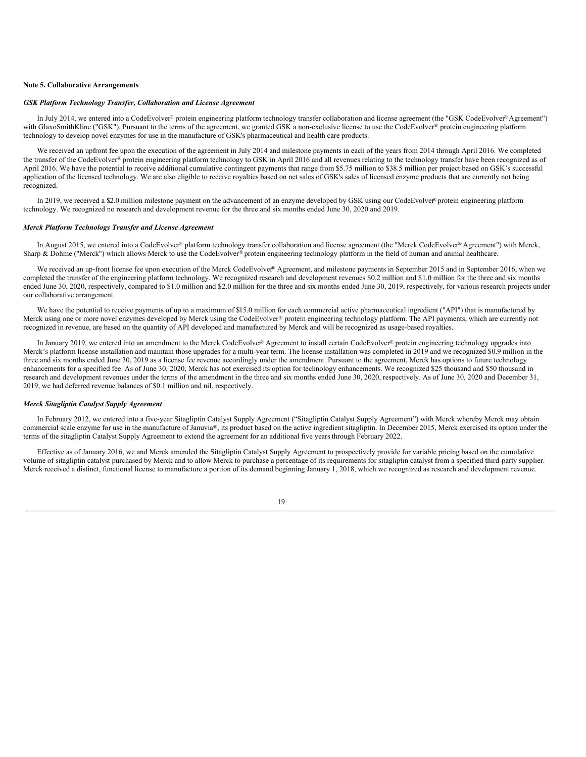#### **Note 5. Collaborative Arrangements**

#### *GSK Platform Technology Transfer, Collaboration and License Agreement*

In July 2014, we entered into a CodeEvolver® protein engineering platform technology transfer collaboration and license agreement (the "GSK CodeEvolver® Agreement") with GlaxoSmithKline ("GSK"). Pursuant to the terms of the agreement, we granted GSK a non-exclusive license to use the CodeEvolver® protein engineering platform technology to develop novel enzymes for use in the manufacture of GSK's pharmaceutical and health care products.

We received an upfront fee upon the execution of the agreement in July 2014 and milestone payments in each of the years from 2014 through April 2016. We completed the transfer of the CodeEvolver® protein engineering platform technology to GSK in April 2016 and all revenues relating to the technology transfer have been recognized as of April 2016. We have the potential to receive additional cumulative contingent payments that range from \$5.75 million to \$38.5 million per project based on GSK's successful application of the licensed technology. We are also eligible to receive royalties based on net sales of GSK's sales of licensed enzyme products that are currently not being recognized.

In 2019, we received a \$2.0 million milestone payment on the advancement of an enzyme developed by GSK using our CodeEvolver® protein engineering platform technology. We recognized no research and development revenue for the three and six months ended June 30, 2020 and 2019.

### *Merck Platform Technology Transfer and License Agreement*

In August 2015, we entered into a CodeEvolver® platform technology transfer collaboration and license agreement (the "Merck CodeEvolver® Agreement") with Merck, Sharp & Dohme ("Merck") which allows Merck to use the CodeEvolver® protein engineering technology platform in the field of human and animal healthcare.

We received an up-front license fee upon execution of the Merck CodeEvolver® Agreement, and milestone payments in September 2015 and in September 2016, when we completed the transfer of the engineering platform technology. We recognized research and development revenues \$0.2 million and \$1.0 million for the three and six months ended June 30, 2020, respectively, compared to \$1.0 million and \$2.0 million for the three and six months ended June 30, 2019, respectively, for various research projects under our collaborative arrangement.

We have the potential to receive payments of up to a maximum of \$15.0 million for each commercial active pharmaceutical ingredient ("API") that is manufactured by Merck using one or more novel enzymes developed by Merck using the CodeEvolver® protein engineering technology platform. The API payments, which are currently not recognized in revenue, are based on the quantity of API developed and manufactured by Merck and will be recognized as usage-based royalties.

In January 2019, we entered into an amendment to the Merck CodeEvolver® Agreement to install certain CodeEvolver® protein engineering technology upgrades into Merck's platform license installation and maintain those upgrades for a multi-year term. The license installation was completed in 2019 and we recognized \$0.9 million in the three and six months ended June 30, 2019 as a license fee revenue accordingly under the amendment. Pursuant to the agreement, Merck has options to future technology enhancements for a specified fee. As of June 30, 2020, Merck has not exercised its option for technology enhancements. We recognized \$25 thousand and \$50 thousand in research and development revenues under the terms of the amendment in the three and six months ended June 30, 2020, respectively. As of June 30, 2020 and December 31, 2019, we had deferred revenue balances of \$0.1 million and nil, respectively.

### *Merck Sitagliptin Catalyst Supply Agreement*

In February 2012, we entered into a five-year Sitagliptin Catalyst Supply Agreement ("Sitagliptin Catalyst Supply Agreement") with Merck whereby Merck may obtain commercial scale enzyme for use in the manufacture of Januvia®, its product based on the active ingredient sitagliptin. In December 2015, Merck exercised its option under the terms of the sitagliptin Catalyst Supply Agreement to extend the agreement for an additional five years through February 2022.

Effective as of January 2016, we and Merck amended the Sitagliptin Catalyst Supply Agreement to prospectively provide for variable pricing based on the cumulative volume of sitagliptin catalyst purchased by Merck and to allow Merck to purchase a percentage of its requirements for sitagliptin catalyst from a specified third-party supplier. Merck received a distinct, functional license to manufacture a portion of its demand beginning January 1, 2018, which we recognized as research and development revenue.

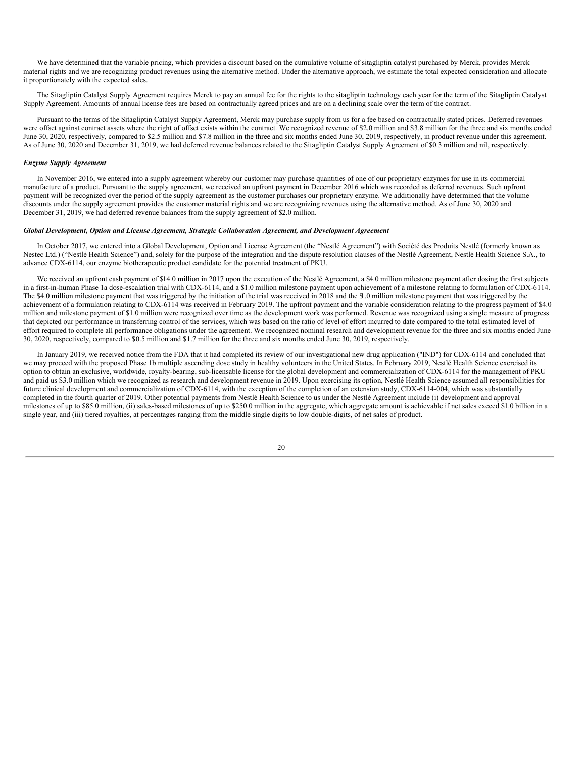We have determined that the variable pricing, which provides a discount based on the cumulative volume of sitagliptin catalyst purchased by Merck, provides Merck material rights and we are recognizing product revenues using the alternative method. Under the alternative approach, we estimate the total expected consideration and allocate it proportionately with the expected sales.

The Sitagliptin Catalyst Supply Agreement requires Merck to pay an annual fee for the rights to the sitagliptin technology each year for the term of the Sitagliptin Catalyst Supply Agreement. Amounts of annual license fees are based on contractually agreed prices and are on a declining scale over the term of the contract.

Pursuant to the terms of the Sitagliptin Catalyst Supply Agreement, Merck may purchase supply from us for a fee based on contractually stated prices. Deferred revenues were offset against contract assets where the right of offset exists within the contract. We recognized revenue of \$2.0 million and \$3.8 million for the three and six months ended June 30, 2020, respectively, compared to \$2.5 million and \$7.8 million in the three and six months ended June 30, 2019, respectively, in product revenue under this agreement. As of June 30, 2020 and December 31, 2019, we had deferred revenue balances related to the Sitagliptin Catalyst Supply Agreement of \$0.3 million and nil, respectively.

#### *Enzyme Supply Agreement*

In November 2016, we entered into a supply agreement whereby our customer may purchase quantities of one of our proprietary enzymes for use in its commercial manufacture of a product. Pursuant to the supply agreement, we received an upfront payment in December 2016 which was recorded as deferred revenues. Such upfront payment will be recognized over the period of the supply agreement as the customer purchases our proprietary enzyme. We additionally have determined that the volume discounts under the supply agreement provides the customer material rights and we are recognizing revenues using the alternative method. As of June 30, 2020 and December 31, 2019, we had deferred revenue balances from the supply agreement of \$2.0 million.

### *Global Development, Option and License Agreement, Strategic Collaboration Agreement, and Development Agreement*

In October 2017, we entered into a Global Development, Option and License Agreement (the "Nestlé Agreement") with Société des Produits Nestlé (formerly known as Nestec Ltd.) ("Nestlé Health Science") and, solely for the purpose of the integration and the dispute resolution clauses of the Nestlé Agreement, Nestlé Health Science S.A., to advance CDX-6114, our enzyme biotherapeutic product candidate for the potential treatment of PKU.

We received an upfront cash payment of \$14.0 million in 2017 upon the execution of the Nestlé Agreement, a \$4.0 million milestone payment after dosing the first subjects in a first-in-human Phase 1a dose-escalation trial with CDX-6114, and a \$1.0 million milestone payment upon achievement of a milestone relating to formulation of CDX-6114. The \$4.0 million milestone payment that was triggered by the initiation of the trial was received in 2018 and the \$1.0 million milestone payment that was triggered by the achievement of a formulation relating to CDX-6114 was received in February 2019. The upfront payment and the variable consideration relating to the progress payment of \$4.0 million and milestone payment of \$1.0 million were recognized over time as the development work was performed. Revenue was recognized using a single measure of progress that depicted our performance in transferring control of the services, which was based on the ratio of level of effort incurred to date compared to the total estimated level of effort required to complete all performance obligations under the agreement. We recognized nominal research and development revenue for the three and six months ended June 30, 2020, respectively, compared to \$0.5 million and \$1.7 million for the three and six months ended June 30, 2019, respectively.

In January 2019, we received notice from the FDA that it had completed its review of our investigational new drug application ("IND") for CDX-6114 and concluded that we may proceed with the proposed Phase 1b multiple ascending dose study in healthy volunteers in the United States. In February 2019, Nestlé Health Science exercised its option to obtain an exclusive, worldwide, royalty-bearing, sub-licensable license for the global development and commercialization of CDX-6114 for the management of PKU and paid us \$3.0 million which we recognized as research and development revenue in 2019. Upon exercising its option, Nestlé Health Science assumed all responsibilities for future clinical development and commercialization of CDX-6114, with the exception of the completion of an extension study, CDX-6114-004, which was substantially completed in the fourth quarter of 2019. Other potential payments from Nestlé Health Science to us under the Nestlé Agreement include (i) development and approval milestones of up to \$85.0 million, (ii) sales-based milestones of up to \$250.0 million in the aggregate, which aggregate amount is achievable if net sales exceed \$1.0 billion in a single year, and (iii) tiered royalties, at percentages ranging from the middle single digits to low double-digits, of net sales of product.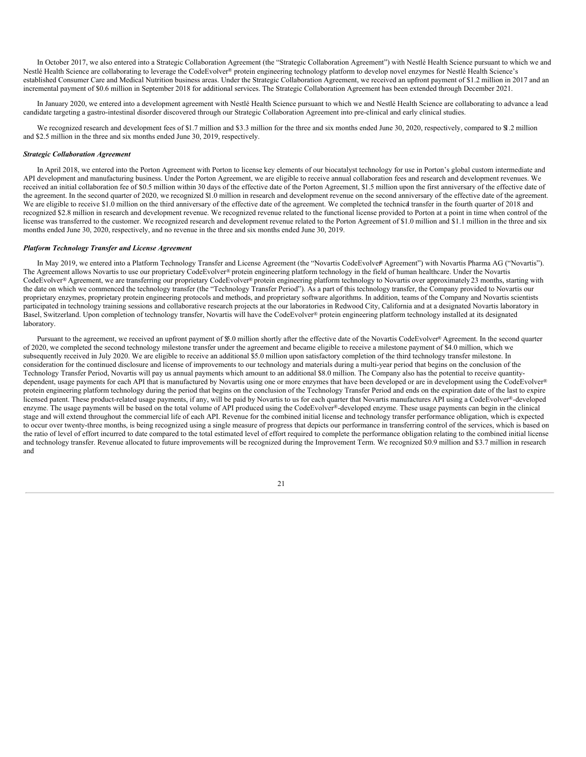In October 2017, we also entered into a Strategic Collaboration Agreement (the "Strategic Collaboration Agreement") with Nestlé Health Science pursuant to which we and Nestlé Health Science are collaborating to leverage the CodeEvolver® protein engineering technology platform to develop novel enzymes for Nestlé Health Science's established Consumer Care and Medical Nutrition business areas. Under the Strategic Collaboration Agreement, we received an upfront payment of \$1.2 million in 2017 and an incremental payment of \$0.6 million in September 2018 for additional services. The Strategic Collaboration Agreement has been extended through December 2021.

In January 2020, we entered into a development agreement with Nestlé Health Science pursuant to which we and Nestlé Health Science are collaborating to advance a lead candidate targeting a gastro-intestinal disorder discovered through our Strategic Collaboration Agreement into pre-clinical and early clinical studies.

We recognized research and development fees of \$1.7 million and \$3.3 million for the three and six months ended June 30, 2020, respectively, compared to \$1.2 million and \$2.5 million in the three and six months ended June 30, 2019, respectively.

#### *Strategic Collaboration Agreement*

In April 2018, we entered into the Porton Agreement with Porton to license key elements of our biocatalyst technology for use in Porton's global custom intermediate and API development and manufacturing business. Under the Porton Agreement, we are eligible to receive annual collaboration fees and research and development revenues. We received an initial collaboration fee of \$0.5 million within 30 days of the effective date of the Porton Agreement, \$1.5 million upon the first anniversary of the effective date of the agreement. In the second quarter of 2020, we recognized \$1.0 million in research and development revenue on the second anniversary of the effective date of the agreement. We are eligible to receive \$1.0 million on the third anniversary of the effective date of the agreement. We completed the technical transfer in the fourth quarter of 2018 and recognized \$2.8 million in research and development revenue. We recognized revenue related to the functional license provided to Porton at a point in time when control of the license was transferred to the customer. We recognized research and development revenue related to the Porton Agreement of \$1.0 million and \$1.1 million in the three and six months ended June 30, 2020, respectively, and no revenue in the three and six months ended June 30, 2019.

### *Platform Technology Transfer and License Agreement*

In May 2019, we entered into a Platform Technology Transfer and License Agreement (the "Novartis CodeEvolver® Agreement") with Novartis Pharma AG ("Novartis"). The Agreement allows Novartis to use our proprietary CodeEvolver® protein engineering platform technology in the field of human healthcare. Under the Novartis CodeEvolver® Agreement, we are transferring our proprietary CodeEvolver® protein engineering platform technology to Novartis over approximately 23 months, starting with the date on which we commenced the technology transfer (the "Technology Transfer Period"). As a part of this technology transfer, the Company provided to Novartis our proprietary enzymes, proprietary protein engineering protocols and methods, and proprietary software algorithms. In addition, teams of the Company and Novartis scientists participated in technology training sessions and collaborative research projects at the our laboratories in Redwood City, California and at a designated Novartis laboratory in Basel, Switzerland. Upon completion of technology transfer, Novartis will have the CodeEvolver® protein engineering platform technology installed at its designated laboratory.

Pursuant to the agreement, we received an upfront payment of \$5.0 million shortly after the effective date of the Novartis CodeEvolver® Agreement. In the second quarter of 2020, we completed the second technology milestone transfer under the agreement and became eligible to receive a milestone payment of \$4.0 million, which we subsequently received in July 2020. We are eligible to receive an additional \$5.0 million upon satisfactory completion of the third technology transfer milestone. In consideration for the continued disclosure and license of improvements to our technology and materials during a multi-year period that begins on the conclusion of the Technology Transfer Period, Novartis will pay us annual payments which amount to an additional \$8.0 million. The Company also has the potential to receive quantitydependent, usage payments for each API that is manufactured by Novartis using one or more enzymes that have been developed or are in development using the CodeEvolver® protein engineering platform technology during the period that begins on the conclusion of the Technology Transfer Period and ends on the expiration date of the last to expire licensed patent. These product-related usage payments, if any, will be paid by Novartis to us for each quarter that Novartis manufactures API using a CodeEvolver®-developed enzyme. The usage payments will be based on the total volume of API produced using the CodeEvolver®-developed enzyme. These usage payments can begin in the clinical stage and will extend throughout the commercial life of each API. Revenue for the combined initial license and technology transfer performance obligation, which is expected to occur over twenty-three months, is being recognized using a single measure of progress that depicts our performance in transferring control of the services, which is based on the ratio of level of effort incurred to date compared to the total estimated level of effort required to complete the performance obligation relating to the combined initial license and technology transfer. Revenue allocated to future improvements will be recognized during the Improvement Term. We recognized \$0.9 million and \$3.7 million in research and

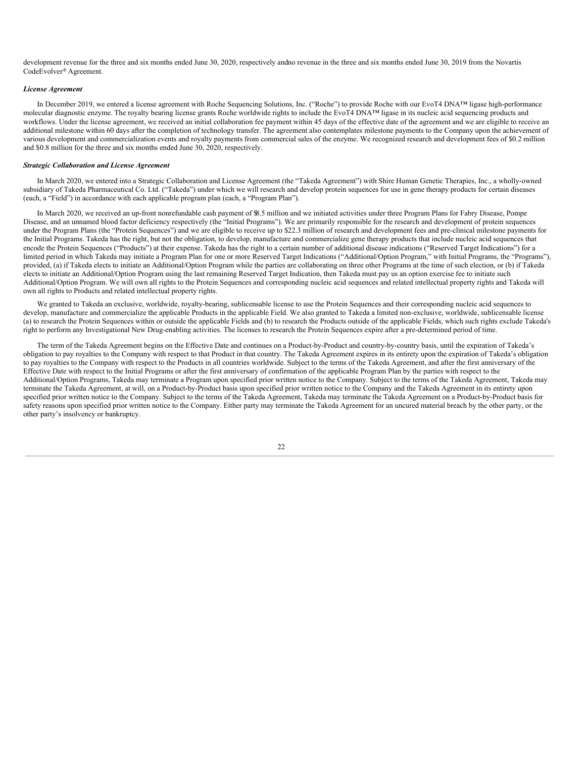development revenue for the three and six months ended June 30, 2020, respectively andno revenue in the three and six months ended June 30, 2019 from the Novartis CodeEvolver® Agreement.

#### *License Agreement*

In December 2019, we entered a license agreement with Roche Sequencing Solutions, Inc. ("Roche") to provide Roche with our EvoT4 DNA™ ligase high-performance molecular diagnostic enzyme. The royalty bearing license grants Roche worldwide rights to include the EvoT4 DNA™ ligase in its nucleic acid sequencing products and workflows. Under the license agreement, we received an initial collaboration fee payment within 45 days of the effective date of the agreement and we are eligible to receive an additional milestone within 60 days after the completion of technology transfer. The agreement also contemplates milestone payments to the Company upon the achievement of various development and commercialization events and royalty payments from commercial sales of the enzyme. We recognized research and development fees of \$0.2 million and \$0.8 million for the three and six months ended June 30, 2020, respectively.

#### *Strategic Collaboration and License Agreement*

In March 2020, we entered into a Strategic Collaboration and License Agreement (the "Takeda Agreement") with Shire Human Genetic Therapies, Inc., a wholly-owned subsidiary of Takeda Pharmaceutical Co. Ltd. ("Takeda") under which we will research and develop protein sequences for use in gene therapy products for certain diseases (each, a "Field") in accordance with each applicable program plan (each, a "Program Plan").

In March 2020, we received an up-front nonrefundable cash payment of \$8.5 million and we initiated activities under three Program Plans for Fabry Disease, Pompe Disease, and an unnamed blood factor deficiency respectively (the "Initial Programs"). We are primarily responsible for the research and development of protein sequences under the Program Plans (the "Protein Sequences") and we are eligible to receive up to \$22.3 million of research and development fees and pre-clinical milestone payments for the Initial Programs. Takeda has the right, but not the obligation, to develop, manufacture and commercialize gene therapy products that include nucleic acid sequences that encode the Protein Sequences ("Products") at their expense. Takeda has the right to a certain number of additional disease indications ("Reserved Target Indications") for a limited period in which Takeda may initiate a Program Plan for one or more Reserved Target Indications ("Additional/Option Program," with Initial Programs, the "Programs"), provided, (a) if Takeda elects to initiate an Additional/Option Program while the parties are collaborating on three other Programs at the time of such election, or (b) if Takeda elects to initiate an Additional/Option Program using the last remaining Reserved Target Indication, then Takeda must pay us an option exercise fee to initiate such Additional/Option Program. We will own all rights to the Protein Sequences and corresponding nucleic acid sequences and related intellectual property rights and Takeda will own all rights to Products and related intellectual property rights.

We granted to Takeda an exclusive, worldwide, royalty-bearing, sublicensable license to use the Protein Sequences and their corresponding nucleic acid sequences to develop, manufacture and commercialize the applicable Products in the applicable Field. We also granted to Takeda a limited non-exclusive, worldwide, sublicensable license (a) to research the Protein Sequences within or outside the applicable Fields and (b) to research the Products outside of the applicable Fields, which such rights exclude Takeda's right to perform any Investigational New Drug-enabling activities. The licenses to research the Protein Sequences expire after a pre-determined period of time.

The term of the Takeda Agreement begins on the Effective Date and continues on a Product-by-Product and country-by-country basis, until the expiration of Takeda's obligation to pay royalties to the Company with respect to that Product in that country. The Takeda Agreement expires in its entirety upon the expiration of Takeda's obligation to pay royalties to the Company with respect to the Products in all countries worldwide. Subject to the terms of the Takeda Agreement, and after the first anniversary of the Effective Date with respect to the Initial Programs or after the first anniversary of confirmation of the applicable Program Plan by the parties with respect to the Additional/Option Programs, Takeda may terminate a Program upon specified prior written notice to the Company. Subject to the terms of the Takeda Agreement, Takeda may terminate the Takeda Agreement, at will, on a Product-by-Product basis upon specified prior written notice to the Company and the Takeda Agreement in its entirety upon specified prior written notice to the Company. Subject to the terms of the Takeda Agreement, Takeda may terminate the Takeda Agreement on a Product-by-Product basis for safety reasons upon specified prior written notice to the Company. Either party may terminate the Takeda Agreement for an uncured material breach by the other party, or the other party's insolvency or bankruptcy.

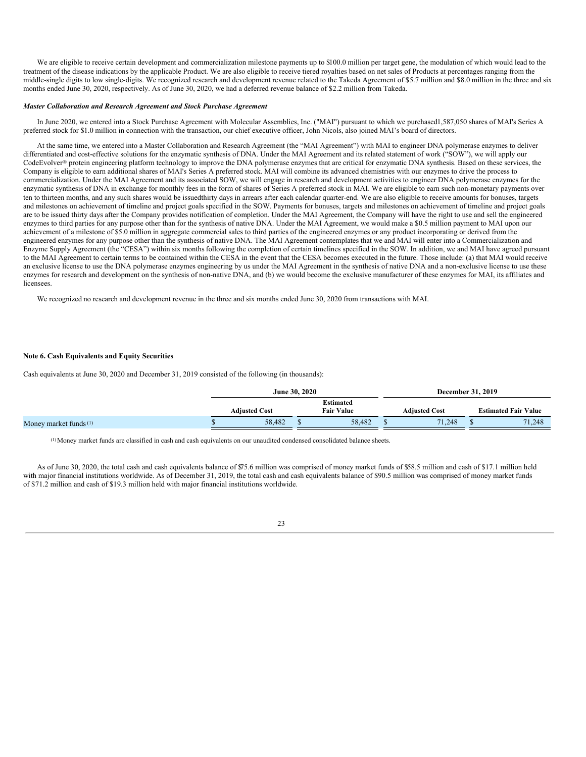We are eligible to receive certain development and commercialization milestone payments up to \$100.0 million per target gene, the modulation of which would lead to the treatment of the disease indications by the applicable Product. We are also eligible to receive tiered royalties based on net sales of Products at percentages ranging from the middle-single digits to low single-digits. We recognized research and development revenue related to the Takeda Agreement of \$5.7 million and \$8.0 million in the three and six months ended June 30, 2020, respectively. As of June 30, 2020, we had a deferred revenue balance of \$2.2 million from Takeda.

### *Master Collaboration and Research Agreement and Stock Purchase Agreement*

In June 2020, we entered into a Stock Purchase Agreement with Molecular Assemblies, Inc. ("MAI") pursuant to which we purchased1,587,050 shares of MAI's Series A preferred stock for \$1.0 million in connection with the transaction, our chief executive officer, John Nicols, also joined MAI's board of directors.

At the same time, we entered into a Master Collaboration and Research Agreement (the "MAI Agreement") with MAI to engineer DNA polymerase enzymes to deliver differentiated and cost-effective solutions for the enzymatic synthesis of DNA. Under the MAI Agreement and its related statement of work ("SOW"), we will apply our CodeEvolver® protein engineering platform technology to improve the DNA polymerase enzymes that are critical for enzymatic DNA synthesis. Based on these services, the Company is eligible to earn additional shares of MAI's Series A preferred stock. MAI will combine its advanced chemistries with our enzymes to drive the process to commercialization. Under the MAI Agreement and its associated SOW, we will engage in research and development activities to engineer DNA polymerase enzymes for the enzymatic synthesis of DNA in exchange for monthly fees in the form of shares of Series A preferred stock in MAI. We are eligible to earn such non-monetary payments over ten to thirteen months, and any such shares would be issuedthirty days in arrears after each calendar quarter-end. We are also eligible to receive amounts for bonuses, targets and milestones on achievement of timeline and project goals specified in the SOW. Payments for bonuses, targets and milestones on achievement of timeline and project goals are to be issued thirty days after the Company provides notification of completion. Under the MAI Agreement, the Company will have the right to use and sell the engineered enzymes to third parties for any purpose other than for the synthesis of native DNA. Under the MAI Agreement, we would make a \$0.5 million payment to MAI upon our achievement of a milestone of \$5.0 million in aggregate commercial sales to third parties of the engineered enzymes or any product incorporating or derived from the engineered enzymes for any purpose other than the synthesis of native DNA. The MAI Agreement contemplates that we and MAI will enter into a Commercialization and Enzyme Supply Agreement (the "CESA") within six months following the completion of certain timelines specified in the SOW. In addition, we and MAI have agreed pursuant to the MAI Agreement to certain terms to be contained within the CESA in the event that the CESA becomes executed in the future. Those include: (a) that MAI would receive an exclusive license to use the DNA polymerase enzymes engineering by us under the MAI Agreement in the synthesis of native DNA and a non-exclusive license to use these enzymes for research and development on the synthesis of non-native DNA, and (b) we would become the exclusive manufacturer of these enzymes for MAI, its affiliates and **licensees** 

We recognized no research and development revenue in the three and six months ended June 30, 2020 from transactions with MAI.

### **Note 6. Cash Equivalents and Equity Securities**

Cash equivalents at June 30, 2020 and December 31, 2019 consisted of the following (in thousands):

|                          | June 30, 2020 |                      |  |                                | <b>December 31, 2019</b> |                      |  |                      |
|--------------------------|---------------|----------------------|--|--------------------------------|--------------------------|----------------------|--|----------------------|
|                          |               | <b>Adiusted Cost</b> |  | Estimated<br><b>Fair Value</b> |                          | <b>Adiusted Cost</b> |  | Estimated Fair Value |
| Money market funds $(1)$ |               | 58,482               |  | 58.482                         |                          | 71.248               |  | 71,248               |

(1)Money market funds are classified in cash and cash equivalents on our unaudited condensed consolidated balance sheets.

As of June 30, 2020, the total cash and cash equivalents balance of \$75.6 million was comprised of money market funds of \$58.5 million and cash of \$17.1 million held with major financial institutions worldwide. As of December 31, 2019, the total cash and cash equivalents balance of \$90.5 million was comprised of money market funds of \$71.2 million and cash of \$19.3 million held with major financial institutions worldwide.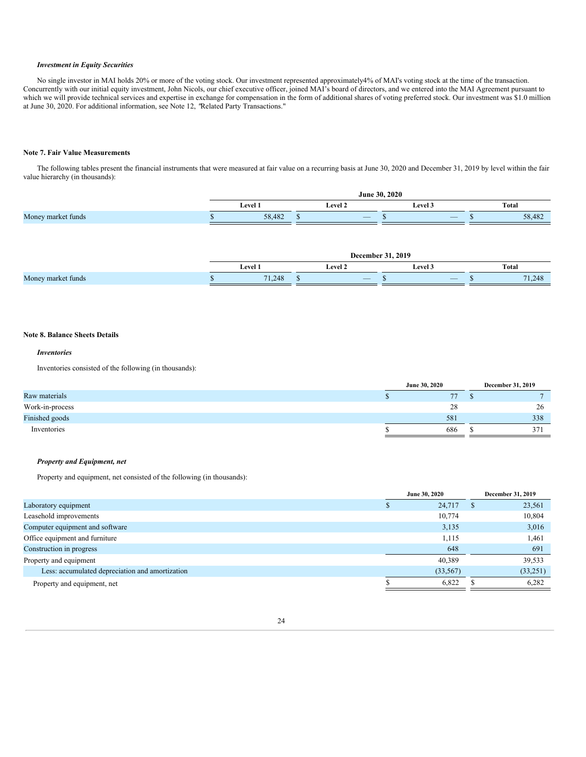### *Investment in Equity Securities*

No single investor in MAI holds 20% or more of the voting stock. Our investment represented approximately4% of MAI's voting stock at the time of the transaction. Concurrently with our initial equity investment, John Nicols, our chief executive officer, joined MAI's board of directors, and we entered into the MAI Agreement pursuant to which we will provide technical services and expertise in exchange for compensation in the form of additional shares of voting preferred stock. Our investment was \$1.0 million at June 30, 2020. For additional information, see Note 12, *"*Related Party Transactions."

### **Note 7. Fair Value Measurements**

The following tables present the financial instruments that were measured at fair value on a recurring basis at June 30, 2020 and December 31, 2019 by level within the fair value hierarchy (in thousands):

|                    | 30, 2020<br>June |                                              |  |                                                                                                                                                                                                                                                                                                                                                                                                                                                                                                                                    |  |                                                                                                                                                                                                                                                                                                                                                                                                                                                                                                                                  |  |        |
|--------------------|------------------|----------------------------------------------|--|------------------------------------------------------------------------------------------------------------------------------------------------------------------------------------------------------------------------------------------------------------------------------------------------------------------------------------------------------------------------------------------------------------------------------------------------------------------------------------------------------------------------------------|--|----------------------------------------------------------------------------------------------------------------------------------------------------------------------------------------------------------------------------------------------------------------------------------------------------------------------------------------------------------------------------------------------------------------------------------------------------------------------------------------------------------------------------------|--|--------|
|                    |                  | Level 1                                      |  | <b>Level</b> 2                                                                                                                                                                                                                                                                                                                                                                                                                                                                                                                     |  | . .<br><b>Level</b> 3<br>.                                                                                                                                                                                                                                                                                                                                                                                                                                                                                                       |  | Total  |
| Money market funds |                  | 10 <sup>o</sup><br>CO <sub>2</sub><br>20,402 |  | $\hspace{1.0cm} \overline{\hspace{1.0cm} \hspace{1.0cm} \hspace{1.0cm} } \hspace{1.0cm} \hspace{1.0cm} \overline{\hspace{1.0cm} \hspace{1.0cm} \hspace{1.0cm} } \hspace{1.0cm} \hspace{1.0cm} \overline{\hspace{1.0cm} \hspace{1.0cm} \hspace{1.0cm} } \hspace{1.0cm} \hspace{1.0cm} \overline{\hspace{1.0cm} \hspace{1.0cm} \hspace{1.0cm} } \hspace{1.0cm} \hspace{1.0cm} \hspace{1.0cm} } \hspace{1$<br>$\mathcal{L}(\mathcal{L})$ and $\mathcal{L}(\mathcal{L})$ and $\mathcal{L}(\mathcal{L})$ and $\mathcal{L}(\mathcal{L})$ |  | $\hspace{1.0cm} \overline{\hspace{1.0cm} \hspace{1.0cm} \hspace{1.0cm} } \hspace{1.0cm} \hspace{1.0cm} \overline{\hspace{1.0cm} \hspace{1.0cm} \hspace{1.0cm} } \hspace{1.0cm} \hspace{1.0cm} \overline{\hspace{1.0cm} \hspace{1.0cm} \hspace{1.0cm} } \hspace{1.0cm} \hspace{1.0cm} \overline{\hspace{1.0cm} \hspace{1.0cm} \hspace{1.0cm} } \hspace{1.0cm} \hspace{1.0cm} \hspace{1.0cm} }$<br>$\mathcal{L}^{\text{max}}_{\text{max}}$ and $\mathcal{L}^{\text{max}}_{\text{max}}$ and $\mathcal{L}^{\text{max}}_{\text{max}}$ |  | 58,482 |

|                    | <b>December 31, 2019</b> |         |  |                          |  |                |  |        |  |
|--------------------|--------------------------|---------|--|--------------------------|--|----------------|--|--------|--|
|                    |                          | Level 1 |  | .<br><b>Level 2</b>      |  | <b>Level 3</b> |  | Total  |  |
| Money market funds |                          | 71.248  |  | $\overline{\phantom{a}}$ |  |                |  | 71,248 |  |

### **Note 8. Balance Sheets Details**

### *Inventories*

Inventories consisted of the following (in thousands):

|                 | June 30, 2020 |     | December 31, 2019 |
|-----------------|---------------|-----|-------------------|
| Raw materials   |               |     |                   |
| Work-in-process |               | 28  | 26                |
| Finished goods  |               | 581 | 338               |
| Inventories     |               | 686 | 371               |

### *Property and Equipment, net*

Property and equipment, net consisted of the following (in thousands):

|                                                 | June 30, 2020 |              | December 31, 2019 |
|-------------------------------------------------|---------------|--------------|-------------------|
| Laboratory equipment                            | 24,717        | <sup>2</sup> | 23,561            |
| Leasehold improvements                          | 10,774        |              | 10,804            |
| Computer equipment and software                 | 3,135         |              | 3,016             |
| Office equipment and furniture                  | 1,115         |              | 1,461             |
| Construction in progress                        | 648           |              | 691               |
| Property and equipment                          | 40.389        |              | 39,533            |
| Less: accumulated depreciation and amortization | (33, 567)     |              | (33,251)          |
| Property and equipment, net                     | 6.822         |              | 6,282             |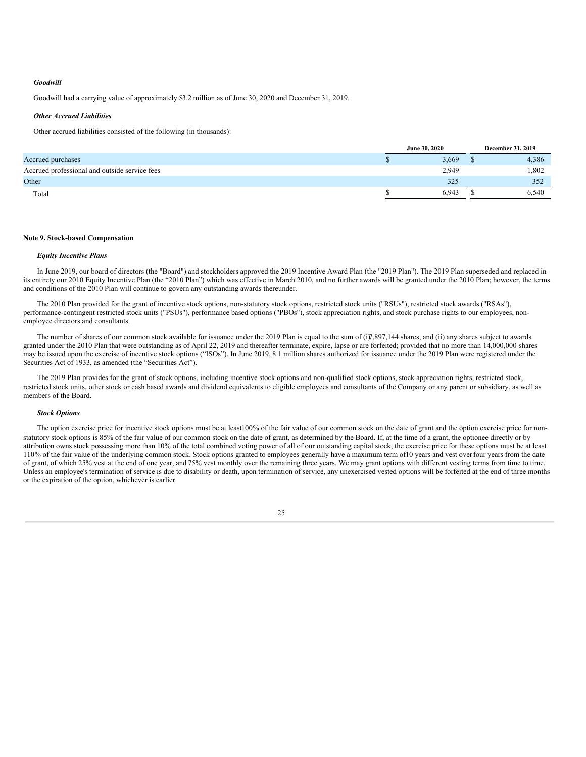### *Goodwill*

Goodwill had a carrying value of approximately \$3.2 million as of June 30, 2020 and December 31, 2019.

### *Other Accrued Liabilities*

Other accrued liabilities consisted of the following (in thousands):

|                                               | <b>June 30, 2020</b> | December 31, 2019 |
|-----------------------------------------------|----------------------|-------------------|
| Accrued purchases                             | 3,669                | 4,386             |
| Accrued professional and outside service fees | 2,949                | 1,802             |
| Other                                         | 325                  | 352               |
| Total                                         | 6.943                | 6,540             |

#### **Note 9. Stock-based Compensation**

#### *Equity Incentive Plans*

In June 2019, our board of directors (the "Board") and stockholders approved the 2019 Incentive Award Plan (the "2019 Plan"). The 2019 Plan superseded and replaced in its entirety our 2010 Equity Incentive Plan (the "2010 Plan") which was effective in March 2010, and no further awards will be granted under the 2010 Plan; however, the terms and conditions of the 2010 Plan will continue to govern any outstanding awards thereunder.

The 2010 Plan provided for the grant of incentive stock options, non-statutory stock options, restricted stock units ("RSUs"), restricted stock awards ("RSAs"), performance-contingent restricted stock units ("PSUs"), performance based options ("PBOs"), stock appreciation rights, and stock purchase rights to our employees, nonemployee directors and consultants.

The number of shares of our common stock available for issuance under the 2019 Plan is equal to the sum of (i)7,897,144 shares, and (ii) any shares subject to awards granted under the 2010 Plan that were outstanding as of April 22, 2019 and thereafter terminate, expire, lapse or are forfeited; provided that no more than 14,000,000 shares may be issued upon the exercise of incentive stock options ("ISOs"). In June 2019, 8.1 million shares authorized for issuance under the 2019 Plan were registered under the Securities Act of 1933, as amended (the "Securities Act").

The 2019 Plan provides for the grant of stock options, including incentive stock options and non-qualified stock options, stock appreciation rights, restricted stock, restricted stock units, other stock or cash based awards and dividend equivalents to eligible employees and consultants of the Company or any parent or subsidiary, as well as members of the Board.

### *Stock Options*

The option exercise price for incentive stock options must be at least100% of the fair value of our common stock on the date of grant and the option exercise price for nonstatutory stock options is 85% of the fair value of our common stock on the date of grant, as determined by the Board. If, at the time of a grant, the optionee directly or by attribution owns stock possessing more than 10% of the total combined voting power of all of our outstanding capital stock, the exercise price for these options must be at least 110% of the fair value of the underlying common stock. Stock options granted to employees generally have a maximum term of10 years and vest overfour years from the date of grant, of which 25% vest at the end of one year, and 75% vest monthly over the remaining three years. We may grant options with different vesting terms from time to time. Unless an employee's termination of service is due to disability or death, upon termination of service, any unexercised vested options will be forfeited at the end of three months or the expiration of the option, whichever is earlier.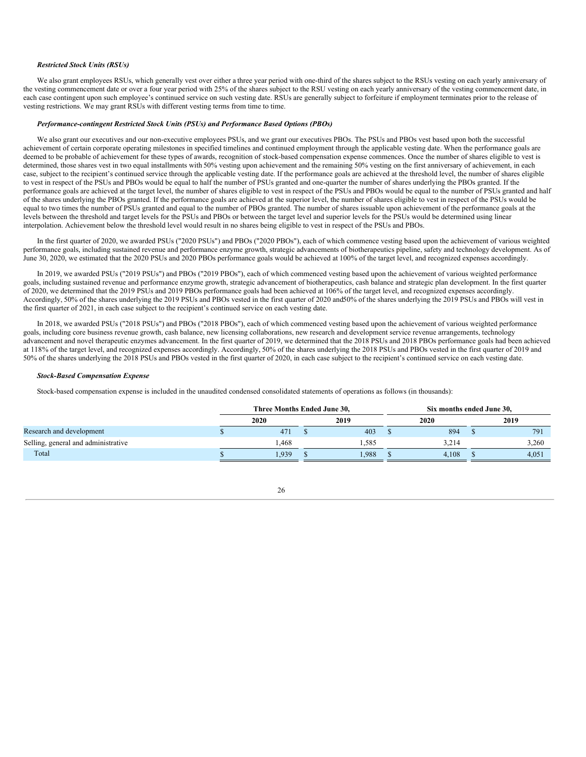#### *Restricted Stock Units (RSUs)*

We also grant employees RSUs, which generally vest over either a three year period with one-third of the shares subject to the RSUs vesting on each yearly anniversary of the vesting commencement date or over a four year period with 25% of the shares subject to the RSU vesting on each yearly anniversary of the vesting commencement date, in each case contingent upon such employee's continued service on such vesting date. RSUs are generally subject to forfeiture if employment terminates prior to the release of vesting restrictions. We may grant RSUs with different vesting terms from time to time.

### *Performance-contingent Restricted Stock Units (PSUs) and Performance Based Options (PBOs)*

We also grant our executives and our non-executive employees PSUs, and we grant our executives PBOs. The PSUs and PBOs vest based upon both the successful achievement of certain corporate operating milestones in specified timelines and continued employment through the applicable vesting date. When the performance goals are deemed to be probable of achievement for these types of awards, recognition of stock-based compensation expense commences. Once the number of shares eligible to vest is determined, those shares vest in two equal installments with 50% vesting upon achievement and the remaining 50% vesting on the first anniversary of achievement, in each case, subject to the recipient's continued service through the applicable vesting date. If the performance goals are achieved at the threshold level, the number of shares eligible to vest in respect of the PSUs and PBOs would be equal to half the number of PSUs granted and one-quarter the number of shares underlying the PBOs granted. If the performance goals are achieved at the target level, the number of shares eligible to vest in respect of the PSUs and PBOs would be equal to the number of PSUs granted and half of the shares underlying the PBOs granted. If the performance goals are achieved at the superior level, the number of shares eligible to vest in respect of the PSUs would be equal to two times the number of PSUs granted and equal to the number of PBOs granted. The number of shares issuable upon achievement of the performance goals at the levels between the threshold and target levels for the PSUs and PBOs or between the target level and superior levels for the PSUs would be determined using linear interpolation. Achievement below the threshold level would result in no shares being eligible to vest in respect of the PSUs and PBOs.

In the first quarter of 2020, we awarded PSUs ("2020 PSUs") and PBOs ("2020 PBOs"), each of which commence vesting based upon the achievement of various weighted performance goals, including sustained revenue and performance enzyme growth, strategic advancements of biotherapeutics pipeline, safety and technology development. As of June 30, 2020, we estimated that the 2020 PSUs and 2020 PBOs performance goals would be achieved at 100% of the target level, and recognized expenses accordingly.

In 2019, we awarded PSUs ("2019 PSUs") and PBOs ("2019 PBOs"), each of which commenced vesting based upon the achievement of various weighted performance goals, including sustained revenue and performance enzyme growth, strategic advancement of biotherapeutics, cash balance and strategic plan development. In the first quarter of 2020, we determined that the 2019 PSUs and 2019 PBOs performance goals had been achieved at 106% of the target level, and recognized expenses accordingly. Accordingly, 50% of the shares underlying the 2019 PSUs and PBOs vested in the first quarter of 2020 and50% of the shares underlying the 2019 PSUs and PBOs will vest in the first quarter of 2021, in each case subject to the recipient's continued service on each vesting date.

In 2018, we awarded PSUs ("2018 PSUs") and PBOs ("2018 PBOs"), each of which commenced vesting based upon the achievement of various weighted performance goals, including core business revenue growth, cash balance, new licensing collaborations, new research and development service revenue arrangements, technology advancement and novel therapeutic enzymes advancement. In the first quarter of 2019, we determined that the 2018 PSUs and 2018 PBOs performance goals had been achieved at 118% of the target level, and recognized expenses accordingly. Accordingly, 50% of the shares underlying the 2018 PSUs and PBOs vested in the first quarter of 2019 and 50% of the shares underlying the 2018 PSUs and PBOs vested in the first quarter of 2020, in each case subject to the recipient's continued service on each vesting date.

#### *Stock-Based Compensation Expense*

Stock-based compensation expense is included in the unaudited condensed consolidated statements of operations as follows (in thousands):

|                                     | Three Months Ended June 30, |  |       | Six months ended June 30, |       |  |       |  |
|-------------------------------------|-----------------------------|--|-------|---------------------------|-------|--|-------|--|
|                                     | 2020                        |  | 2019  |                           | 2020  |  | 2019  |  |
| Research and development            | 471                         |  | 403   |                           | 894   |  | 791   |  |
| Selling, general and administrative | .468                        |  | . 585 |                           | 3,214 |  | 3,260 |  |
| Total                               | 1.939                       |  | 1,988 |                           | 4.108 |  | 4,051 |  |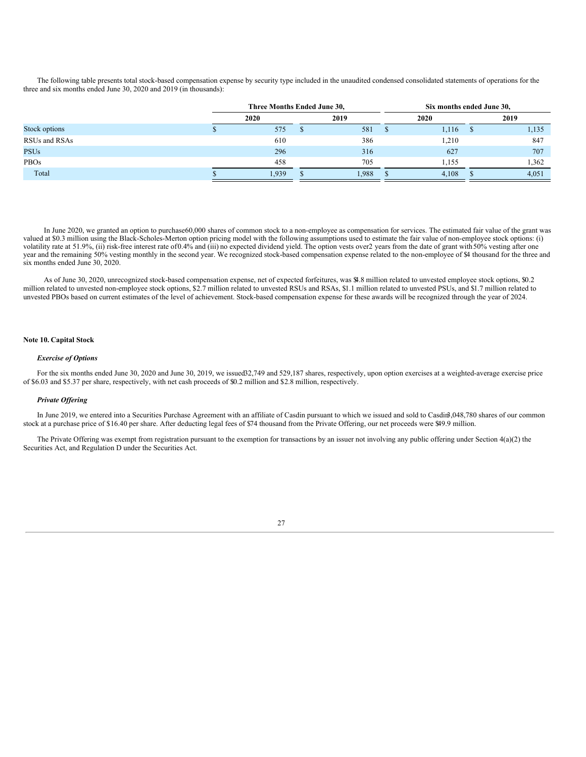The following table presents total stock-based compensation expense by security type included in the unaudited condensed consolidated statements of operations for the three and six months ended June 30, 2020 and 2019 (in thousands):

|               | Three Months Ended June 30, |       | Six months ended June 30, |      |       |  |  |  |
|---------------|-----------------------------|-------|---------------------------|------|-------|--|--|--|
|               | 2020                        | 2019  | 2020                      | 2019 |       |  |  |  |
| Stock options | 575                         | 581   | 1,116                     |      | 1,135 |  |  |  |
| RSUs and RSAs | 610                         | 386   | 1,210                     |      | 847   |  |  |  |
| <b>PSUs</b>   | 296                         | 316   | 627                       |      | 707   |  |  |  |
| PBOs          | 458                         | 705   | 1.155                     |      | 1,362 |  |  |  |
| Total         | 1,939                       | 1,988 | 4.108                     |      | 4,051 |  |  |  |

In June 2020, we granted an option to purchase60,000 shares of common stock to a non-employee as compensation for services. The estimated fair value of the grant was valued at \$0.3 million using the Black-Scholes-Merton option pricing model with the following assumptions used to estimate the fair value of non-employee stock options: (i) volatility rate at 51.9%, (ii) risk-free interest rate of0.4% and (iii) no expected dividend yield. The option vests over2 years from the date of grant with 50% vesting after one year and the remaining 50% vesting monthly in the second year. We recognized stock-based compensation expense related to the non-employee of \$4 thousand for the three and six months ended June 30, 2020.

As of June 30, 2020, unrecognized stock-based compensation expense, net of expected forfeitures, was \$4.8 million related to unvested employee stock options, \$0.2 million related to unvested non-employee stock options, \$2.7 million related to unvested RSUs and RSAs, \$1.1 million related to unvested PSUs, and \$1.7 million related to unvested PBOs based on current estimates of the level of achievement. Stock-based compensation expense for these awards will be recognized through the year of 2024.

### **Note 10. Capital Stock**

### *Exercise of Options*

For the six months ended June 30, 2020 and June 30, 2019, we issued32,749 and 529,187 shares, respectively, upon option exercises at a weighted-average exercise price of \$6.03 and \$5.37 per share, respectively, with net cash proceeds of \$0.2 million and \$2.8 million, respectively.

#### *Private Of ering*

In June 2019, we entered into a Securities Purchase Agreement with an affiliate of Casdin pursuant to which we issued and sold to Casdin3,048,780 shares of our common stock at a purchase price of \$16.40 per share. After deducting legal fees of \$74 thousand from the Private Offering, our net proceeds were \$49.9 million.

The Private Offering was exempt from registration pursuant to the exemption for transactions by an issuer not involving any public offering under Section  $4(a)(2)$  the Securities Act, and Regulation D under the Securities Act.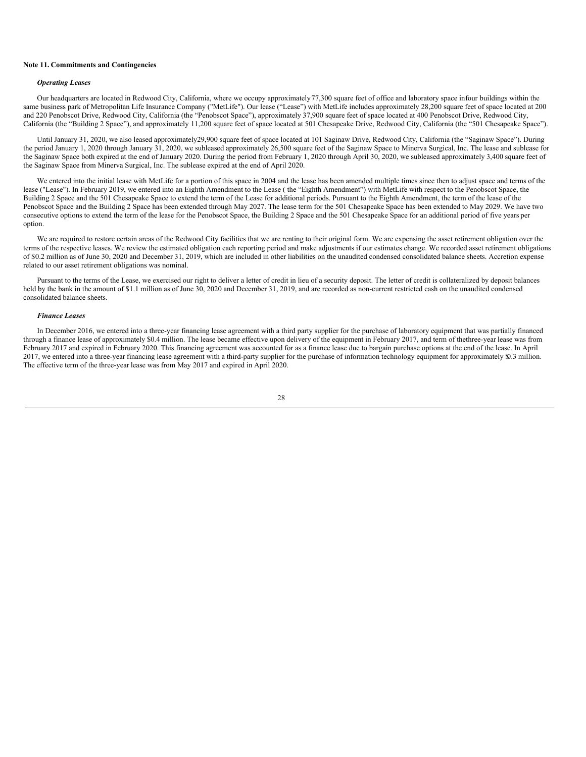### **Note 11. Commitments and Contingencies**

#### *Operating Leases*

Our headquarters are located in Redwood City, California, where we occupy approximately77,300 square feet of office and laboratory space infour buildings within the same business park of Metropolitan Life Insurance Company ("MetLife"). Our lease ("Lease") with MetLife includes approximately 28,200 square feet of space located at 200 and 220 Penobscot Drive, Redwood City, California (the "Penobscot Space"), approximately 37,900 square feet of space located at 400 Penobscot Drive, Redwood City, California (the "Building 2 Space"), and approximately 11,200 square feet of space located at 501 Chesapeake Drive, Redwood City, California (the "501 Chesapeake Space").

Until January 31, 2020, we also leased approximately29,900 square feet of space located at 101 Saginaw Drive, Redwood City, California (the "Saginaw Space"). During the period January 1, 2020 through January 31, 2020, we subleased approximately 26,500 square feet of the Saginaw Space to Minerva Surgical, Inc. The lease and sublease for the Saginaw Space both expired at the end of January 2020. During the period from February 1, 2020 through April 30, 2020, we subleased approximately 3,400 square feet of the Saginaw Space from Minerva Surgical, Inc. The sublease expired at the end of April 2020.

We entered into the initial lease with MetLife for a portion of this space in 2004 and the lease has been amended multiple times since then to adjust space and terms of the lease ("Lease"). In February 2019, we entered into an Eighth Amendment to the Lease ( the "Eighth Amendment") with MetLife with respect to the Penobscot Space, the Building 2 Space and the 501 Chesapeake Space to extend the term of the Lease for additional periods. Pursuant to the Eighth Amendment, the term of the lease of the Penobscot Space and the Building 2 Space has been extended through May 2027. The lease term for the 501 Chesapeake Space has been extended to May 2029. We have two consecutive options to extend the term of the lease for the Penobscot Space, the Building 2 Space and the 501 Chesapeake Space for an additional period of five years per option.

We are required to restore certain areas of the Redwood City facilities that we are renting to their original form. We are expensing the asset retirement obligation over the terms of the respective leases. We review the estimated obligation each reporting period and make adjustments if our estimates change. We recorded asset retirement obligations of \$0.2 million as of June 30, 2020 and December 31, 2019, which are included in other liabilities on the unaudited condensed consolidated balance sheets. Accretion expense related to our asset retirement obligations was nominal.

Pursuant to the terms of the Lease, we exercised our right to deliver a letter of credit in lieu of a security deposit. The letter of credit is collateralized by deposit balances held by the bank in the amount of \$1.1 million as of June 30, 2020 and December 31, 2019, and are recorded as non-current restricted cash on the unaudited condensed consolidated balance sheets.

### *Finance Leases*

In December 2016, we entered into a three-year financing lease agreement with a third party supplier for the purchase of laboratory equipment that was partially financed through a finance lease of approximately \$0.4 million. The lease became effective upon delivery of the equipment in February 2017, and term of thethree-year lease was from February 2017 and expired in February 2020. This financing agreement was accounted for as a finance lease due to bargain purchase options at the end of the lease. In April 2017, we entered into a three-year financing lease agreement with a third-party supplier for the purchase of information technology equipment for approximately \$0.3 million. The effective term of the three-year lease was from May 2017 and expired in April 2020.

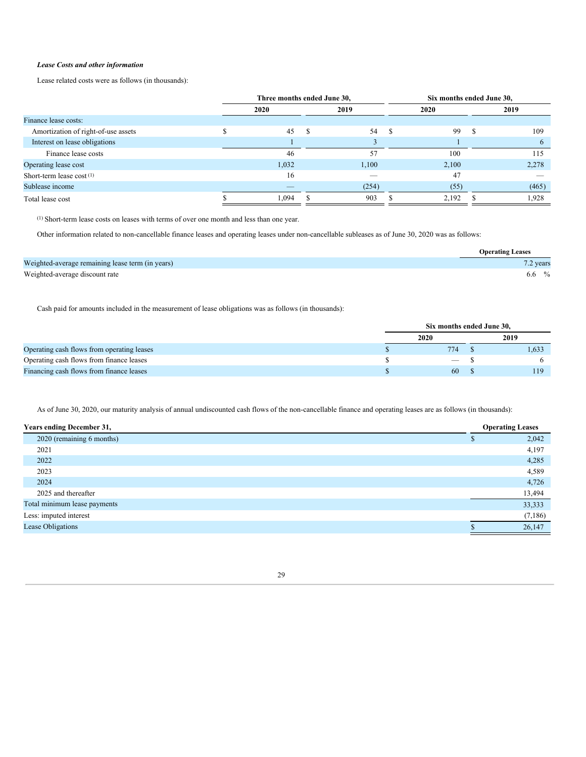### *Lease Costs and other information*

Lease related costs were as follows (in thousands):

|                                     |      | Three months ended June 30, |  |                          | Six months ended June 30, |       |      |                |  |  |
|-------------------------------------|------|-----------------------------|--|--------------------------|---------------------------|-------|------|----------------|--|--|
|                                     | 2020 |                             |  | 2019                     |                           | 2020  | 2019 |                |  |  |
| Finance lease costs:                |      |                             |  |                          |                           |       |      |                |  |  |
| Amortization of right-of-use assets |      | 45                          |  | 54                       | - S                       | 99    |      | 109            |  |  |
| Interest on lease obligations       |      |                             |  |                          |                           |       |      | $\mathfrak{b}$ |  |  |
| Finance lease costs                 |      | 46                          |  | 57                       |                           | 100   |      | 115            |  |  |
| Operating lease cost                |      | 1,032                       |  | 1,100                    |                           | 2,100 |      | 2,278          |  |  |
| Short-term lease $cost(1)$          |      | 16                          |  | $\overline{\phantom{a}}$ |                           | 47    |      |                |  |  |
| Sublease income                     |      |                             |  | (254)                    |                           | (55)  |      | (465)          |  |  |
| Total lease cost                    |      | 1,094                       |  | 903                      |                           | 2,192 |      | 1,928          |  |  |

(1) Short-term lease costs on leases with terms of over one month and less than one year.

Other information related to non-cancellable finance leases and operating leases under non-cancellable subleases as of June 30, 2020 was as follows:

|                                                  | <b>Operating Leases</b> |
|--------------------------------------------------|-------------------------|
| Weighted-average remaining lease term (in years) | 7.2 years               |
| Weighted-average discount rate                   | 6.6 $\%$                |

Cash paid for amounts included in the measurement of lease obligations was as follows (in thousands):

|                                            | Six months ended June 30. |  |       |  |  |  |  |  |
|--------------------------------------------|---------------------------|--|-------|--|--|--|--|--|
|                                            | 2020                      |  | 2019  |  |  |  |  |  |
| Operating cash flows from operating leases | 774                       |  | 1,633 |  |  |  |  |  |
| Operating cash flows from finance leases   | $\overline{\phantom{a}}$  |  |       |  |  |  |  |  |
| Financing cash flows from finance leases   | 60                        |  |       |  |  |  |  |  |

As of June 30, 2020, our maturity analysis of annual undiscounted cash flows of the non-cancellable finance and operating leases are as follows (in thousands):

| Years ending December 31,    | <b>Operating Leases</b> |
|------------------------------|-------------------------|
| 2020 (remaining 6 months)    | 2,042                   |
| 2021                         | 4,197                   |
| 2022                         | 4,285                   |
| 2023                         | 4,589                   |
| 2024                         | 4,726                   |
| 2025 and thereafter          | 13,494                  |
| Total minimum lease payments | 33,333                  |
| Less: imputed interest       | (7,186)                 |
| Lease Obligations            | 26,147                  |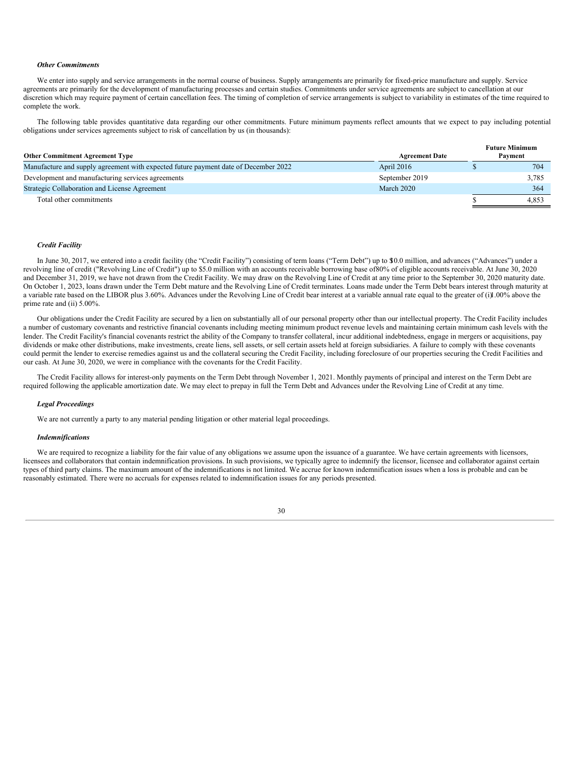#### *Other Commitments*

We enter into supply and service arrangements in the normal course of business. Supply arrangements are primarily for fixed-price manufacture and supply. Service agreements are primarily for the development of manufacturing processes and certain studies. Commitments under service agreements are subject to cancellation at our discretion which may require payment of certain cancellation fees. The timing of completion of service arrangements is subject to variability in estimates of the time required to complete the work.

The following table provides quantitative data regarding our other commitments. Future minimum payments reflect amounts that we expect to pay including potential obligations under services agreements subject to risk of cancellation by us (in thousands):

|                                                                                     |                       | <b>Future Minimum</b> |       |
|-------------------------------------------------------------------------------------|-----------------------|-----------------------|-------|
| <b>Other Commitment Agreement Type</b>                                              | <b>Agreement Date</b> | Payment               |       |
| Manufacture and supply agreement with expected future payment date of December 2022 | April 2016            |                       | 704   |
| Development and manufacturing services agreements                                   | September 2019        |                       | 3,785 |
| Strategic Collaboration and License Agreement                                       | March 2020            |                       | 364   |
| Total other commitments                                                             |                       |                       | 4.853 |

#### *Credit Facility*

In June 30, 2017, we entered into a credit facility (the "Credit Facility") consisting of term loans ("Term Debt") up to \$10.0 million, and advances ("Advances") under a revolving line of credit ("Revolving Line of Credit") up to \$5.0 million with an accounts receivable borrowing base of80% of eligible accounts receivable. At June 30, 2020 and December 31, 2019, we have not drawn from the Credit Facility. We may draw on the Revolving Line of Credit at any time prior to the September 30, 2020 maturity date. On October 1, 2023, loans drawn under the Term Debt mature and the Revolving Line of Credit terminates. Loans made under the Term Debt bears interest through maturity at a variable rate based on the LIBOR plus 3.60%. Advances under the Revolving Line of Credit bear interest at a variable annual rate equal to the greater of (i)1.00% above the prime rate and (ii) 5.00%.

Our obligations under the Credit Facility are secured by a lien on substantially all of our personal property other than our intellectual property. The Credit Facility includes a number of customary covenants and restrictive financial covenants including meeting minimum product revenue levels and maintaining certain minimum cash levels with the lender. The Credit Facility's financial covenants restrict the ability of the Company to transfer collateral, incur additional indebtedness, engage in mergers or acquisitions, pay dividends or make other distributions, make investments, create liens, sell assets, or sell certain assets held at foreign subsidiaries. A failure to comply with these covenants could permit the lender to exercise remedies against us and the collateral securing the Credit Facility, including foreclosure of our properties securing the Credit Facilities and our cash. At June 30, 2020, we were in compliance with the covenants for the Credit Facility.

The Credit Facility allows for interest-only payments on the Term Debt through November 1, 2021. Monthly payments of principal and interest on the Term Debt are required following the applicable amortization date. We may elect to prepay in full the Term Debt and Advances under the Revolving Line of Credit at any time.

#### *Legal Proceedings*

We are not currently a party to any material pending litigation or other material legal proceedings.

#### *Indemnifications*

We are required to recognize a liability for the fair value of any obligations we assume upon the issuance of a guarantee. We have certain agreements with licensors, licensees and collaborators that contain indemnification provisions. In such provisions, we typically agree to indemnify the licensor, licensee and collaborator against certain types of third party claims. The maximum amount of the indemnifications is not limited. We accrue for known indemnification issues when a loss is probable and can be reasonably estimated. There were no accruals for expenses related to indemnification issues for any periods presented.

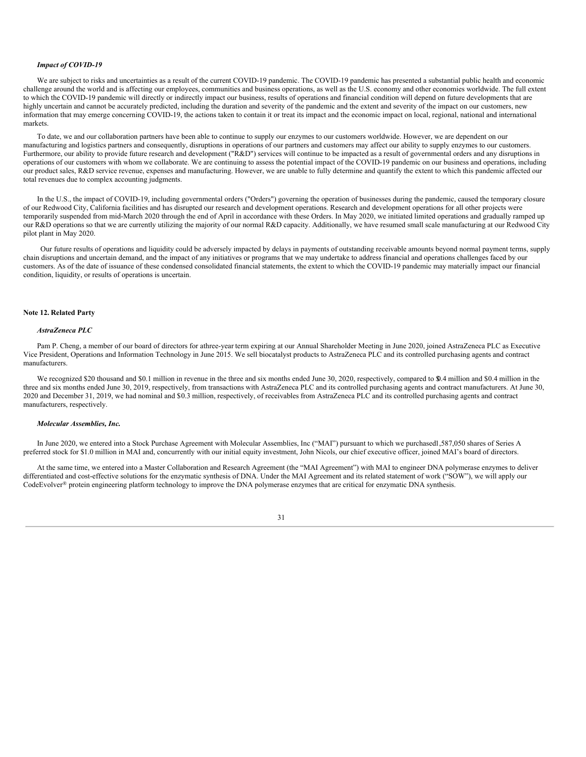### *Impact of COVID-19*

We are subject to risks and uncertainties as a result of the current COVID-19 pandemic. The COVID-19 pandemic has presented a substantial public health and economic challenge around the world and is affecting our employees, communities and business operations, as well as the U.S. economy and other economies worldwide. The full extent to which the COVID-19 pandemic will directly or indirectly impact our business, results of operations and financial condition will depend on future developments that are highly uncertain and cannot be accurately predicted, including the duration and severity of the pandemic and the extent and severity of the impact on our customers, new information that may emerge concerning COVID-19, the actions taken to contain it or treat its impact and the economic impact on local, regional, national and international markets

To date, we and our collaboration partners have been able to continue to supply our enzymes to our customers worldwide. However, we are dependent on our manufacturing and logistics partners and consequently, disruptions in operations of our partners and customers may affect our ability to supply enzymes to our customers. Furthermore, our ability to provide future research and development ("R&D") services will continue to be impacted as a result of governmental orders and any disruptions in operations of our customers with whom we collaborate. We are continuing to assess the potential impact of the COVID-19 pandemic on our business and operations, including our product sales, R&D service revenue, expenses and manufacturing. However, we are unable to fully determine and quantify the extent to which this pandemic affected our total revenues due to complex accounting judgments.

In the U.S., the impact of COVID-19, including governmental orders ("Orders") governing the operation of businesses during the pandemic, caused the temporary closure of our Redwood City, California facilities and has disrupted our research and development operations. Research and development operations for all other projects were temporarily suspended from mid-March 2020 through the end of April in accordance with these Orders. In May 2020, we initiated limited operations and gradually ramped up our R&D operations so that we are currently utilizing the majority of our normal R&D capacity. Additionally, we have resumed small scale manufacturing at our Redwood City pilot plant in May 2020.

Our future results of operations and liquidity could be adversely impacted by delays in payments of outstanding receivable amounts beyond normal payment terms, supply chain disruptions and uncertain demand, and the impact of any initiatives or programs that we may undertake to address financial and operations challenges faced by our customers. As of the date of issuance of these condensed consolidated financial statements, the extent to which the COVID-19 pandemic may materially impact our financial condition, liquidity, or results of operations is uncertain.

#### **Note 12. Related Party**

### *AstraZeneca PLC*

Pam P. Cheng, a member of our board of directors for athree-year term expiring at our Annual Shareholder Meeting in June 2020, joined AstraZeneca PLC as Executive Vice President, Operations and Information Technology in June 2015. We sell biocatalyst products to AstraZeneca PLC and its controlled purchasing agents and contract manufacturers.

We recognized \$20 thousand and \$0.1 million in revenue in the three and six months ended June 30, 2020, respectively, compared to \$0.4 million and \$0.4 million in the three and six months ended June 30, 2019, respectively, from transactions with AstraZeneca PLC and its controlled purchasing agents and contract manufacturers. At June 30, 2020 and December 31, 2019, we had nominal and \$0.3 million, respectively, of receivables from AstraZeneca PLC and its controlled purchasing agents and contract manufacturers, respectively.

### *Molecular Assemblies, Inc.*

In June 2020, we entered into a Stock Purchase Agreement with Molecular Assemblies, Inc ("MAI") pursuant to which we purchased1,587,050 shares of Series A preferred stock for \$1.0 million in MAI and, concurrently with our initial equity investment, John Nicols, our chief executive officer, joined MAI's board of directors.

At the same time, we entered into a Master Collaboration and Research Agreement (the "MAI Agreement") with MAI to engineer DNA polymerase enzymes to deliver differentiated and cost-effective solutions for the enzymatic synthesis of DNA. Under the MAI Agreement and its related statement of work ("SOW"), we will apply our CodeEvolver® protein engineering platform technology to improve the DNA polymerase enzymes that are critical for enzymatic DNA synthesis.

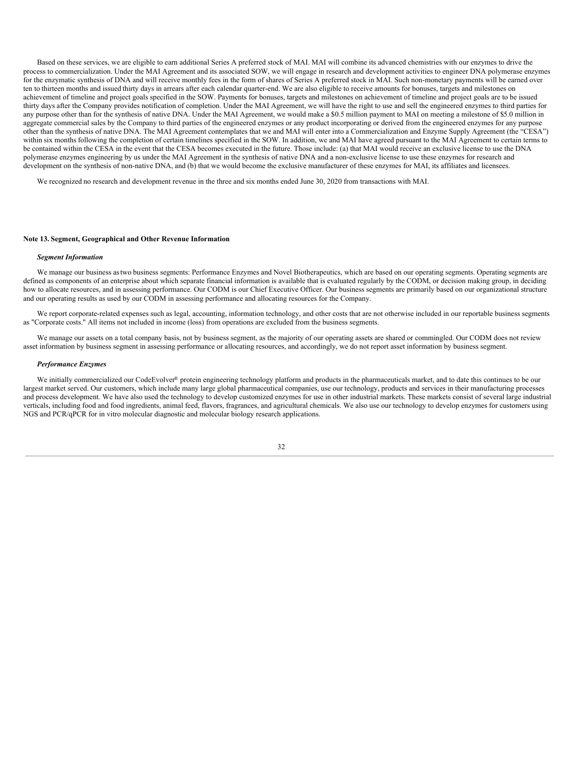Based on these services, we are eligible to earn additional Series A preferred stock of MAI. MAI will combine its advanced chemistries with our enzymes to drive the process to commercialization. Under the MAI Agreement and its associated SOW, we will engage in research and development activities to engineer DNA polymerase enzymes for the enzymatic synthesis of DNA and will receive monthly fees in the form of shares of Series A preferred stock in MAI. Such non-monetary payments will be earned over ten to thirteen months and issued thirty days in arrears after each calendar quarter-end. We are also eligible to receive amounts for bonuses, targets and milestones on achievement of timeline and project goals specified in the SOW. Payments for bonuses, targets and milestones on achievement of timeline and project goals are to be issued thirty days after the Company provides notification of completion. Under the MAI Agreement, we will have the right to use and sell the engineered enzymes to third parties for any purpose other than for the synthesis of native DNA. Under the MAI Agreement, we would make a \$0.5 million payment to MAI on meeting a milestone of \$5.0 million in aggregate commercial sales by the Company to third parties of the engineered enzymes or any product incorporating or derived from the engineered enzymes for any purpose other than the synthesis of native DNA. The MAI Agreement contemplates that we and MAI will enter into a Commercialization and Enzyme Supply Agreement (the "CESA") within six months following the completion of certain timelines specified in the SOW. In addition, we and MAI have agreed pursuant to the MAI Agreement to certain terms to be contained within the CESA in the event that the CESA becomes executed in the future. Those include: (a) that MAI would receive an exclusive license to use the DNA polymerase enzymes engineering by us under the MAI Agreement in the synthesis of native DNA and a non-exclusive license to use these enzymes for research and development on the synthesis of non-native DNA, and (b) that we would become the exclusive manufacturer of these enzymes for MAI, its affiliates and licensees.

We recognized no research and development revenue in the three and six months ended June 30, 2020 from transactions with MAI.

#### **Note 13. Segment, Geographical and Other Revenue Information**

#### *Segment Information*

We manage our business astwo business segments: Performance Enzymes and Novel Biotherapeutics, which are based on our operating segments. Operating segments are defined as components of an enterprise about which separate financial information is available that is evaluated regularly by the CODM, or decision making group, in deciding how to allocate resources, and in assessing performance. Our CODM is our Chief Executive Officer. Our business segments are primarily based on our organizational structure and our operating results as used by our CODM in assessing performance and allocating resources for the Company.

We report corporate-related expenses such as legal, accounting, information technology, and other costs that are not otherwise included in our reportable business segments as "Corporate costs." All items not included in income (loss) from operations are excluded from the business segments.

We manage our assets on a total company basis, not by business segment, as the majority of our operating assets are shared or commingled. Our CODM does not review asset information by business segment in assessing performance or allocating resources, and accordingly, we do not report asset information by business segment.

#### *Performance Enzymes*

We initially commercialized our CodeEvolver® protein engineering technology platform and products in the pharmaceuticals market, and to date this continues to be our largest market served. Our customers, which include many large global pharmaceutical companies, use our technology, products and services in their manufacturing processes and process development. We have also used the technology to develop customized enzymes for use in other industrial markets. These markets consist of several large industrial verticals, including food and food ingredients, animal feed, flavors, fragrances, and agricultural chemicals. We also use our technology to develop enzymes for customers using NGS and PCR/qPCR for in vitro molecular diagnostic and molecular biology research applications.

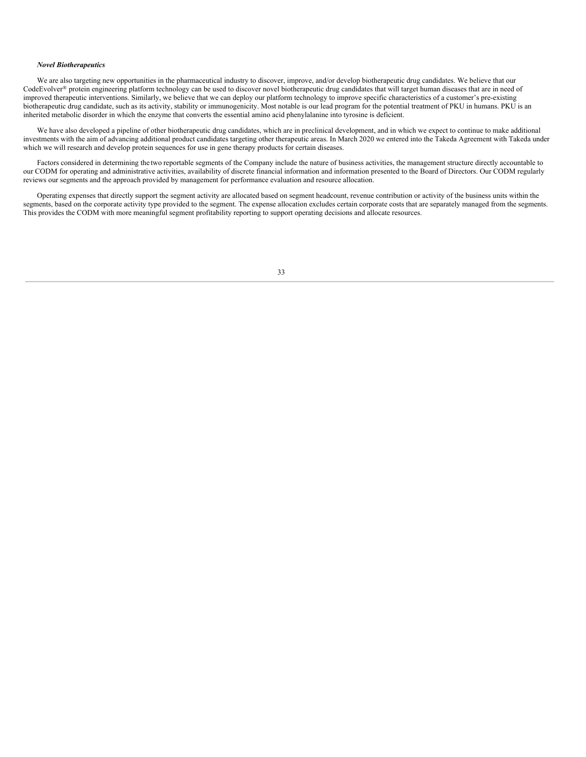#### *Novel Biotherapeutics*

We are also targeting new opportunities in the pharmaceutical industry to discover, improve, and/or develop biotherapeutic drug candidates. We believe that our CodeEvolver® protein engineering platform technology can be used to discover novel biotherapeutic drug candidates that will target human diseases that are in need of improved therapeutic interventions. Similarly, we believe that we can deploy our platform technology to improve specific characteristics of a customer's pre-existing biotherapeutic drug candidate, such as its activity, stability or immunogenicity. Most notable is our lead program for the potential treatment of PKU in humans. PKU is an inherited metabolic disorder in which the enzyme that converts the essential amino acid phenylalanine into tyrosine is deficient.

We have also developed a pipeline of other biotherapeutic drug candidates, which are in preclinical development, and in which we expect to continue to make additional investments with the aim of advancing additional product candidates targeting other therapeutic areas. In March 2020 we entered into the Takeda Agreement with Takeda under which we will research and develop protein sequences for use in gene therapy products for certain diseases.

Factors considered in determining the two reportable segments of the Company include the nature of business activities, the management structure directly accountable to our CODM for operating and administrative activities, availability of discrete financial information and information presented to the Board of Directors. Our CODM regularly reviews our segments and the approach provided by management for performance evaluation and resource allocation.

Operating expenses that directly support the segment activity are allocated based on segment headcount, revenue contribution or activity of the business units within the segments, based on the corporate activity type provided to the segment. The expense allocation excludes certain corporate costs that are separately managed from the segments. This provides the CODM with more meaningful segment profitability reporting to support operating decisions and allocate resources.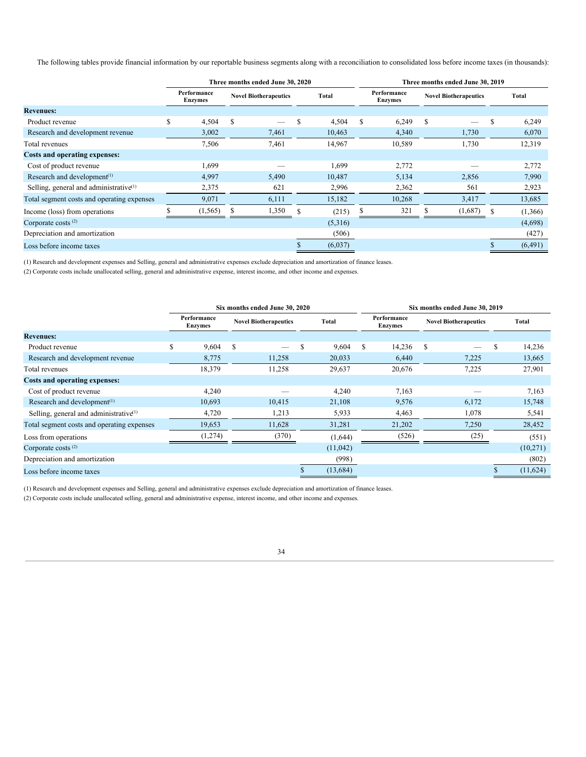The following tables provide financial information by our reportable business segments along with a reconciliation to consolidated loss before income taxes (in thousands):

|                                                    |   |                               |     | Three months ended June 30, 2020 |   |         | Three months ended June 30, 2019 |                               |   |                              |   |         |  |
|----------------------------------------------------|---|-------------------------------|-----|----------------------------------|---|---------|----------------------------------|-------------------------------|---|------------------------------|---|---------|--|
|                                                    |   | Performance<br><b>Enzymes</b> |     | <b>Novel Biotherapeutics</b>     |   | Total   |                                  | Performance<br><b>Enzymes</b> |   | <b>Novel Biotherapeutics</b> |   | Total   |  |
| <b>Revenues:</b>                                   |   |                               |     |                                  |   |         |                                  |                               |   |                              |   |         |  |
| Product revenue                                    | S | 4,504                         | \$. |                                  | S | 4,504   | \$                               | 6,249                         | S |                              | S | 6,249   |  |
| Research and development revenue                   |   | 3,002                         |     | 7,461                            |   | 10,463  |                                  | 4,340                         |   | 1,730                        |   | 6,070   |  |
| Total revenues                                     |   | 7,506                         |     | 7,461                            |   | 14,967  |                                  | 10,589                        |   | 1,730                        |   | 12,319  |  |
| Costs and operating expenses:                      |   |                               |     |                                  |   |         |                                  |                               |   |                              |   |         |  |
| Cost of product revenue                            |   | 1,699                         |     |                                  |   | 1,699   |                                  | 2,772                         |   |                              |   | 2,772   |  |
| Research and development <sup>(1)</sup>            |   | 4,997                         |     | 5,490                            |   | 10,487  |                                  | 5,134                         |   | 2,856                        |   | 7,990   |  |
| Selling, general and administrative <sup>(1)</sup> |   | 2,375                         |     | 621                              |   | 2,996   |                                  | 2,362                         |   | 561                          |   | 2,923   |  |
| Total segment costs and operating expenses         |   | 9,071                         |     | 6,111                            |   | 15,182  |                                  | 10,268                        |   | 3,417                        |   | 13,685  |  |
| Income (loss) from operations                      |   | (1, 565)                      | S   | 1,350                            | S | (215)   |                                  | 321                           |   | (1,687)                      |   | (1,366) |  |
| Corporate costs $(2)$                              |   |                               |     |                                  |   | (5,316) |                                  |                               |   |                              |   | (4,698) |  |
| Depreciation and amortization                      |   |                               |     |                                  |   | (506)   |                                  |                               |   |                              |   | (427)   |  |
| Loss before income taxes                           |   |                               |     |                                  |   | (6,037) |                                  |                               |   |                              |   | (6,491) |  |

(1) Research and development expenses and Selling, general and administrative expenses exclude depreciation and amortization of finance leases.

(2) Corporate costs include unallocated selling, general and administrative expense, interest income, and other income and expenses.

|                                            |                        |     | Six months ended June 30, 2020 |    |          |   | Six months ended June 30, 2019 |   |                              |   |          |  |  |
|--------------------------------------------|------------------------|-----|--------------------------------|----|----------|---|--------------------------------|---|------------------------------|---|----------|--|--|
|                                            | Performance<br>Enzymes |     | <b>Novel Biotherapeutics</b>   |    | Total    |   | Performance<br>Enzymes         |   | <b>Novel Biotherapeutics</b> |   | Total    |  |  |
| <b>Revenues:</b>                           |                        |     |                                |    |          |   |                                |   |                              |   |          |  |  |
| Product revenue                            | \$<br>9,604            | \$. |                                | \$ | 9,604    | S | 14,236                         | S |                              | S | 14,236   |  |  |
| Research and development revenue           | 8,775                  |     | 11,258                         |    | 20,033   |   | 6,440                          |   | 7,225                        |   | 13,665   |  |  |
| Total revenues                             | 18,379                 |     | 11,258                         |    | 29,637   |   | 20,676                         |   | 7,225                        |   | 27,901   |  |  |
| <b>Costs and operating expenses:</b>       |                        |     |                                |    |          |   |                                |   |                              |   |          |  |  |
| Cost of product revenue                    | 4,240                  |     |                                |    | 4,240    |   | 7,163                          |   |                              |   | 7,163    |  |  |
| Research and development <sup>(1)</sup>    | 10,693                 |     | 10,415                         |    | 21,108   |   | 9,576                          |   | 6,172                        |   | 15,748   |  |  |
| Selling, general and administrative $(1)$  | 4,720                  |     | 1,213                          |    | 5,933    |   | 4,463                          |   | 1,078                        |   | 5,541    |  |  |
| Total segment costs and operating expenses | 19,653                 |     | 11,628                         |    | 31,281   |   | 21,202                         |   | 7,250                        |   | 28,452   |  |  |
| Loss from operations                       | (1,274)                |     | (370)                          |    | (1,644)  |   | (526)                          |   | (25)                         |   | (551)    |  |  |
| Corporate costs $(2)$                      |                        |     |                                |    | (11,042) |   |                                |   |                              |   | (10,271) |  |  |
| Depreciation and amortization              |                        |     |                                |    | (998)    |   |                                |   |                              |   | (802)    |  |  |
| Loss before income taxes                   |                        |     |                                |    | (13,684) |   |                                |   |                              |   | (11,624) |  |  |

(1) Research and development expenses and Selling, general and administrative expenses exclude depreciation and amortization of finance leases.

(2) Corporate costs include unallocated selling, general and administrative expense, interest income, and other income and expenses.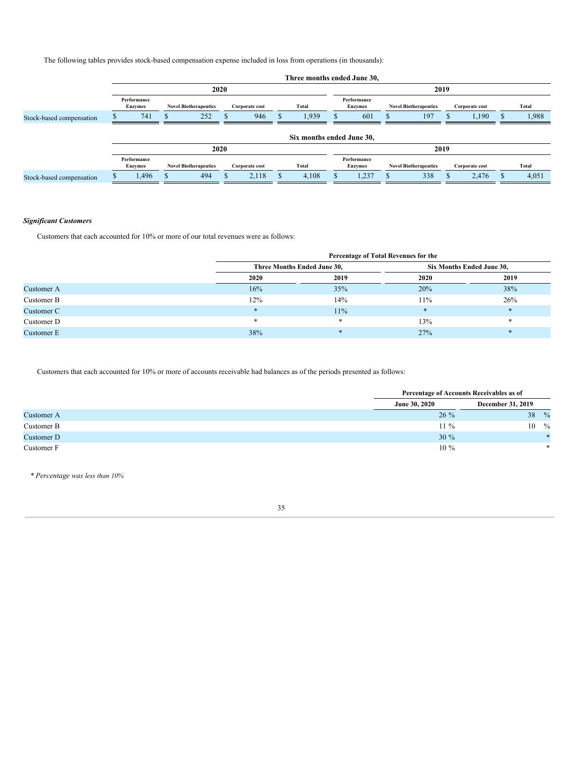The following tables provides stock-based compensation expense included in loss from operations (in thousands):

|                          | Three months ended June 30,   |  |                              |  |                |  |                           |      |                               |  |                              |  |                |  |       |  |  |  |
|--------------------------|-------------------------------|--|------------------------------|--|----------------|--|---------------------------|------|-------------------------------|--|------------------------------|--|----------------|--|-------|--|--|--|
|                          | 2020                          |  |                              |  |                |  |                           |      | 2019                          |  |                              |  |                |  |       |  |  |  |
|                          | Performance<br><b>Enzymes</b> |  | <b>Novel Biotherapeutics</b> |  | Corporate cost |  | Total                     |      | Performance<br><b>Enzymes</b> |  | <b>Novel Biotherapeutics</b> |  | Corporate cost |  | Total |  |  |  |
| Stock-based compensation | 741                           |  | 252                          |  | 946            |  | 1,939                     |      | 601                           |  | 197                          |  | 1,190          |  | 1,988 |  |  |  |
|                          |                               |  |                              |  |                |  | Six months ended June 30, |      |                               |  |                              |  |                |  |       |  |  |  |
|                          |                               |  | 2020                         |  |                |  |                           | 2019 |                               |  |                              |  |                |  |       |  |  |  |
|                          | Performance<br><b>Enzymes</b> |  | <b>Novel Biotherapeutics</b> |  | Corporate cost |  | Total                     |      | Performance<br><b>Enzymes</b> |  | <b>Novel Biotherapeutics</b> |  | Corporate cost |  | Total |  |  |  |
| Stock-based compensation | 1,496                         |  | 494                          |  | 2,118          |  | 4,108                     |      | 1,237                         |  | 338                          |  | 2,476          |  | 4,051 |  |  |  |

## *Significant Customers*

Customers that each accounted for 10% or more of our total revenues were as follows:

|                   | Percentage of Total Revenues for the |      |        |                           |  |  |  |  |  |
|-------------------|--------------------------------------|------|--------|---------------------------|--|--|--|--|--|
|                   | Three Months Ended June 30,          |      |        | Six Months Ended June 30, |  |  |  |  |  |
|                   | 2020                                 | 2019 | 2020   | 2019                      |  |  |  |  |  |
| Customer A        | 16%                                  | 35%  | 20%    | 38%                       |  |  |  |  |  |
| Customer B        | 12%                                  | 14%  | 11%    | 26%                       |  |  |  |  |  |
| Customer C        | $*$                                  | 11%  | $\ast$ | $\ast$                    |  |  |  |  |  |
| Customer D        |                                      | *    | 13%    |                           |  |  |  |  |  |
| <b>Customer E</b> | 38%                                  |      | 27%    |                           |  |  |  |  |  |

Customers that each accounted for 10% or more of accounts receivable had balances as of the periods presented as follows:

|            |                      | Percentage of Accounts Receivables as of |               |
|------------|----------------------|------------------------------------------|---------------|
|            | <b>June 30, 2020</b> | <b>December 31, 2019</b>                 |               |
| Customer A | 26 %                 | 38                                       | $\frac{0}{0}$ |
| Customer B | $11\%$               | 10                                       | $\%$          |
| Customer D | $30\%$               |                                          |               |
| Customer F | $10\%$               |                                          | $\ast$        |

*\* Percentage was less than 10%*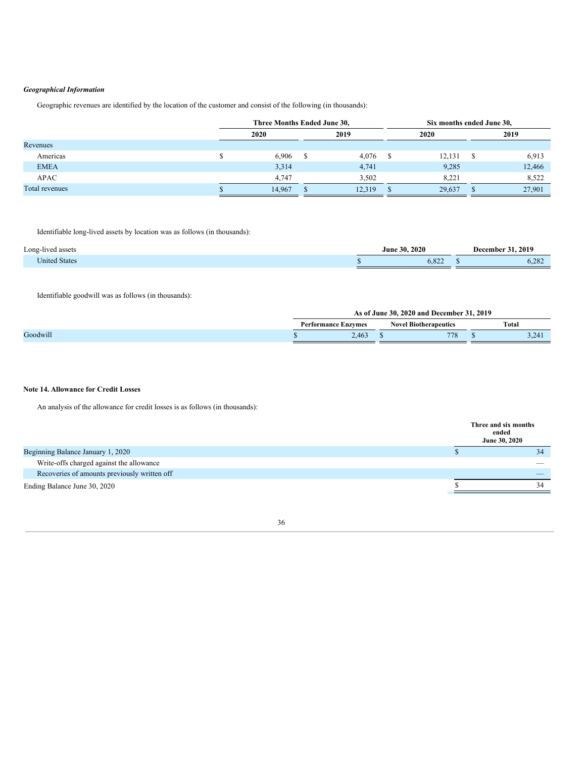## *Geographical Information*

Geographic revenues are identified by the location of the customer and consist of the following (in thousands):

|                | Three Months Ended June 30, |        | Six months ended June 30, |        |  |        |  |
|----------------|-----------------------------|--------|---------------------------|--------|--|--------|--|
|                | 2020                        | 2019   |                           | 2020   |  | 2019   |  |
| Revenues       |                             |        |                           |        |  |        |  |
| Americas       | 6,906                       | 4,076  |                           | 12,131 |  | 6,913  |  |
| <b>EMEA</b>    | 3,314                       | 4,741  |                           | 9,285  |  | 12,466 |  |
| <b>APAC</b>    | 4,747                       | 3,502  |                           | 8,221  |  | 8,522  |  |
| Total revenues | 14,967                      | 12,319 |                           | 29,637 |  | 27,901 |  |

Identifiable long-lived assets by location was as follows (in thousands):

| Long-lived<br>l assets<br>$\sim$ | 2020<br>30.<br>June<br>.           | . 2019<br>l Jecember |
|----------------------------------|------------------------------------|----------------------|
| States<br>ln11                   | $\mathbf{O} \mathbf{O}^t$<br>0.044 | 202<br>0,282         |

Identifiable goodwill was as follows (in thousands):

|          |                            | As of June 30, 2020 and December | 31, 2019 |                              |
|----------|----------------------------|----------------------------------|----------|------------------------------|
|          | <b>Performance Enzymes</b> | <b>Novel Biotherapeutics</b>     |          | Total                        |
| Goodwill | 2,463                      | 770<br>$\sqrt{2}$                |          | $\bigcap$ $\bigcap$<br>3,241 |

## **Note 14. Allowance for Credit Losses**

An analysis of the allowance for credit losses is as follows (in thousands):

|                                              | ended<br><b>June 30, 2020</b> |
|----------------------------------------------|-------------------------------|
| Beginning Balance January 1, 2020            | 34                            |
| Write-offs charged against the allowance     |                               |
| Recoveries of amounts previously written off |                               |
| Ending Balance June 30, 2020                 | 34                            |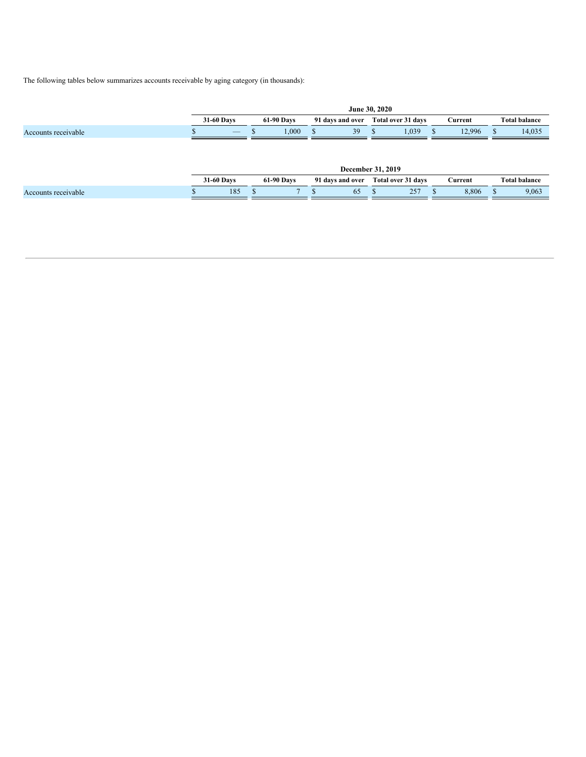The following tables below summarizes accounts receivable by aging category (in thousands):

|                     |                   |                   | June 30, 2020    |                    |                |                      |
|---------------------|-------------------|-------------------|------------------|--------------------|----------------|----------------------|
|                     | <b>31-60 Days</b> | <b>61-90 Days</b> | 91 days and over | Total over 31 days | <b>Current</b> | <b>Total balance</b> |
| Accounts receivable | $-$               | 000.              | 30<br>- -        | .039               | 12,996         | 14,035               |

<span id="page-36-0"></span>

|                     |                   |                   |     | <b>December 31, 2019</b> |                    |         |               |
|---------------------|-------------------|-------------------|-----|--------------------------|--------------------|---------|---------------|
|                     | <b>31-60 Davs</b> | <b>61-90 Days</b> | 01Z | l davs and over          | Total over 31 days | Current | lotal balance |
| Accounts receivable | 185               |                   |     | 65                       | つぐ<br>ر ت          | 8.806   | 9,063         |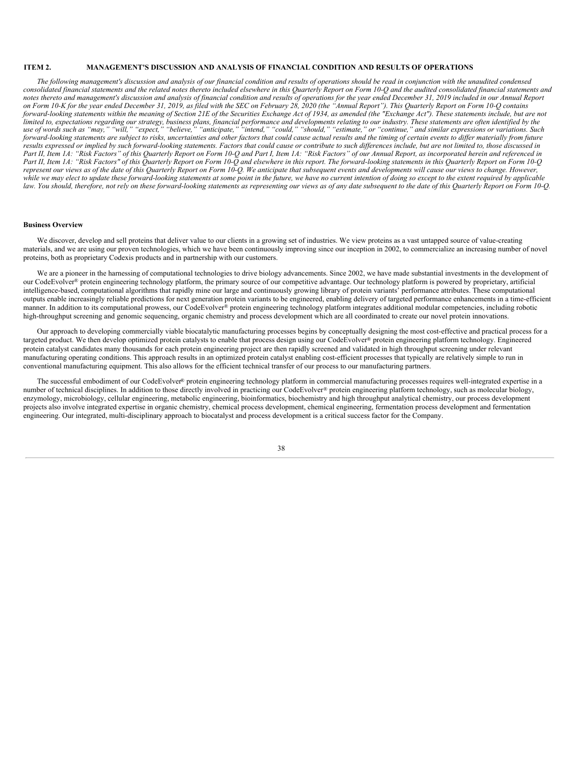### **ITEM 2. MANAGEMENT'S DISCUSSION AND ANALYSIS OF FINANCIAL CONDITION AND RESULTS OF OPERATIONS**

The following management's discussion and analysis of our financial condition and results of operations should be read in conjunction with the unaudited condensed consolidated financial statements and the related notes thereto included elsewhere in this Quarterly Report on Form 10-Q and the audited consolidated financial statements and notes thereto and management's discussion and analysis of financial condition and results of operations for the year ended December 31, 2019 included in our Annual Report on Form 10-K for the year ended December 31, 2019, as filed with the SEC on February 28, 2020 (the "Annual Report"). This Quarterly Report on Form 10-Q contains forward-looking statements within the meaning of Section 21E of the Securities Exchange Act of 1934, as amended (the "Exchange Act"). These statements include, but are not limited to, expectations regarding our strategy, business plans, financial performance and developments relating to our industry. These statements are often identified by the use of words such as "may," "will," "expect," "believe," "anticipate," "intend," "could," "should," "estimate," or "continue," and similar expressions or variations. Such forward-looking statements are subject to risks, uncertainties and other factors that could cause actual results and the timing of certain events to differ materially from future results expressed or implied by such forward-looking statements. Factors that could cause or contribute to such differences include, but are not limited to, those discussed in Part II, Item 1A: "Risk Factors" of this Quarterly Report on Form 10-Q and Part I, Item 1A: "Risk Factors" of our Annual Report, as incorporated herein and referenced in Part II, Item 1A: "Risk Factors" of this Quarterly Report on Form 10-Q and elsewhere in this report. The forward-looking statements in this Quarterly Report on Form 10-Q represent our views as of the date of this Quarterly Report on Form 10-Q. We anticipate that subsequent events and developments will cause our views to change. However, while we may elect to update these forward-looking statements at some point in the future, we have no current intention of doing so except to the extent required by applicable law. You should, therefore, not rely on these forward-looking statements as representing our views as of any date subsequent to the date of this Quarterly Report on Form 10-Q.

### **Business Overview**

We discover, develop and sell proteins that deliver value to our clients in a growing set of industries. We view proteins as a vast untapped source of value-creating materials, and we are using our proven technologies, which we have been continuously improving since our inception in 2002, to commercialize an increasing number of novel proteins, both as proprietary Codexis products and in partnership with our customers.

We are a pioneer in the harnessing of computational technologies to drive biology advancements. Since 2002, we have made substantial investments in the development of our CodeEvolver® protein engineering technology platform, the primary source of our competitive advantage. Our technology platform is powered by proprietary, artificial intelligence-based, computational algorithms that rapidly mine our large and continuously growing library of protein variants' performance attributes. These computational outputs enable increasingly reliable predictions for next generation protein variants to be engineered, enabling delivery of targeted performance enhancements in a time-efficient manner. In addition to its computational prowess, our CodeEvolver<sup>®</sup> protein engineering technology platform integrates additional modular competencies, including robotic high-throughput screening and genomic sequencing, organic chemistry and process development which are all coordinated to create our novel protein innovations.

Our approach to developing commercially viable biocatalytic manufacturing processes begins by conceptually designing the most cost-effective and practical process for a targeted product. We then develop optimized protein catalysts to enable that process design using our CodeEvolver® protein engineering platform technology. Engineered protein catalyst candidates many thousands for each protein engineering project are then rapidly screened and validated in high throughput screening under relevant manufacturing operating conditions. This approach results in an optimized protein catalyst enabling cost-efficient processes that typically are relatively simple to run in conventional manufacturing equipment. This also allows for the efficient technical transfer of our process to our manufacturing partners.

The successful embodiment of our CodeEvolver® protein engineering technology platform in commercial manufacturing processes requires well-integrated expertise in a number of technical disciplines. In addition to those directly involved in practicing our CodeEvolver® protein engineering platform technology, such as molecular biology, enzymology, microbiology, cellular engineering, metabolic engineering, bioinformatics, biochemistry and high throughput analytical chemistry, our process development projects also involve integrated expertise in organic chemistry, chemical process development, chemical engineering, fermentation process development and fermentation engineering. Our integrated, multi-disciplinary approach to biocatalyst and process development is a critical success factor for the Company.

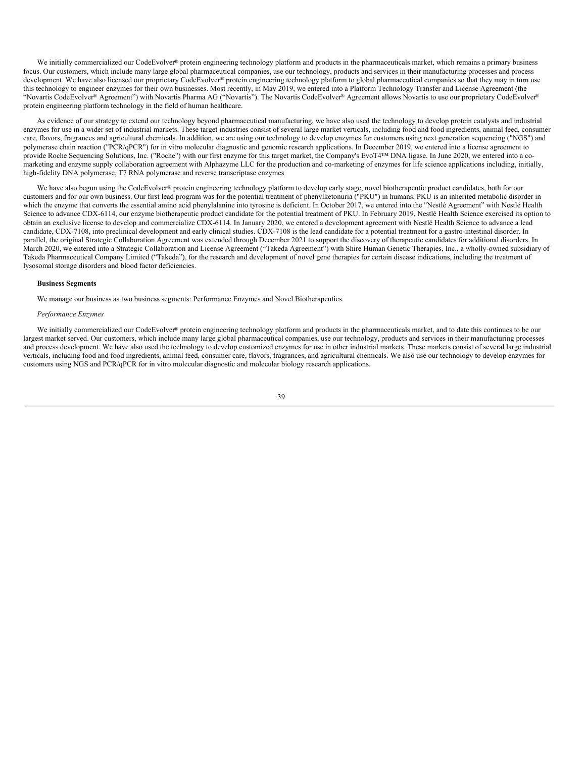We initially commercialized our CodeEvolver® protein engineering technology platform and products in the pharmaceuticals market, which remains a primary business focus. Our customers, which include many large global pharmaceutical companies, use our technology, products and services in their manufacturing processes and process development. We have also licensed our proprietary CodeEvolver® protein engineering technology platform to global pharmaceutical companies so that they may in turn use this technology to engineer enzymes for their own businesses. Most recently, in May 2019, we entered into a Platform Technology Transfer and License Agreement (the "Novartis CodeEvolver® Agreement") with Novartis Pharma AG ("Novartis"). The Novartis CodeEvolver® Agreement allows Novartis to use our proprietary CodeEvolver® protein engineering platform technology in the field of human healthcare.

As evidence of our strategy to extend our technology beyond pharmaceutical manufacturing, we have also used the technology to develop protein catalysts and industrial enzymes for use in a wider set of industrial markets. These target industries consist of several large market verticals, including food and food ingredients, animal feed, consumer care, flavors, fragrances and agricultural chemicals. In addition, we are using our technology to develop enzymes for customers using next generation sequencing ("NGS") and polymerase chain reaction ("PCR/qPCR") for in vitro molecular diagnostic and genomic research applications. In December 2019, we entered into a license agreement to provide Roche Sequencing Solutions, Inc. ("Roche") with our first enzyme for this target market, the Company's EvoT4™ DNA ligase. In June 2020, we entered into a comarketing and enzyme supply collaboration agreement with Alphazyme LLC for the production and co-marketing of enzymes for life science applications including, initially, high-fidelity DNA polymerase, T7 RNA polymerase and reverse transcriptase enzymes

We have also begun using the CodeEvolver® protein engineering technology platform to develop early stage, novel biotherapeutic product candidates, both for our customers and for our own business. Our first lead program was for the potential treatment of phenylketonuria ("PKU") in humans. PKU is an inherited metabolic disorder in which the enzyme that converts the essential amino acid phenylalanine into tyrosine is deficient. In October 2017, we entered into the "Nestlé Agreement" with Nestlé Health Science to advance CDX-6114, our enzyme biotherapeutic product candidate for the potential treatment of PKU. In February 2019, Nestlé Health Science exercised its option to obtain an exclusive license to develop and commercialize CDX-6114. In January 2020, we entered a development agreement with Nestlé Health Science to advance a lead candidate, CDX-7108, into preclinical development and early clinical studies. CDX-7108 is the lead candidate for a potential treatment for a gastro-intestinal disorder. In parallel, the original Strategic Collaboration Agreement was extended through December 2021 to support the discovery of therapeutic candidates for additional disorders. In March 2020, we entered into a Strategic Collaboration and License Agreement ("Takeda Agreement") with Shire Human Genetic Therapies, Inc., a wholly-owned subsidiary of Takeda Pharmaceutical Company Limited ("Takeda"), for the research and development of novel gene therapies for certain disease indications, including the treatment of lysosomal storage disorders and blood factor deficiencies.

#### **Business Segments**

We manage our business as two business segments: Performance Enzymes and Novel Biotherapeutics.

#### *Performance Enzymes*

We initially commercialized our CodeEvolver® protein engineering technology platform and products in the pharmaceuticals market, and to date this continues to be our largest market served. Our customers, which include many large global pharmaceutical companies, use our technology, products and services in their manufacturing processes and process development. We have also used the technology to develop customized enzymes for use in other industrial markets. These markets consist of several large industrial verticals, including food and food ingredients, animal feed, consumer care, flavors, fragrances, and agricultural chemicals. We also use our technology to develop enzymes for customers using NGS and PCR/qPCR for in vitro molecular diagnostic and molecular biology research applications.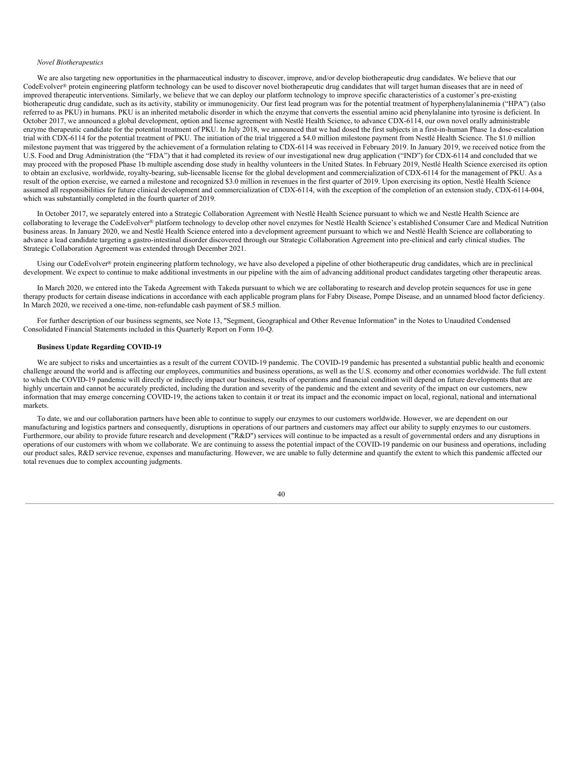### *Novel Biotherapeutics*

We are also targeting new opportunities in the pharmaceutical industry to discover, improve, and/or develop biotherapeutic drug candidates. We believe that our CodeEvolver® protein engineering platform technology can be used to discover novel biotherapeutic drug candidates that will target human diseases that are in need of improved therapeutic interventions. Similarly, we believe that we can deploy our platform technology to improve specific characteristics of a customer's pre-existing biotherapeutic drug candidate, such as its activity, stability or immunogenicity. Our first lead program was for the potential treatment of hyperphenylalaninemia ("HPA") (also referred to as PKU) in humans. PKU is an inherited metabolic disorder in which the enzyme that converts the essential amino acid phenylalanine into tyrosine is deficient. In October 2017, we announced a global development, option and license agreement with Nestlé Health Science, to advance CDX-6114, our own novel orally administrable enzyme therapeutic candidate for the potential treatment of PKU. In July 2018, we announced that we had dosed the first subjects in a first-in-human Phase 1a dose-escalation trial with CDX-6114 for the potential treatment of PKU. The initiation of the trial triggered a \$4.0 million milestone payment from Nestlé Health Science. The \$1.0 million milestone payment that was triggered by the achievement of a formulation relating to CDX-6114 was received in February 2019. In January 2019, we received notice from the U.S. Food and Drug Administration (the "FDA") that it had completed its review of our investigational new drug application ("IND") for CDX-6114 and concluded that we may proceed with the proposed Phase 1b multiple ascending dose study in healthy volunteers in the United States. In February 2019, Nestlé Health Science exercised its option to obtain an exclusive, worldwide, royalty-bearing, sub-licensable license for the global development and commercialization of CDX-6114 for the management of PKU. As a result of the option exercise, we earned a milestone and recognized \$3.0 million in revenues in the first quarter of 2019. Upon exercising its option, Nestlé Health Science assumed all responsibilities for future clinical development and commercialization of CDX-6114, with the exception of the completion of an extension study, CDX-6114-004, which was substantially completed in the fourth quarter of 2019.

In October 2017, we separately entered into a Strategic Collaboration Agreement with Nestlé Health Science pursuant to which we and Nestlé Health Science are collaborating to leverage the CodeEvolver® platform technology to develop other novel enzymes for Nestlé Health Science's established Consumer Care and Medical Nutrition business areas. In January 2020, we and Nestlé Health Science entered into a development agreement pursuant to which we and Nestlé Health Science are collaborating to advance a lead candidate targeting a gastro-intestinal disorder discovered through our Strategic Collaboration Agreement into pre-clinical and early clinical studies. The Strategic Collaboration Agreement was extended through December 2021.

Using our CodeEvolver® protein engineering platform technology, we have also developed a pipeline of other biotherapeutic drug candidates, which are in preclinical development. We expect to continue to make additional investments in our pipeline with the aim of advancing additional product candidates targeting other therapeutic areas.

In March 2020, we entered into the Takeda Agreement with Takeda pursuant to which we are collaborating to research and develop protein sequences for use in gene therapy products for certain disease indications in accordance with each applicable program plans for Fabry Disease, Pompe Disease, and an unnamed blood factor deficiency. In March 2020, we received a one-time, non-refundable cash payment of \$8.5 million.

For further description of our business segments, see Note 13, "Segment, Geographical and Other Revenue Information" in the Notes to Unaudited Condensed Consolidated Financial Statements included in this Quarterly Report on Form 10-Q.

### **Business Update Regarding COVID-19**

We are subject to risks and uncertainties as a result of the current COVID-19 pandemic. The COVID-19 pandemic has presented a substantial public health and economic challenge around the world and is affecting our employees, communities and business operations, as well as the U.S. economy and other economies worldwide. The full extent to which the COVID-19 pandemic will directly or indirectly impact our business, results of operations and financial condition will depend on future developments that are highly uncertain and cannot be accurately predicted, including the duration and severity of the pandemic and the extent and severity of the impact on our customers, new information that may emerge concerning COVID-19, the actions taken to contain it or treat its impact and the economic impact on local, regional, national and international markets.

To date, we and our collaboration partners have been able to continue to supply our enzymes to our customers worldwide. However, we are dependent on our manufacturing and logistics partners and consequently, disruptions in operations of our partners and customers may affect our ability to supply enzymes to our customers. Furthermore, our ability to provide future research and development ("R&D") services will continue to be impacted as a result of governmental orders and any disruptions in operations of our customers with whom we collaborate. We are continuing to assess the potential impact of the COVID-19 pandemic on our business and operations, including our product sales, R&D service revenue, expenses and manufacturing. However, we are unable to fully determine and quantify the extent to which this pandemic affected our total revenues due to complex accounting judgments.

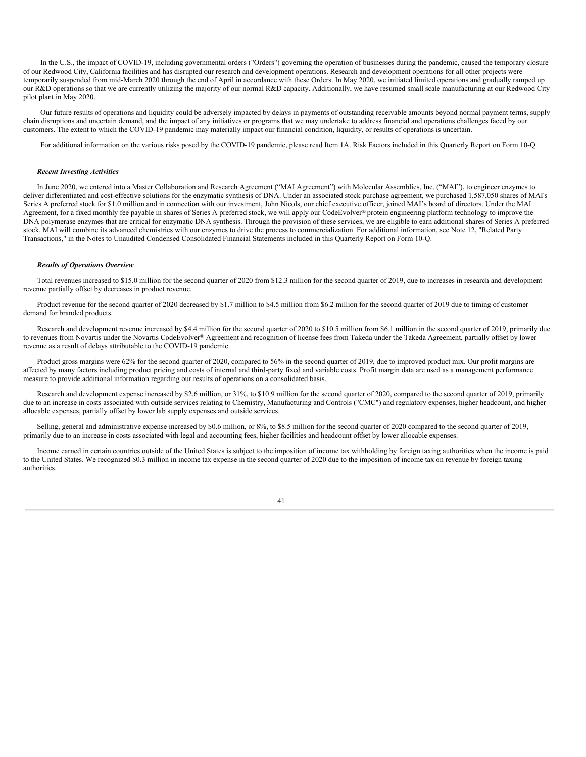In the U.S., the impact of COVID-19, including governmental orders ("Orders") governing the operation of businesses during the pandemic, caused the temporary closure of our Redwood City, California facilities and has disrupted our research and development operations. Research and development operations for all other projects were temporarily suspended from mid-March 2020 through the end of April in accordance with these Orders. In May 2020, we initiated limited operations and gradually ramped up our R&D operations so that we are currently utilizing the majority of our normal R&D capacity. Additionally, we have resumed small scale manufacturing at our Redwood City pilot plant in May 2020.

Our future results of operations and liquidity could be adversely impacted by delays in payments of outstanding receivable amounts beyond normal payment terms, supply chain disruptions and uncertain demand, and the impact of any initiatives or programs that we may undertake to address financial and operations challenges faced by our customers. The extent to which the COVID-19 pandemic may materially impact our financial condition, liquidity, or results of operations is uncertain.

For additional information on the various risks posed by the COVID-19 pandemic, please read Item 1A. Risk Factors included in this Quarterly Report on Form 10-Q.

### *Recent Investing Activities*

In June 2020, we entered into a Master Collaboration and Research Agreement ("MAI Agreement") with Molecular Assemblies, Inc. ("MAI"), to engineer enzymes to deliver differentiated and cost-effective solutions for the enzymatic synthesis of DNA. Under an associated stock purchase agreement, we purchased 1,587,050 shares of MAI's Series A preferred stock for \$1.0 million and in connection with our investment, John Nicols, our chief executive officer, joined MAI's board of directors. Under the MAI Agreement, for a fixed monthly fee payable in shares of Series A preferred stock, we will apply our CodeEvolver® protein engineering platform technology to improve the DNA polymerase enzymes that are critical for enzymatic DNA synthesis. Through the provision of these services, we are eligible to earn additional shares of Series A preferred stock. MAI will combine its advanced chemistries with our enzymes to drive the process to commercialization. For additional information, see Note 12, "Related Party Transactions," in the Notes to Unaudited Condensed Consolidated Financial Statements included in this Quarterly Report on Form 10-Q.

#### *Results of Operations Overview*

Total revenues increased to \$15.0 million for the second quarter of 2020 from \$12.3 million for the second quarter of 2019, due to increases in research and development revenue partially offset by decreases in product revenue.

Product revenue for the second quarter of 2020 decreased by \$1.7 million to \$4.5 million from \$6.2 million for the second quarter of 2019 due to timing of customer demand for branded products.

Research and development revenue increased by \$4.4 million for the second quarter of 2020 to \$10.5 million from \$6.1 million in the second quarter of 2019, primarily due to revenues from Novartis under the Novartis CodeEvolver® Agreement and recognition of license fees from Takeda under the Takeda Agreement, partially offset by lower revenue as a result of delays attributable to the COVID-19 pandemic.

Product gross margins were 62% for the second quarter of 2020, compared to 56% in the second quarter of 2019, due to improved product mix. Our profit margins are affected by many factors including product pricing and costs of internal and third-party fixed and variable costs. Profit margin data are used as a management performance measure to provide additional information regarding our results of operations on a consolidated basis.

Research and development expense increased by \$2.6 million, or 31%, to \$10.9 million for the second quarter of 2020, compared to the second quarter of 2019, primarily due to an increase in costs associated with outside services relating to Chemistry, Manufacturing and Controls ("CMC") and regulatory expenses, higher headcount, and higher allocable expenses, partially offset by lower lab supply expenses and outside services.

Selling, general and administrative expense increased by \$0.6 million, or 8%, to \$8.5 million for the second quarter of 2020 compared to the second quarter of 2019, primarily due to an increase in costs associated with legal and accounting fees, higher facilities and headcount offset by lower allocable expenses.

Income earned in certain countries outside of the United States is subject to the imposition of income tax withholding by foreign taxing authorities when the income is paid to the United States. We recognized \$0.3 million in income tax expense in the second quarter of 2020 due to the imposition of income tax on revenue by foreign taxing authorities.

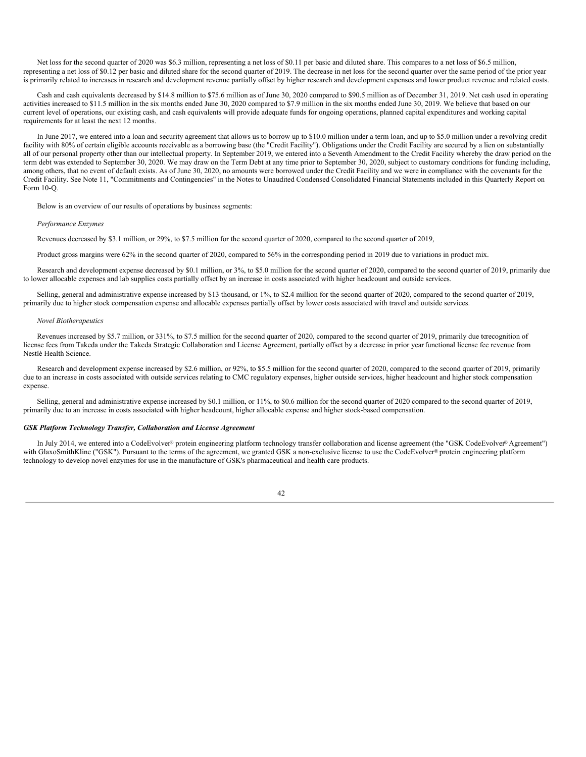Net loss for the second quarter of 2020 was \$6.3 million, representing a net loss of \$0.11 per basic and diluted share. This compares to a net loss of \$6.5 million, representing a net loss of \$0.12 per basic and diluted share for the second quarter of 2019. The decrease in net loss for the second quarter over the same period of the prior year is primarily related to increases in research and development revenue partially offset by higher research and development expenses and lower product revenue and related costs.

Cash and cash equivalents decreased by \$14.8 million to \$75.6 million as of June 30, 2020 compared to \$90.5 million as of December 31, 2019. Net cash used in operating activities increased to \$11.5 million in the six months ended June 30, 2020 compared to \$7.9 million in the six months ended June 30, 2019. We believe that based on our current level of operations, our existing cash, and cash equivalents will provide adequate funds for ongoing operations, planned capital expenditures and working capital requirements for at least the next 12 months.

In June 2017, we entered into a loan and security agreement that allows us to borrow up to \$10.0 million under a term loan, and up to \$5.0 million under a revolving credit facility with 80% of certain eligible accounts receivable as a borrowing base (the "Credit Facility"). Obligations under the Credit Facility are secured by a lien on substantially all of our personal property other than our intellectual property. In September 2019, we entered into a Seventh Amendment to the Credit Facility whereby the draw period on the term debt was extended to September 30, 2020. We may draw on the Term Debt at any time prior to September 30, 2020, subject to customary conditions for funding including, among others, that no event of default exists. As of June 30, 2020, no amounts were borrowed under the Credit Facility and we were in compliance with the covenants for the Credit Facility. See Note 11, "Commitments and Contingencies" in the Notes to Unaudited Condensed Consolidated Financial Statements included in this Quarterly Report on Form 10-Q.

Below is an overview of our results of operations by business segments:

#### *Performance Enzymes*

Revenues decreased by \$3.1 million, or 29%, to \$7.5 million for the second quarter of 2020, compared to the second quarter of 2019,

Product gross margins were 62% in the second quarter of 2020, compared to 56% in the corresponding period in 2019 due to variations in product mix.

Research and development expense decreased by \$0.1 million, or 3%, to \$5.0 million for the second quarter of 2020, compared to the second quarter of 2019, primarily due to lower allocable expenses and lab supplies costs partially offset by an increase in costs associated with higher headcount and outside services.

Selling, general and administrative expense increased by \$13 thousand, or 1%, to \$2.4 million for the second quarter of 2020, compared to the second quarter of 2019, primarily due to higher stock compensation expense and allocable expenses partially offset by lower costs associated with travel and outside services.

#### *Novel Biotherapeutics*

Revenues increased by \$5.7 million, or 331%, to \$7.5 million for the second quarter of 2020, compared to the second quarter of 2019, primarily due torecognition of license fees from Takeda under the Takeda Strategic Collaboration and License Agreement, partially offset by a decrease in prior yearfunctional license fee revenue from Nestlé Health Science.

Research and development expense increased by \$2.6 million, or 92%, to \$5.5 million for the second quarter of 2020, compared to the second quarter of 2019, primarily due to an increase in costs associated with outside services relating to CMC regulatory expenses, higher outside services, higher headcount and higher stock compensation expense.

Selling, general and administrative expense increased by \$0.1 million, or 11%, to \$0.6 million for the second quarter of 2020 compared to the second quarter of 2019, primarily due to an increase in costs associated with higher headcount, higher allocable expense and higher stock-based compensation.

#### *GSK Platform Technology Transfer, Collaboration and License Agreement*

In July 2014, we entered into a CodeEvolver® protein engineering platform technology transfer collaboration and license agreement (the "GSK CodeEvolver® Agreement") with GlaxoSmithKline ("GSK"). Pursuant to the terms of the agreement, we granted GSK a non-exclusive license to use the CodeEvolver® protein engineering platform technology to develop novel enzymes for use in the manufacture of GSK's pharmaceutical and health care products.

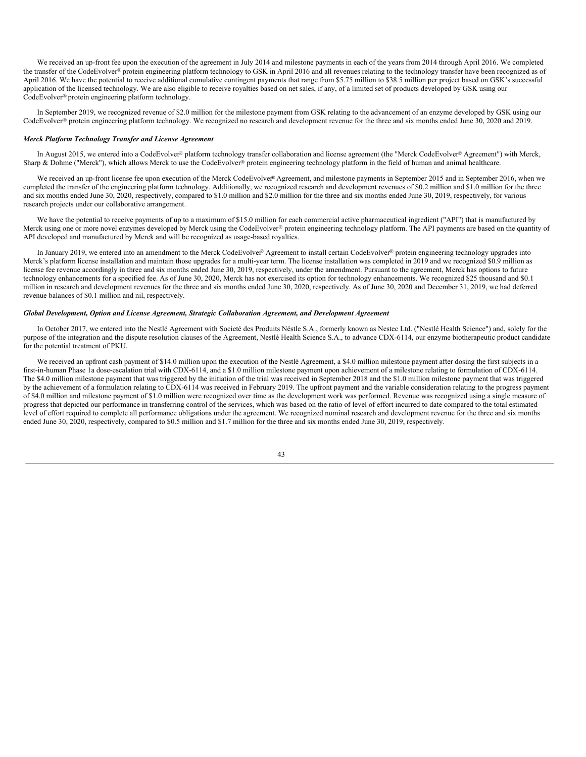We received an up-front fee upon the execution of the agreement in July 2014 and milestone payments in each of the years from 2014 through April 2016. We completed the transfer of the CodeEvolver® protein engineering platform technology to GSK in April 2016 and all revenues relating to the technology transfer have been recognized as of April 2016. We have the potential to receive additional cumulative contingent payments that range from \$5.75 million to \$38.5 million per project based on GSK's successful application of the licensed technology. We are also eligible to receive royalties based on net sales, if any, of a limited set of products developed by GSK using our CodeEvolver® protein engineering platform technology.

In September 2019, we recognized revenue of \$2.0 million for the milestone payment from GSK relating to the advancement of an enzyme developed by GSK using our CodeEvolver® protein engineering platform technology. We recognized no research and development revenue for the three and six months ended June 30, 2020 and 2019.

#### *Merck Platform Technology Transfer and License Agreement*

In August 2015, we entered into a CodeEvolver® platform technology transfer collaboration and license agreement (the "Merck CodeEvolver® Agreement") with Merck, Sharp & Dohme ("Merck"), which allows Merck to use the CodeEvolver® protein engineering technology platform in the field of human and animal healthcare.

We received an up-front license fee upon execution of the Merck CodeEvolver® Agreement, and milestone payments in September 2015 and in September 2016, when we completed the transfer of the engineering platform technology. Additionally, we recognized research and development revenues of \$0.2 million and \$1.0 million for the three and six months ended June 30, 2020, respectively, compared to \$1.0 million and \$2.0 million for the three and six months ended June 30, 2019, respectively, for various research projects under our collaborative arrangement.

We have the potential to receive payments of up to a maximum of \$15.0 million for each commercial active pharmaceutical ingredient ("API") that is manufactured by Merck using one or more novel enzymes developed by Merck using the CodeEvolver<sup>®</sup> protein engineering technology platform. The API payments are based on the quantity of API developed and manufactured by Merck and will be recognized as usage-based royalties.

In January 2019, we entered into an amendment to the Merck CodeEvolver® Agreement to install certain CodeEvolver® protein engineering technology upgrades into Merck's platform license installation and maintain those upgrades for a multi-year term. The license installation was completed in 2019 and we recognized \$0.9 million as license fee revenue accordingly in three and six months ended June 30, 2019, respectively, under the amendment. Pursuant to the agreement, Merck has options to future technology enhancements for a specified fee. As of June 30, 2020, Merck has not exercised its option for technology enhancements. We recognized \$25 thousand and \$0.1 million in research and development revenues for the three and six months ended June 30, 2020, respectively. As of June 30, 2020 and December 31, 2019, we had deferred revenue balances of \$0.1 million and nil, respectively.

#### *Global Development, Option and License Agreement, Strategic Collaboration Agreement, and Development Agreement*

In October 2017, we entered into the Nestlé Agreement with Societé des Produits Néstle S.A., formerly known as Nestec Ltd. ("Nestlé Health Science") and, solely for the purpose of the integration and the dispute resolution clauses of the Agreement, Nestlé Health Science S.A., to advance CDX-6114, our enzyme biotherapeutic product candidate for the potential treatment of PKU.

We received an upfront cash payment of \$14.0 million upon the execution of the Nestlé Agreement, a \$4.0 million milestone payment after dosing the first subjects in a first-in-human Phase 1a dose-escalation trial with CDX-6114, and a \$1.0 million milestone payment upon achievement of a milestone relating to formulation of CDX-6114. The \$4.0 million milestone payment that was triggered by the initiation of the trial was received in September 2018 and the \$1.0 million milestone payment that was triggered by the achievement of a formulation relating to CDX-6114 was received in February 2019. The upfront payment and the variable consideration relating to the progress payment of \$4.0 million and milestone payment of \$1.0 million were recognized over time as the development work was performed. Revenue was recognized using a single measure of progress that depicted our performance in transferring control of the services, which was based on the ratio of level of effort incurred to date compared to the total estimated level of effort required to complete all performance obligations under the agreement. We recognized nominal research and development revenue for the three and six months ended June 30, 2020, respectively, compared to \$0.5 million and \$1.7 million for the three and six months ended June 30, 2019, respectively.

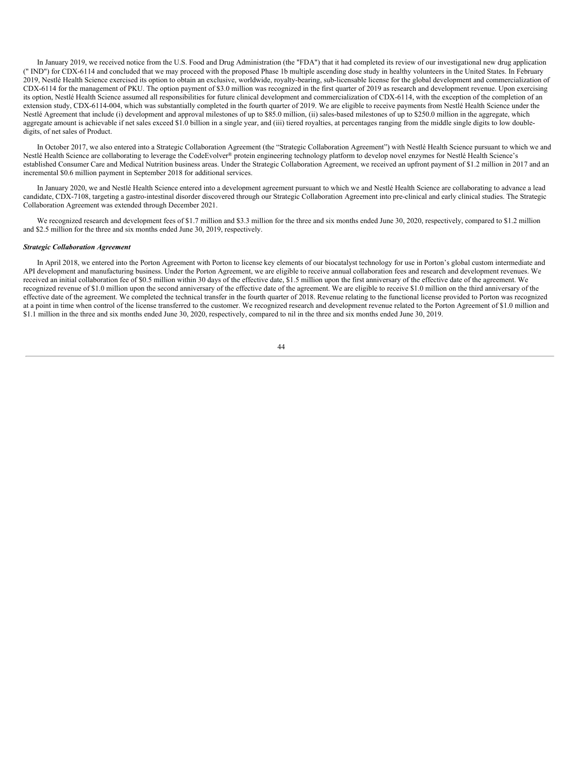In January 2019, we received notice from the U.S. Food and Drug Administration (the "FDA") that it had completed its review of our investigational new drug application (" IND") for CDX-6114 and concluded that we may proceed with the proposed Phase 1b multiple ascending dose study in healthy volunteers in the United States. In February 2019, Nestlé Health Science exercised its option to obtain an exclusive, worldwide, royalty-bearing, sub-licensable license for the global development and commercialization of CDX-6114 for the management of PKU. The option payment of \$3.0 million was recognized in the first quarter of 2019 as research and development revenue. Upon exercising its option, Nestlé Health Science assumed all responsibilities for future clinical development and commercialization of CDX-6114, with the exception of the completion of an extension study, CDX-6114-004, which was substantially completed in the fourth quarter of 2019. We are eligible to receive payments from Nestlé Health Science under the Nestlé Agreement that include (i) development and approval milestones of up to \$85.0 million, (ii) sales-based milestones of up to \$250.0 million in the aggregate, which aggregate amount is achievable if net sales exceed \$1.0 billion in a single year, and (iii) tiered royalties, at percentages ranging from the middle single digits to low doubledigits, of net sales of Product.

In October 2017, we also entered into a Strategic Collaboration Agreement (the "Strategic Collaboration Agreement") with Nestlé Health Science pursuant to which we and Nestlé Health Science are collaborating to leverage the CodeEvolver® protein engineering technology platform to develop novel enzymes for Nestlé Health Science's established Consumer Care and Medical Nutrition business areas. Under the Strategic Collaboration Agreement, we received an upfront payment of \$1.2 million in 2017 and an incremental \$0.6 million payment in September 2018 for additional services.

In January 2020, we and Nestlé Health Science entered into a development agreement pursuant to which we and Nestlé Health Science are collaborating to advance a lead candidate, CDX-7108, targeting a gastro-intestinal disorder discovered through our Strategic Collaboration Agreement into pre-clinical and early clinical studies. The Strategic Collaboration Agreement was extended through December 2021.

We recognized research and development fees of \$1.7 million and \$3.3 million for the three and six months ended June 30, 2020, respectively, compared to \$1.2 million and \$2.5 million for the three and six months ended June 30, 2019, respectively.

### *Strategic Collaboration Agreement*

In April 2018, we entered into the Porton Agreement with Porton to license key elements of our biocatalyst technology for use in Porton's global custom intermediate and API development and manufacturing business. Under the Porton Agreement, we are eligible to receive annual collaboration fees and research and development revenues. We received an initial collaboration fee of \$0.5 million within 30 days of the effective date, \$1.5 million upon the first anniversary of the effective date of the agreement. We recognized revenue of \$1.0 million upon the second anniversary of the effective date of the agreement. We are eligible to receive \$1.0 million on the third anniversary of the effective date of the agreement. We completed the technical transfer in the fourth quarter of 2018. Revenue relating to the functional license provided to Porton was recognized at a point in time when control of the license transferred to the customer. We recognized research and development revenue related to the Porton Agreement of \$1.0 million and \$1.1 million in the three and six months ended June 30, 2020, respectively, compared to nil in the three and six months ended June 30, 2019.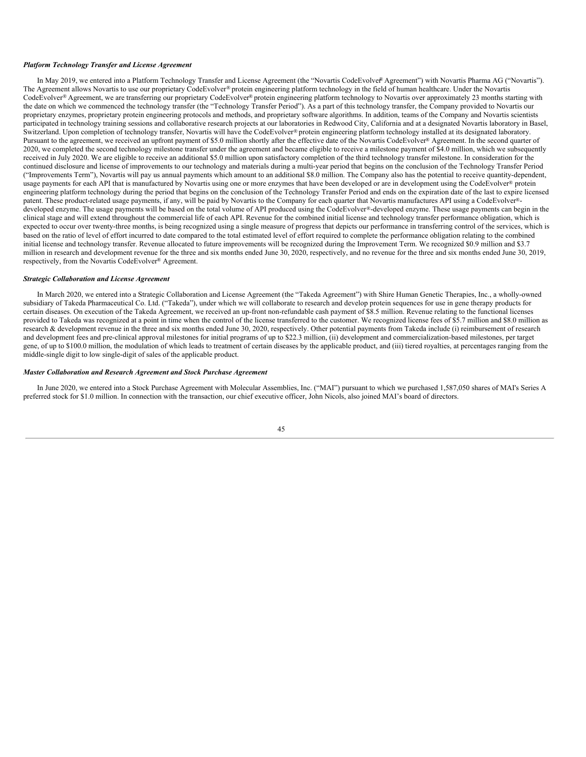#### *Platform Technology Transfer and License Agreement*

In May 2019, we entered into a Platform Technology Transfer and License Agreement (the "Novartis CodeEvolver® Agreement") with Novartis Pharma AG ("Novartis"). The Agreement allows Novartis to use our proprietary CodeEvolver® protein engineering platform technology in the field of human healthcare. Under the Novartis CodeEvolver® Agreement, we are transferring our proprietary CodeEvolver® protein engineering platform technology to Novartis over approximately 23 months starting with the date on which we commenced the technology transfer (the "Technology Transfer Period"). As a part of this technology transfer, the Company provided to Novartis our proprietary enzymes, proprietary protein engineering protocols and methods, and proprietary software algorithms. In addition, teams of the Company and Novartis scientists participated in technology training sessions and collaborative research projects at our laboratories in Redwood City, California and at a designated Novartis laboratory in Basel, Switzerland. Upon completion of technology transfer, Novartis will have the CodeEvolver® protein engineering platform technology installed at its designated laboratory. Pursuant to the agreement, we received an upfront payment of \$5.0 million shortly after the effective date of the Novartis CodeEvolver® Agreement. In the second quarter of 2020, we completed the second technology milestone transfer under the agreement and became eligible to receive a milestone payment of \$4.0 million, which we subsequently received in July 2020. We are eligible to receive an additional \$5.0 million upon satisfactory completion of the third technology transfer milestone. In consideration for the continued disclosure and license of improvements to our technology and materials during a multi-year period that begins on the conclusion of the Technology Transfer Period ("Improvements Term"), Novartis will pay us annual payments which amount to an additional \$8.0 million. The Company also has the potential to receive quantity-dependent, usage payments for each API that is manufactured by Novartis using one or more enzymes that have been developed or are in development using the CodeEvolver® protein engineering platform technology during the period that begins on the conclusion of the Technology Transfer Period and ends on the expiration date of the last to expire licensed patent. These product-related usage payments, if any, will be paid by Novartis to the Company for each quarter that Novartis manufactures API using a CodeEvolver®developed enzyme. The usage payments will be based on the total volume of API produced using the CodeEvolver®-developed enzyme. These usage payments can begin in the clinical stage and will extend throughout the commercial life of each API. Revenue for the combined initial license and technology transfer performance obligation, which is expected to occur over twenty-three months, is being recognized using a single measure of progress that depicts our performance in transferring control of the services, which is based on the ratio of level of effort incurred to date compared to the total estimated level of effort required to complete the performance obligation relating to the combined initial license and technology transfer. Revenue allocated to future improvements will be recognized during the Improvement Term. We recognized \$0.9 million and \$3.7 million in research and development revenue for the three and six months ended June 30, 2020, respectively, and no revenue for the three and six months ended June 30, 2019, respectively, from the Novartis CodeEvolver® Agreement.

### *Strategic Collaboration and License Agreement*

In March 2020, we entered into a Strategic Collaboration and License Agreement (the "Takeda Agreement") with Shire Human Genetic Therapies, Inc., a wholly-owned subsidiary of Takeda Pharmaceutical Co. Ltd. ("Takeda"), under which we will collaborate to research and develop protein sequences for use in gene therapy products for certain diseases. On execution of the Takeda Agreement, we received an up-front non-refundable cash payment of \$8.5 million. Revenue relating to the functional licenses provided to Takeda was recognized at a point in time when the control of the license transferred to the customer. We recognized license fees of \$5.7 million and \$8.0 million as research & development revenue in the three and six months ended June 30, 2020, respectively. Other potential payments from Takeda include (i) reimbursement of research and development fees and pre-clinical approval milestones for initial programs of up to \$22.3 million, (ii) development and commercialization-based milestones, per target gene, of up to \$100.0 million, the modulation of which leads to treatment of certain diseases by the applicable product, and (iii) tiered royalties, at percentages ranging from the middle-single digit to low single-digit of sales of the applicable product.

### *Master Collaboration and Research Agreement and Stock Purchase Agreement*

In June 2020, we entered into a Stock Purchase Agreement with Molecular Assemblies, Inc. ("MAI") pursuant to which we purchased 1,587,050 shares of MAI's Series A preferred stock for \$1.0 million. In connection with the transaction, our chief executive officer, John Nicols, also joined MAI's board of directors.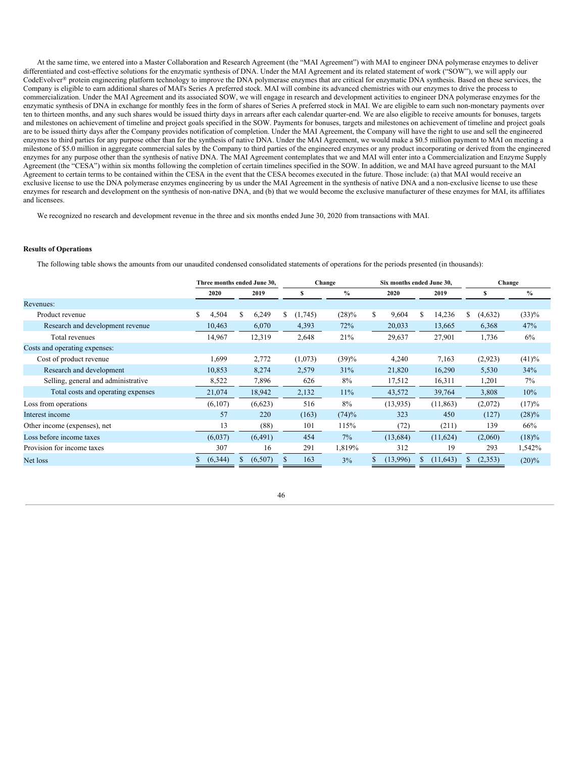At the same time, we entered into a Master Collaboration and Research Agreement (the "MAI Agreement") with MAI to engineer DNA polymerase enzymes to deliver differentiated and cost-effective solutions for the enzymatic synthesis of DNA. Under the MAI Agreement and its related statement of work ("SOW"), we will apply our CodeEvolver® protein engineering platform technology to improve the DNA polymerase enzymes that are critical for enzymatic DNA synthesis. Based on these services, the Company is eligible to earn additional shares of MAI's Series A preferred stock. MAI will combine its advanced chemistries with our enzymes to drive the process to commercialization. Under the MAI Agreement and its associated SOW, we will engage in research and development activities to engineer DNA polymerase enzymes for the enzymatic synthesis of DNA in exchange for monthly fees in the form of shares of Series A preferred stock in MAI. We are eligible to earn such non-monetary payments over ten to thirteen months, and any such shares would be issued thirty days in arrears after each calendar quarter-end. We are also eligible to receive amounts for bonuses, targets and milestones on achievement of timeline and project goals specified in the SOW. Payments for bonuses, targets and milestones on achievement of timeline and project goals are to be issued thirty days after the Company provides notification of completion. Under the MAI Agreement, the Company will have the right to use and sell the engineered enzymes to third parties for any purpose other than for the synthesis of native DNA. Under the MAI Agreement, we would make a \$0.5 million payment to MAI on meeting a milestone of \$5.0 million in aggregate commercial sales by the Company to third parties of the engineered enzymes or any product incorporating or derived from the engineered enzymes for any purpose other than the synthesis of native DNA. The MAI Agreement contemplates that we and MAI will enter into a Commercialization and Enzyme Supply Agreement (the "CESA") within six months following the completion of certain timelines specified in the SOW. In addition, we and MAI have agreed pursuant to the MAI Agreement to certain terms to be contained within the CESA in the event that the CESA becomes executed in the future. Those include: (a) that MAI would receive an exclusive license to use the DNA polymerase enzymes engineering by us under the MAI Agreement in the synthesis of native DNA and a non-exclusive license to use these enzymes for research and development on the synthesis of non-native DNA, and (b) that we would become the exclusive manufacturer of these enzymes for MAI, its affiliates and licensees.

We recognized no research and development revenue in the three and six months ended June 30, 2020 from transactions with MAI.

#### **Results of Operations**

The following table shows the amounts from our unaudited condensed consolidated statements of operations for the periods presented (in thousands):

|                                     | Three months ended June 30, |               |    |               | Change   | Six months ended June 30, |              |     |          | Change        |
|-------------------------------------|-----------------------------|---------------|----|---------------|----------|---------------------------|--------------|-----|----------|---------------|
|                                     | 2020                        | 2019          |    | s             | $\%$     | 2020                      | 2019         |     | S        | $\frac{6}{6}$ |
| Revenues:                           |                             |               |    |               |          |                           |              |     |          |               |
| Product revenue                     | S.<br>4,504                 | S<br>6,249    |    | \$<br>(1,745) | $(28)\%$ | \$<br>9,604               | \$<br>14,236 | S   | (4,632)  | (33)%         |
| Research and development revenue    | 10,463                      | 6,070         |    | 4,393         | 72%      | 20,033                    | 13,665       |     | 6,368    | 47%           |
| Total revenues                      | 14,967                      | 12,319        |    | 2,648         | 21%      | 29,637                    | 27,901       |     | 1,736    | 6%            |
| Costs and operating expenses:       |                             |               |    |               |          |                           |              |     |          |               |
| Cost of product revenue             | 1,699                       | 2,772         |    | (1,073)       | (39)%    | 4,240                     | 7,163        |     | (2,923)  | (41)%         |
| Research and development            | 10,853                      | 8,274         |    | 2,579         | 31%      | 21,820                    | 16,290       |     | 5,530    | 34%           |
| Selling, general and administrative | 8,522                       | 7,896         |    | 626           | 8%       | 17,512                    | 16,311       |     | 1,201    | 7%            |
| Total costs and operating expenses  | 21,074                      | 18,942        |    | 2,132         | $11\%$   | 43,572                    | 39,764       |     | 3,808    | 10%           |
| Loss from operations                | (6,107)                     | (6,623)       |    | 516           | 8%       | (13,935)                  | (11, 863)    |     | (2,072)  | (17)%         |
| Interest income                     | 57                          | 220           |    | (163)         | (74)%    | 323                       | 450          |     | (127)    | $(28)\%$      |
| Other income (expenses), net        | 13                          | (88)          |    | 101           | 115%     | (72)                      | (211)        |     | 139      | 66%           |
| Loss before income taxes            | (6,037)                     | (6, 491)      |    | 454           | 7%       | (13,684)                  | (11,624)     |     | (2,060)  | $(18)\%$      |
| Provision for income taxes          | 307                         |               | 16 | 291           | 1,819%   | 312                       | 19           |     | 293      | 1,542%        |
| Net loss                            | (6, 344)                    | (6,507)<br>\$ |    | 163           | 3%       | (13,996)                  | (11,643)     | \$. | (2, 353) | $(20)\%$      |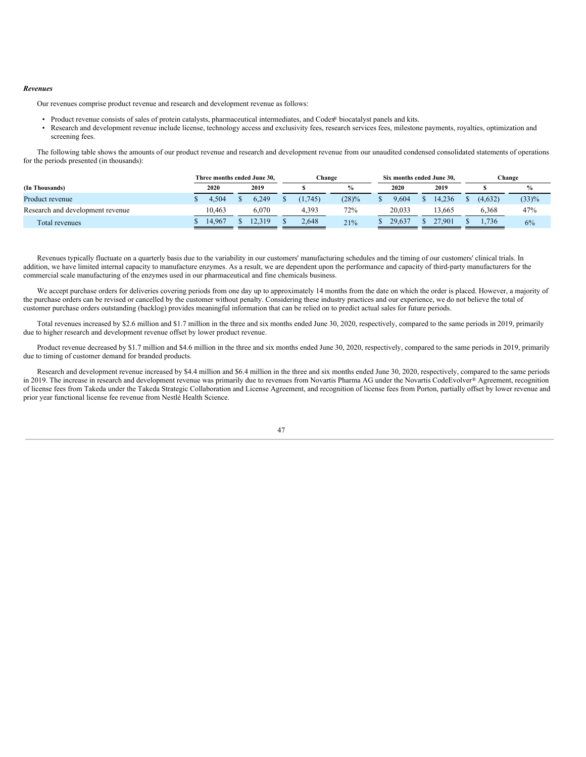### *Revenues*

Our revenues comprise product revenue and research and development revenue as follows:

- Product revenue consists of sales of protein catalysts, pharmaceutical intermediates, and Codex® biocatalyst panels and kits.
- Research and development revenue include license, technology access and exclusivity fees, research services fees, milestone payments, royalties, optimization and screening fees.

The following table shows the amounts of our product revenue and research and development revenue from our unaudited condensed consolidated statements of operations for the periods presented (in thousands):

|                                  | Three months ended June 30. |       | Change  |               | Six months ended June 30. |        |         | Change |               |
|----------------------------------|-----------------------------|-------|---------|---------------|---------------------------|--------|---------|--------|---------------|
| (In Thousands)                   | 2020                        | 2019  |         | $\frac{6}{9}$ | 2020                      | 2019   |         |        | $\frac{6}{9}$ |
| Product revenue                  | 4.504                       | 6.249 | (1.745) | (28)%         | 9.604                     | 14.236 | (4.632) |        | (33)%         |
| Research and development revenue | 10.463                      | 6.070 | 4.393   | 72%           | 20.033                    | 13.665 | 6.368   |        | 47%           |
| Total revenues                   | 14.967                      | 2.319 | 2.648   | 21%           | 29.637                    | 27,901 | .736    |        | 6%            |

Revenues typically fluctuate on a quarterly basis due to the variability in our customers' manufacturing schedules and the timing of our customers' clinical trials. In addition, we have limited internal capacity to manufacture enzymes. As a result, we are dependent upon the performance and capacity of third-party manufacturers for the commercial scale manufacturing of the enzymes used in our pharmaceutical and fine chemicals business.

We accept purchase orders for deliveries covering periods from one day up to approximately 14 months from the date on which the order is placed. However, a majority of the purchase orders can be revised or cancelled by the customer without penalty. Considering these industry practices and our experience, we do not believe the total of customer purchase orders outstanding (backlog) provides meaningful information that can be relied on to predict actual sales for future periods.

Total revenues increased by \$2.6 million and \$1.7 million in the three and six months ended June 30, 2020, respectively, compared to the same periods in 2019, primarily due to higher research and development revenue offset by lower product revenue.

Product revenue decreased by \$1.7 million and \$4.6 million in the three and six months ended June 30, 2020, respectively, compared to the same periods in 2019, primarily due to timing of customer demand for branded products.

Research and development revenue increased by \$4.4 million and \$6.4 million in the three and six months ended June 30, 2020, respectively, compared to the same periods in 2019. The increase in research and development revenue was primarily due to revenues from Novartis Pharma AG under the Novartis CodeEvolver<sup>®</sup> Agreement, recognition of license fees from Takeda under the Takeda Strategic Collaboration and License Agreement, and recognition of license fees from Porton, partially offset by lower revenue and prior year functional license fee revenue from Nestlé Health Science.

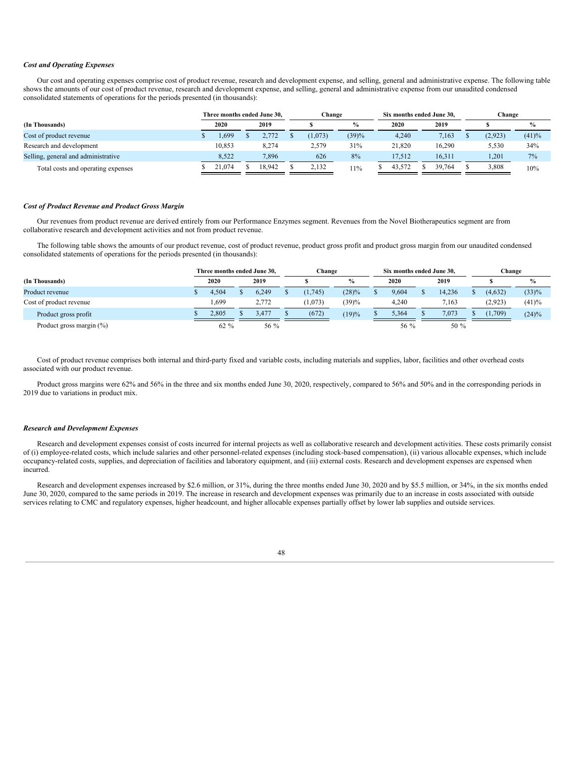### *Cost and Operating Expenses*

Our cost and operating expenses comprise cost of product revenue, research and development expense, and selling, general and administrative expense. The following table shows the amounts of our cost of product revenue, research and development expense, and selling, general and administrative expense from our unaudited condensed consolidated statements of operations for the periods presented (in thousands):

|                                     | Three months ended June 30. |        | Change  |               | Six months ended June 30. |        |  |        | Change |         |               |  |
|-------------------------------------|-----------------------------|--------|---------|---------------|---------------------------|--------|--|--------|--------|---------|---------------|--|
| (In Thousands)                      | 2020                        | 2019   |         | $\frac{9}{0}$ |                           | 2020   |  | 2019   |        |         | $\frac{9}{6}$ |  |
| Cost of product revenue             | 1.699                       | 2.772  | (1,073) | (39)%         |                           | 4,240  |  | 7,163  |        | (2,923) | (41)%         |  |
| Research and development            | 10,853                      | 8,274  | 2,579   | 31%           |                           | 21,820 |  | 16,290 |        | 5,530   | 34%           |  |
| Selling, general and administrative | 8.522                       | 7,896  | 626     | 8%            |                           | 17.512 |  | 16.311 |        | 1,201   | 7%            |  |
| Total costs and operating expenses  | 21.074                      | 18.942 | 2,132   | $1\%$         |                           | 43.572 |  | 39,764 |        | 3,808   | 10%           |  |

#### *Cost of Product Revenue and Product Gross Margin*

Our revenues from product revenue are derived entirely from our Performance Enzymes segment. Revenues from the Novel Biotherapeutics segment are from collaborative research and development activities and not from product revenue.

The following table shows the amounts of our product revenue, cost of product revenue, product gross profit and product gross margin from our unaudited condensed consolidated statements of operations for the periods presented (in thousands):

|                             | Three months ended June 30. |         |  |       |  | Change  |               | Six months ended June 30. |        | Change  |               |
|-----------------------------|-----------------------------|---------|--|-------|--|---------|---------------|---------------------------|--------|---------|---------------|
| (In Thousands)              |                             | 2020    |  | 2019  |  |         | $\frac{0}{0}$ | 2020                      | 2019   |         | $\frac{0}{0}$ |
| Product revenue             |                             | 4,504   |  | 6,249 |  | (1,745) | $(28)\%$      | 9,604                     | 14.236 | (4,632) | $(33)\%$      |
| Cost of product revenue     |                             | . 699   |  | 2.772 |  | (1.073) | (39)%         | 4.240                     | 7.163  | (2,923) | (41)%         |
| Product gross profit        |                             | 2.805   |  | 3.477 |  | (672)   | (19)%         | 5,364                     | 7,073  | (1,709) | $(24)\%$      |
| Product gross margin $(\%)$ |                             | $62 \%$ |  | 56 %  |  |         |               | 56 %                      | 50 %   |         |               |

Cost of product revenue comprises both internal and third-party fixed and variable costs, including materials and supplies, labor, facilities and other overhead costs associated with our product revenue.

Product gross margins were 62% and 56% in the three and six months ended June 30, 2020, respectively, compared to 56% and 50% and in the corresponding periods in 2019 due to variations in product mix.

#### *Research and Development Expenses*

Research and development expenses consist of costs incurred for internal projects as well as collaborative research and development activities. These costs primarily consist of (i) employee-related costs, which include salaries and other personnel-related expenses (including stock-based compensation), (ii) various allocable expenses, which include occupancy-related costs, supplies, and depreciation of facilities and laboratory equipment, and (iii) external costs. Research and development expenses are expensed when incurred.

Research and development expenses increased by \$2.6 million, or 31%, during the three months ended June 30, 2020 and by \$5.5 million, or 34%, in the six months ended June 30, 2020, compared to the same periods in 2019. The increase in research and development expenses was primarily due to an increase in costs associated with outside services relating to CMC and regulatory expenses, higher headcount, and higher allocable expenses partially offset by lower lab supplies and outside services.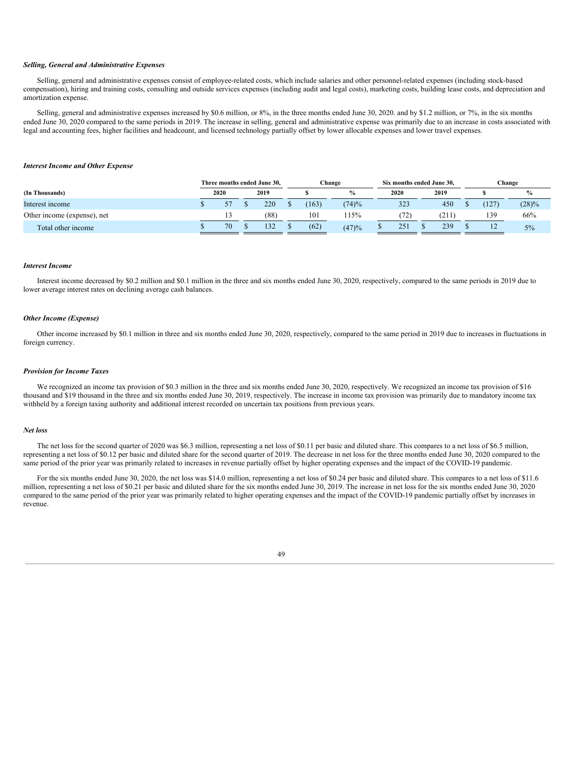### *Selling, General and Administrative Expenses*

Selling, general and administrative expenses consist of employee-related costs, which include salaries and other personnel-related expenses (including stock-based compensation), hiring and training costs, consulting and outside services expenses (including audit and legal costs), marketing costs, building lease costs, and depreciation and amortization expense.

Selling, general and administrative expenses increased by \$0.6 million, or 8%, in the three months ended June 30, 2020. and by \$1.2 million, or 7%, in the six months ended June 30, 2020 compared to the same periods in 2019. The increase in selling, general and administrative expense was primarily due to an increase in costs associated with legal and accounting fees, higher facilities and headcount, and licensed technology partially offset by lower allocable expenses and lower travel expenses.

#### *Interest Income and Other Expense*

|                             |      | Three months ended June 30, |       | Change        | Six months ended June 30. |       | Change |       |               |  |
|-----------------------------|------|-----------------------------|-------|---------------|---------------------------|-------|--------|-------|---------------|--|
| (In Thousands)              | 2020 | 2019                        |       | $\frac{0}{0}$ | 2020                      | 2019  |        |       | $\frac{6}{9}$ |  |
| Interest income             |      | 220                         | (163) | (74)%         | 323                       | 450   |        | (127) | $(28)\%$      |  |
| Other income (expense), net |      | (88)                        | 101   | 115%          | (72)                      | (211) |        | 139   | 66%           |  |
| Total other income          | 70   | 132                         | (62)  | (47)%         | 251                       | 239   |        |       | $5\%$         |  |

#### *Interest Income*

Interest income decreased by \$0.2 million and \$0.1 million in the three and six months ended June 30, 2020, respectively, compared to the same periods in 2019 due to lower average interest rates on declining average cash balances.

### *Other Income (Expense)*

Other income increased by \$0.1 million in three and six months ended June 30, 2020, respectively, compared to the same period in 2019 due to increases in fluctuations in foreign currency.

#### *Provision for Income Taxes*

We recognized an income tax provision of \$0.3 million in the three and six months ended June 30, 2020, respectively. We recognized an income tax provision of \$16 thousand and \$19 thousand in the three and six months ended June 30, 2019, respectively. The increase in income tax provision was primarily due to mandatory income tax withheld by a foreign taxing authority and additional interest recorded on uncertain tax positions from previous years.

#### *Net loss*

The net loss for the second quarter of 2020 was \$6.3 million, representing a net loss of \$0.11 per basic and diluted share. This compares to a net loss of \$6.5 million, representing a net loss of \$0.12 per basic and diluted share for the second quarter of 2019. The decrease in net loss for the three months ended June 30, 2020 compared to the same period of the prior year was primarily related to increases in revenue partially offset by higher operating expenses and the impact of the COVID-19 pandemic.

For the six months ended June 30, 2020, the net loss was \$14.0 million, representing a net loss of \$0.24 per basic and diluted share. This compares to a net loss of \$11.6 million, representing a net loss of \$0.21 per basic and diluted share for the six months ended June 30, 2019. The increase in net loss for the six months ended June 30, 2020 compared to the same period of the prior year was primarily related to higher operating expenses and the impact of the COVID-19 pandemic partially offset by increases in revenue.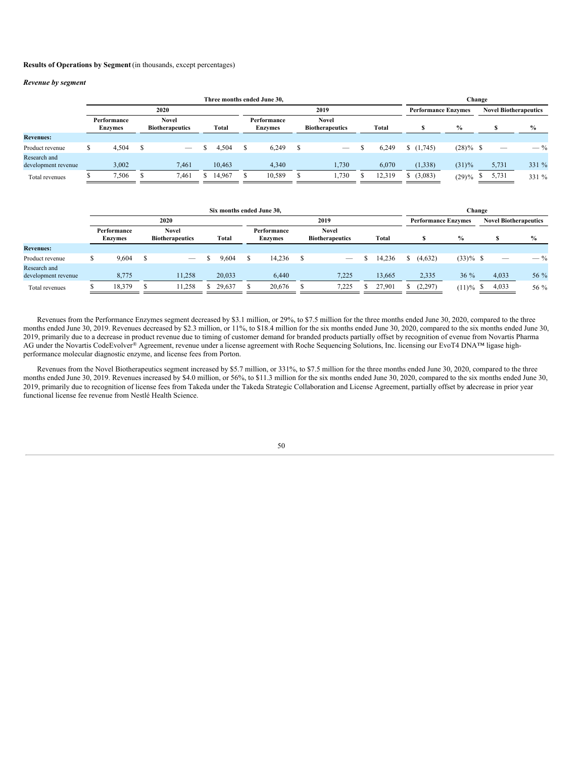### **Results of Operations by Segment** (in thousands, except percentages)

### *Revenue by segment*

|                                     |                               |                                        |    |        |    | Three months ended June 30,   |                                        |        |                            |               | Change |                              |  |
|-------------------------------------|-------------------------------|----------------------------------------|----|--------|----|-------------------------------|----------------------------------------|--------|----------------------------|---------------|--------|------------------------------|--|
|                                     |                               | 2020                                   |    |        |    |                               | 2019                                   |        | <b>Performance Enzymes</b> |               |        | <b>Novel Biotherapeutics</b> |  |
|                                     | Performance<br><b>Enzymes</b> | <b>Novel</b><br><b>Biotherapeutics</b> |    | Total  |    | Performance<br><b>Enzymes</b> | <b>Novel</b><br><b>Biotherapeutics</b> | Total  |                            | $\frac{6}{6}$ |        | $\frac{0}{0}$                |  |
| <b>Revenues:</b>                    |                               |                                        |    |        |    |                               |                                        |        |                            |               |        |                              |  |
| Product revenue                     | 4.504                         | $\hspace{0.05cm}$                      | S. | 4,504  | -S | 6,249                         | $-$                                    | 6,249  | (1.745)                    | $(28)\%$ \$   |        | $-$ %                        |  |
| Research and<br>development revenue | 3.002                         | 7,461                                  |    | 10.463 |    | 4.340                         | 1,730                                  | 6,070  | (1,338)                    | $(31)\%$      | 5,731  | 331 %                        |  |
| Total revenues                      | 7.506                         | 7,461                                  | S. | 14.967 |    | 10,589                        | 1,730                                  | 12.319 | (3,083)<br>D.              | (29)%         | 5,731  | 331 %                        |  |

|                                     | Six months ended June 30. |                        |  |                                        |  |        |  |                        |                            |                                        |  |                              | Change  |               |     |                          |                |
|-------------------------------------|---------------------------|------------------------|--|----------------------------------------|--|--------|--|------------------------|----------------------------|----------------------------------------|--|------------------------------|---------|---------------|-----|--------------------------|----------------|
|                                     |                           |                        |  | 2020                                   |  |        |  |                        | <b>Performance Enzymes</b> |                                        |  | <b>Novel Biotherapeutics</b> |         |               |     |                          |                |
|                                     |                           | Performance<br>Enzymes |  | <b>Novel</b><br><b>Biotherapeutics</b> |  | Total  |  | Performance<br>Enzymes |                            | <b>Novel</b><br><b>Biotherapeutics</b> |  | Total                        |         | $\frac{6}{9}$ |     |                          | $\frac{6}{6}$  |
| <b>Revenues:</b>                    |                           |                        |  |                                        |  |        |  |                        |                            |                                        |  |                              |         |               |     |                          |                |
| Product revenue                     |                           | 9,604                  |  | $\overline{\phantom{m}}$               |  | 9,604  |  | 14.236                 |                            | $\overline{\phantom{m}}$               |  | 14,236                       | (4,632) | $(33)\%$ \$   |     | $\overline{\phantom{m}}$ | $-\frac{9}{6}$ |
| Research and<br>development revenue |                           | 8,775                  |  | 11,258                                 |  | 20,033 |  | 6,440                  |                            | 7,225                                  |  | 13,665                       | 2,335   | $36\%$        |     | 4,033                    | 56 %           |
| Total revenues                      |                           | 18,379                 |  | 11.258                                 |  | 29,637 |  | 20,676                 |                            | 7,225                                  |  | 27,901                       | (2,297) | $(11)\%$      | . ა | 4,033                    | 56 %           |

Revenues from the Performance Enzymes segment decreased by \$3.1 million, or 29%, to \$7.5 million for the three months ended June 30, 2020, compared to the three months ended June 30, 2019. Revenues decreased by \$2.3 million, or 11%, to \$18.4 million for the six months ended June 30, 2020, compared to the six months ended June 30, 2019, primarily due to a decrease in product revenue due to timing of customer demand for branded products partially offset by recognition of evenue from Novartis Pharma AG under the Novartis CodeEvolver® Agreement, revenue under a license agreement with Roche Sequencing Solutions, Inc. licensing our EvoT4 DNA™ ligase highperformance molecular diagnostic enzyme, and license fees from Porton.

Revenues from the Novel Biotherapeutics segment increased by \$5.7 million, or 331%, to \$7.5 million for the three months ended June 30, 2020, compared to the three months ended June 30, 2019. Revenues increased by \$4.0 million, or 56%, to \$11.3 million for the six months ended June 30, 2020, compared to the six months ended June 30, 2019, primarily due to recognition of license fees from Takeda under the Takeda Strategic Collaboration and License Agreement, partially offset by adecrease in prior year functional license fee revenue from Nestlé Health Science.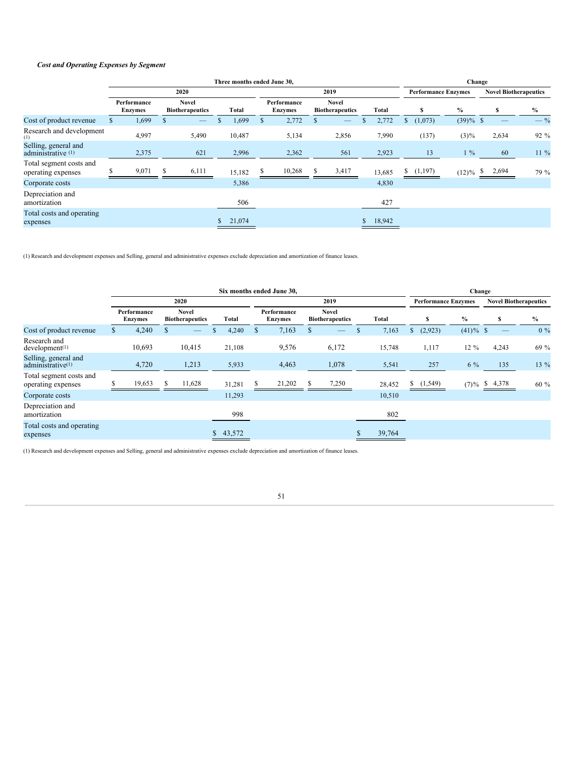## *Cost and Operating Expenses by Segment*

|                                               | Three months ended June 30, |                               |    |                                        |  |        |          |                        |  |                                        |  |        | Change |                            |  |               |                              |       |       |        |
|-----------------------------------------------|-----------------------------|-------------------------------|----|----------------------------------------|--|--------|----------|------------------------|--|----------------------------------------|--|--------|--------|----------------------------|--|---------------|------------------------------|-------|-------|--------|
|                                               | 2020                        |                               |    |                                        |  |        |          | 2019                   |  |                                        |  |        |        | <b>Performance Enzymes</b> |  |               | <b>Novel Biotherapeutics</b> |       |       |        |
|                                               |                             | Performance<br><b>Enzymes</b> |    | <b>Novel</b><br><b>Biotherapeutics</b> |  | Total  |          | Performance<br>Enzymes |  | <b>Novel</b><br><b>Biotherapeutics</b> |  | Total  |        | S                          |  | $\frac{0}{0}$ |                              | S     | $\%$  |        |
| Cost of product revenue                       | Ъ.                          | 1,699                         |    | $\overline{\phantom{a}}$               |  | 1,699  | <b>S</b> | 2,772                  |  |                                        |  | 2,772  | S.     | (1,073)                    |  | $(39)\%$ \$   |                              |       | $-$ % |        |
| Research and development<br>(1)               |                             | 4,997                         |    | 5,490                                  |  | 10,487 |          | 5,134                  |  | 2,856                                  |  | 7,990  |        | (137)                      |  | $(3)\%$       |                              | 2,634 | 92 %  |        |
| Selling, general and<br>administrative (1)    |                             | 2,375                         |    | 621                                    |  | 2,996  |          | 2,362                  |  | 561                                    |  | 2,923  |        | 13                         |  | $1\%$         |                              | 60    |       | $11\%$ |
| Total segment costs and<br>operating expenses |                             | 9,071                         | S. | 6,111                                  |  | 15,182 |          | 10,268                 |  | 3,417                                  |  | 13,685 |        | (1,197)                    |  | $(12)\%$      | S                            | 2,694 | 79 %  |        |
| Corporate costs                               |                             |                               |    |                                        |  | 5,386  |          |                        |  |                                        |  | 4,830  |        |                            |  |               |                              |       |       |        |
| Depreciation and<br>amortization              |                             |                               |    |                                        |  | 506    |          |                        |  |                                        |  | 427    |        |                            |  |               |                              |       |       |        |
| Total costs and operating<br>expenses         |                             |                               |    |                                        |  | 21,074 |          |                        |  |                                        |  | 18,942 |        |                            |  |               |                              |       |       |        |

(1) Research and development expenses and Selling, general and administrative expenses exclude depreciation and amortization of finance leases.

|                                                       | Six months ended June 30, |                               |   |                                        |  |          |  |                        |  |                                        |  |        | Change                     |                  |                              |             |  |  |
|-------------------------------------------------------|---------------------------|-------------------------------|---|----------------------------------------|--|----------|--|------------------------|--|----------------------------------------|--|--------|----------------------------|------------------|------------------------------|-------------|--|--|
|                                                       | 2020                      |                               |   |                                        |  |          |  |                        |  | 2019                                   |  |        | <b>Performance Enzymes</b> |                  | <b>Novel Biotherapeutics</b> |             |  |  |
|                                                       |                           | Performance<br><b>Enzymes</b> |   | <b>Novel</b><br><b>Biotherapeutics</b> |  | Total    |  | Performance<br>Enzymes |  | <b>Novel</b><br><b>Biotherapeutics</b> |  | Total  | \$                         | $\%$             | S                            | $\%$        |  |  |
| Cost of product revenue                               | S.                        | 4,240                         | ъ |                                        |  | 4,240    |  | 7,163                  |  |                                        |  | 7,163  | (2, 923)                   | $(41)\%$ \$      |                              | $0\%$       |  |  |
| Research and<br>development(1)                        |                           | 10,693                        |   | 10,415                                 |  | 21,108   |  | 9,576                  |  | 6,172                                  |  | 15,748 | 1,117                      | $12\%$           | 4,243                        | 69 %        |  |  |
| Selling, general and<br>administrative <sup>(1)</sup> |                           | 4,720                         |   | 1,213                                  |  | 5,933    |  | 4,463                  |  | 1,078                                  |  | 5,541  | 257                        | $6\%$            |                              | 13 %<br>135 |  |  |
| Total segment costs and<br>operating expenses         |                           | 19,653                        |   | 11,628                                 |  | 31,281   |  | 21,202                 |  | 7,250                                  |  | 28,452 | (1,549)                    | $(7)\%$ \$ 4,378 |                              | 60 %        |  |  |
| Corporate costs                                       |                           |                               |   |                                        |  | 11,293   |  |                        |  |                                        |  | 10,510 |                            |                  |                              |             |  |  |
| Depreciation and<br>amortization                      |                           |                               |   |                                        |  | 998      |  |                        |  |                                        |  | 802    |                            |                  |                              |             |  |  |
| Total costs and operating<br>expenses                 |                           |                               |   |                                        |  | \$43,572 |  |                        |  |                                        |  | 39,764 |                            |                  |                              |             |  |  |

(1) Research and development expenses and Selling, general and administrative expenses exclude depreciation and amortization of finance leases.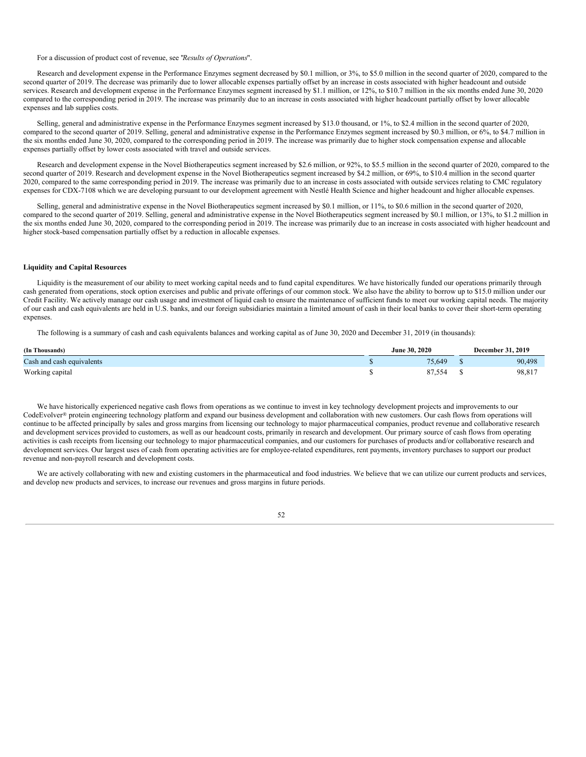For a discussion of product cost of revenue, see "*Results of Operations*".

Research and development expense in the Performance Enzymes segment decreased by \$0.1 million, or 3%, to \$5.0 million in the second quarter of 2020, compared to the second quarter of 2019. The decrease was primarily due to lower allocable expenses partially offset by an increase in costs associated with higher headcount and outside services. Research and development expense in the Performance Enzymes segment increased by \$1.1 million, or 12%, to \$10.7 million in the six months ended June 30, 2020 compared to the corresponding period in 2019. The increase was primarily due to an increase in costs associated with higher headcount partially offset by lower allocable expenses and lab supplies costs.

Selling, general and administrative expense in the Performance Enzymes segment increased by \$13.0 thousand, or 1%, to \$2.4 million in the second quarter of 2020, compared to the second quarter of 2019. Selling, general and administrative expense in the Performance Enzymes segment increased by \$0.3 million, or 6%, to \$4.7 million in the six months ended June 30, 2020, compared to the corresponding period in 2019. The increase was primarily due to higher stock compensation expense and allocable expenses partially offset by lower costs associated with travel and outside services.

Research and development expense in the Novel Biotherapeutics segment increased by \$2.6 million, or 92%, to \$5.5 million in the second quarter of 2020, compared to the second quarter of 2019. Research and development expense in the Novel Biotherapeutics segment increased by \$4.2 million, or 69%, to \$10.4 million in the second quarter 2020, compared to the same corresponding period in 2019. The increase was primarily due to an increase in costs associated with outside services relating to CMC regulatory expenses for CDX-7108 which we are developing pursuant to our development agreement with Nestlé Health Science and higher headcount and higher allocable expenses.

Selling, general and administrative expense in the Novel Biotherapeutics segment increased by \$0.1 million, or 11%, to \$0.6 million in the second quarter of 2020, compared to the second quarter of 2019. Selling, general and administrative expense in the Novel Biotherapeutics segment increased by \$0.1 million, or 13%, to \$1.2 million in the six months ended June 30, 2020, compared to the corresponding period in 2019. The increase was primarily due to an increase in costs associated with higher headcount and higher stock-based compensation partially offset by a reduction in allocable expenses.

### **Liquidity and Capital Resources**

Liquidity is the measurement of our ability to meet working capital needs and to fund capital expenditures. We have historically funded our operations primarily through cash generated from operations, stock option exercises and public and private offerings of our common stock. We also have the ability to borrow up to \$15.0 million under our Credit Facility. We actively manage our cash usage and investment of liquid cash to ensure the maintenance of sufficient funds to meet our working capital needs. The majority of our cash and cash equivalents are held in U.S. banks, and our foreign subsidiaries maintain a limited amount of cash in their local banks to cover their short-term operating expenses.

The following is a summary of cash and cash equivalents balances and working capital as of June 30, 2020 and December 31, 2019 (in thousands):

| (In Thousands)            | <b>June 30, 2020</b> | <b>December 31, 2019</b> |
|---------------------------|----------------------|--------------------------|
| Cash and cash equivalents | 75.649               | 90,498                   |
| Working capital           | 87.554               | 98,817                   |

We have historically experienced negative cash flows from operations as we continue to invest in key technology development projects and improvements to our CodeEvolver® protein engineering technology platform and expand our business development and collaboration with new customers. Our cash flows from operations will continue to be affected principally by sales and gross margins from licensing our technology to major pharmaceutical companies, product revenue and collaborative research and development services provided to customers, as well as our headcount costs, primarily in research and development. Our primary source of cash flows from operating activities is cash receipts from licensing our technology to major pharmaceutical companies, and our customers for purchases of products and/or collaborative research and development services. Our largest uses of cash from operating activities are for employee-related expenditures, rent payments, inventory purchases to support our product revenue and non-payroll research and development costs.

We are actively collaborating with new and existing customers in the pharmaceutical and food industries. We believe that we can utilize our current products and services, and develop new products and services, to increase our revenues and gross margins in future periods.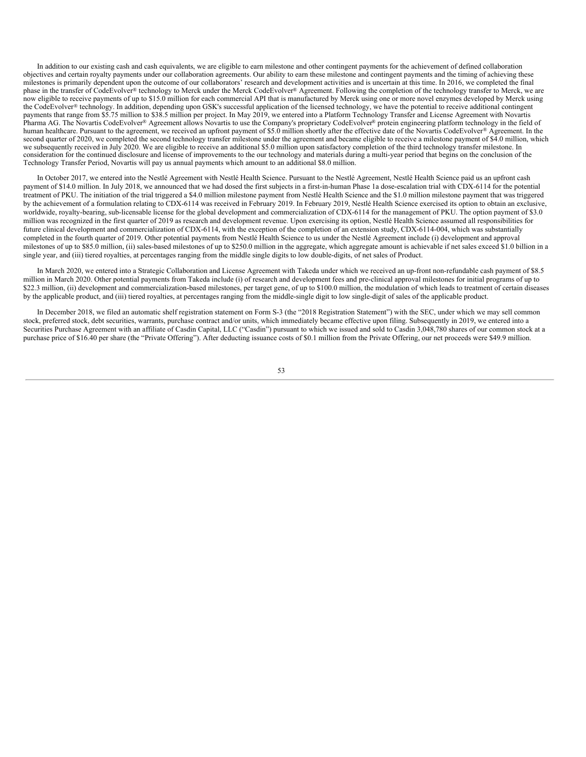In addition to our existing cash and cash equivalents, we are eligible to earn milestone and other contingent payments for the achievement of defined collaboration objectives and certain royalty payments under our collaboration agreements. Our ability to earn these milestone and contingent payments and the timing of achieving these milestones is primarily dependent upon the outcome of our collaborators' research and development activities and is uncertain at this time. In 2016, we completed the final phase in the transfer of CodeEvolver® technology to Merck under the Merck CodeEvolver® Agreement. Following the completion of the technology transfer to Merck, we are now eligible to receive payments of up to \$15.0 million for each commercial API that is manufactured by Merck using one or more novel enzymes developed by Merck using the CodeEvolver® technology. In addition, depending upon GSK's successful application of the licensed technology, we have the potential to receive additional contingent payments that range from \$5.75 million to \$38.5 million per project. In May 2019, we entered into a Platform Technology Transfer and License Agreement with Novartis Pharma AG. The Novartis CodeEvolver® Agreement allows Novartis to use the Company's proprietary CodeEvolver® protein engineering platform technology in the field of human healthcare. Pursuant to the agreement, we received an upfront payment of \$5.0 million shortly after the effective date of the Novartis CodeEvolver® Agreement. In the second quarter of 2020, we completed the second technology transfer milestone under the agreement and became eligible to receive a milestone payment of \$4.0 million, which we subsequently received in July 2020. We are eligible to receive an additional \$5.0 million upon satisfactory completion of the third technology transfer milestone. In consideration for the continued disclosure and license of improvements to the our technology and materials during a multi-year period that begins on the conclusion of the Technology Transfer Period, Novartis will pay us annual payments which amount to an additional \$8.0 million.

In October 2017, we entered into the Nestlé Agreement with Nestlé Health Science. Pursuant to the Nestlé Agreement, Nestlé Health Science paid us an upfront cash payment of \$14.0 million. In July 2018, we announced that we had dosed the first subjects in a first-in-human Phase 1a dose-escalation trial with CDX-6114 for the potential treatment of PKU. The initiation of the trial triggered a \$4.0 million milestone payment from Nestlé Health Science and the \$1.0 million milestone payment that was triggered by the achievement of a formulation relating to CDX-6114 was received in February 2019. In February 2019, Nestlé Health Science exercised its option to obtain an exclusive, worldwide, royalty-bearing, sub-licensable license for the global development and commercialization of CDX-6114 for the management of PKU. The option payment of \$3.0 million was recognized in the first quarter of 2019 as research and development revenue. Upon exercising its option, Nestlé Health Science assumed all responsibilities for future clinical development and commercialization of CDX-6114, with the exception of the completion of an extension study, CDX-6114-004, which was substantially completed in the fourth quarter of 2019. Other potential payments from Nestlé Health Science to us under the Nestlé Agreement include (i) development and approval milestones of up to \$85.0 million, (ii) sales-based milestones of up to \$250.0 million in the aggregate, which aggregate amount is achievable if net sales exceed \$1.0 billion in a single year, and (iii) tiered royalties, at percentages ranging from the middle single digits to low double-digits, of net sales of Product.

In March 2020, we entered into a Strategic Collaboration and License Agreement with Takeda under which we received an up-front non-refundable cash payment of \$8.5 million in March 2020. Other potential payments from Takeda include (i) of research and development fees and pre-clinical approval milestones for initial programs of up to \$22.3 million, (ii) development and commercialization-based milestones, per target gene, of up to \$100.0 million, the modulation of which leads to treatment of certain diseases by the applicable product, and (iii) tiered royalties, at percentages ranging from the middle-single digit to low single-digit of sales of the applicable product.

In December 2018, we filed an automatic shelf registration statement on Form S-3 (the "2018 Registration Statement") with the SEC, under which we may sell common stock, preferred stock, debt securities, warrants, purchase contract and/or units, which immediately became effective upon filing. Subsequently in 2019, we entered into a Securities Purchase Agreement with an affiliate of Casdin Capital, LLC ("Casdin") pursuant to which we issued and sold to Casdin 3,048,780 shares of our common stock at a purchase price of \$16.40 per share (the "Private Offering"). After deducting issuance costs of \$0.1 million from the Private Offering, our net proceeds were \$49.9 million.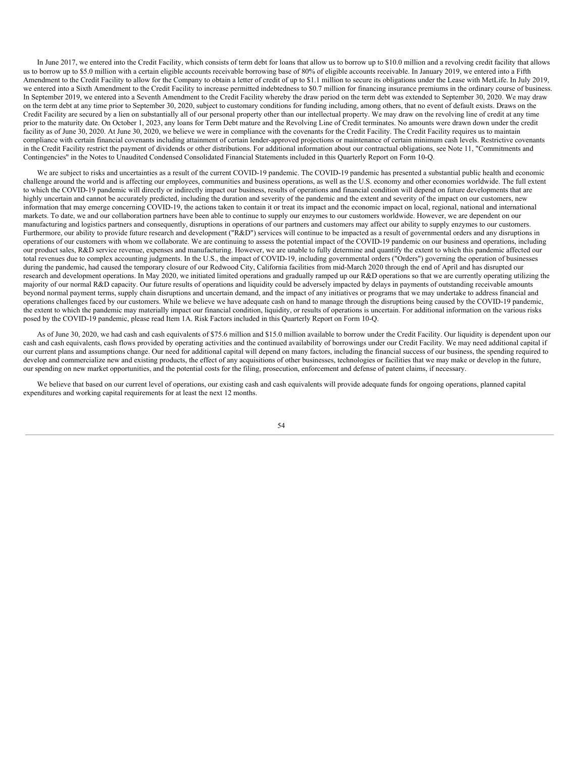In June 2017, we entered into the Credit Facility, which consists of term debt for loans that allow us to borrow up to \$10.0 million and a revolving credit facility that allows us to borrow up to \$5.0 million with a certain eligible accounts receivable borrowing base of 80% of eligible accounts receivable. In January 2019, we entered into a Fifth Amendment to the Credit Facility to allow for the Company to obtain a letter of credit of up to \$1.1 million to secure its obligations under the Lease with MetLife. In July 2019, we entered into a Sixth Amendment to the Credit Facility to increase permitted indebtedness to \$0.7 million for financing insurance premiums in the ordinary course of business. In September 2019, we entered into a Seventh Amendment to the Credit Facility whereby the draw period on the term debt was extended to September 30, 2020. We may draw on the term debt at any time prior to September 30, 2020, subject to customary conditions for funding including, among others, that no event of default exists. Draws on the Credit Facility are secured by a lien on substantially all of our personal property other than our intellectual property. We may draw on the revolving line of credit at any time prior to the maturity date. On October 1, 2023, any loans for Term Debt mature and the Revolving Line of Credit terminates. No amounts were drawn down under the credit facility as of June 30, 2020. At June 30, 2020, we believe we were in compliance with the covenants for the Credit Facility. The Credit Facility requires us to maintain compliance with certain financial covenants including attainment of certain lender-approved projections or maintenance of certain minimum cash levels. Restrictive covenants in the Credit Facility restrict the payment of dividends or other distributions. For additional information about our contractual obligations, see Note 11, "Commitments and Contingencies" in the Notes to Unaudited Condensed Consolidated Financial Statements included in this Quarterly Report on Form 10-Q.

We are subject to risks and uncertainties as a result of the current COVID-19 pandemic. The COVID-19 pandemic has presented a substantial public health and economic challenge around the world and is affecting our employees, communities and business operations, as well as the U.S. economy and other economies worldwide. The full extent to which the COVID-19 pandemic will directly or indirectly impact our business, results of operations and financial condition will depend on future developments that are highly uncertain and cannot be accurately predicted, including the duration and severity of the pandemic and the extent and severity of the impact on our customers, new information that may emerge concerning COVID-19, the actions taken to contain it or treat its impact and the economic impact on local, regional, national and international markets. To date, we and our collaboration partners have been able to continue to supply our enzymes to our customers worldwide. However, we are dependent on our manufacturing and logistics partners and consequently, disruptions in operations of our partners and customers may affect our ability to supply enzymes to our customers. Furthermore, our ability to provide future research and development ("R&D") services will continue to be impacted as a result of governmental orders and any disruptions in operations of our customers with whom we collaborate. We are continuing to assess the potential impact of the COVID-19 pandemic on our business and operations, including our product sales, R&D service revenue, expenses and manufacturing. However, we are unable to fully determine and quantify the extent to which this pandemic affected our total revenues due to complex accounting judgments. In the U.S., the impact of COVID-19, including governmental orders ("Orders") governing the operation of businesses during the pandemic, had caused the temporary closure of our Redwood City, California facilities from mid-March 2020 through the end of April and has disrupted our research and development operations. In May 2020, we initiated limited operations and gradually ramped up our R&D operations so that we are currently operating utilizing the majority of our normal R&D capacity. Our future results of operations and liquidity could be adversely impacted by delays in payments of outstanding receivable amounts beyond normal payment terms, supply chain disruptions and uncertain demand, and the impact of any initiatives or programs that we may undertake to address financial and operations challenges faced by our customers. While we believe we have adequate cash on hand to manage through the disruptions being caused by the COVID-19 pandemic, the extent to which the pandemic may materially impact our financial condition, liquidity, or results of operations is uncertain. For additional information on the various risks posed by the COVID-19 pandemic, please read Item 1A. Risk Factors included in this Quarterly Report on Form 10-Q.

As of June 30, 2020, we had cash and cash equivalents of \$75.6 million and \$15.0 million available to borrow under the Credit Facility. Our liquidity is dependent upon our cash and cash equivalents, cash flows provided by operating activities and the continued availability of borrowings under our Credit Facility. We may need additional capital if our current plans and assumptions change. Our need for additional capital will depend on many factors, including the financial success of our business, the spending required to develop and commercialize new and existing products, the effect of any acquisitions of other businesses, technologies or facilities that we may make or develop in the future, our spending on new market opportunities, and the potential costs for the filing, prosecution, enforcement and defense of patent claims, if necessary.

We believe that based on our current level of operations, our existing cash and cash equivalents will provide adequate funds for ongoing operations, planned capital expenditures and working capital requirements for at least the next 12 months.

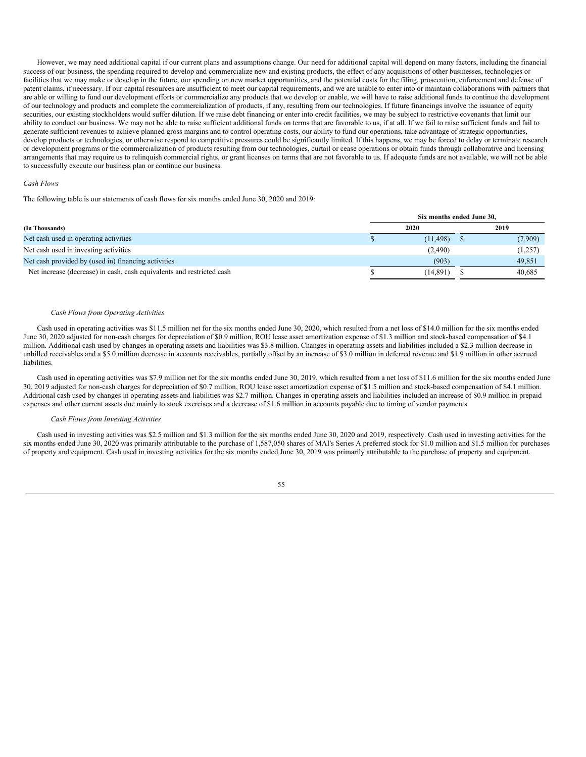However, we may need additional capital if our current plans and assumptions change. Our need for additional capital will depend on many factors, including the financial success of our business, the spending required to develop and commercialize new and existing products, the effect of any acquisitions of other businesses, technologies or facilities that we may make or develop in the future, our spending on new market opportunities, and the potential costs for the filing, prosecution, enforcement and defense of patent claims, if necessary. If our capital resources are insufficient to meet our capital requirements, and we are unable to enter into or maintain collaborations with partners that are able or willing to fund our development efforts or commercialize any products that we develop or enable, we will have to raise additional funds to continue the development of our technology and products and complete the commercialization of products, if any, resulting from our technologies. If future financings involve the issuance of equity securities, our existing stockholders would suffer dilution. If we raise debt financing or enter into credit facilities, we may be subject to restrictive covenants that limit our ability to conduct our business. We may not be able to raise sufficient additional funds on terms that are favorable to us, if at all. If we fail to raise sufficient funds and fail to generate sufficient revenues to achieve planned gross margins and to control operating costs, our ability to fund our operations, take advantage of strategic opportunities, develop products or technologies, or otherwise respond to competitive pressures could be significantly limited. If this happens, we may be forced to delay or terminate research or development programs or the commercialization of products resulting from our technologies, curtail or cease operations or obtain funds through collaborative and licensing arrangements that may require us to relinquish commercial rights, or grant licenses on terms that are not favorable to us. If adequate funds are not available, we will not be able to successfully execute our business plan or continue our business.

### *Cash Flows*

The following table is our statements of cash flows for six months ended June 30, 2020 and 2019:

|                                                                       | Six months ended June 30. |           |  |         |  |  |  |
|-----------------------------------------------------------------------|---------------------------|-----------|--|---------|--|--|--|
| (In Thousands)                                                        |                           | 2020      |  | 2019    |  |  |  |
| Net cash used in operating activities                                 |                           | (11, 498) |  | (7,909) |  |  |  |
| Net cash used in investing activities                                 |                           | (2, 490)  |  | (1,257) |  |  |  |
| Net cash provided by (used in) financing activities                   |                           | (903)     |  | 49.851  |  |  |  |
| Net increase (decrease) in cash, cash equivalents and restricted cash |                           | (14, 891) |  | 40.685  |  |  |  |

#### *Cash Flows from Operating Activities*

Cash used in operating activities was \$11.5 million net for the six months ended June 30, 2020, which resulted from a net loss of \$14.0 million for the six months ended June 30, 2020 adjusted for non-cash charges for depreciation of \$0.9 million, ROU lease asset amortization expense of \$1.3 million and stock-based compensation of \$4.1 million. Additional cash used by changes in operating assets and liabilities was \$3.8 million. Changes in operating assets and liabilities included a \$2.3 million decrease in unbilled receivables and a \$5.0 million decrease in accounts receivables, partially offset by an increase of \$3.0 million in deferred revenue and \$1.9 million in other accrued liabilities.

Cash used in operating activities was \$7.9 million net for the six months ended June 30, 2019, which resulted from a net loss of \$11.6 million for the six months ended June 30, 2019 adjusted for non-cash charges for depreciation of \$0.7 million, ROU lease asset amortization expense of \$1.5 million and stock-based compensation of \$4.1 million. Additional cash used by changes in operating assets and liabilities was \$2.7 million. Changes in operating assets and liabilities included an increase of \$0.9 million in prepaid expenses and other current assets due mainly to stock exercises and a decrease of \$1.6 million in accounts payable due to timing of vendor payments.

### *Cash Flows from Investing Activities*

Cash used in investing activities was \$2.5 million and \$1.3 million for the six months ended June 30, 2020 and 2019, respectively. Cash used in investing activities for the six months ended June 30, 2020 was primarily attributable to the purchase of 1,587,050 shares of MAI's Series A preferred stock for \$1.0 million and \$1.5 million for purchases of property and equipment. Cash used in investing activities for the six months ended June 30, 2019 was primarily attributable to the purchase of property and equipment.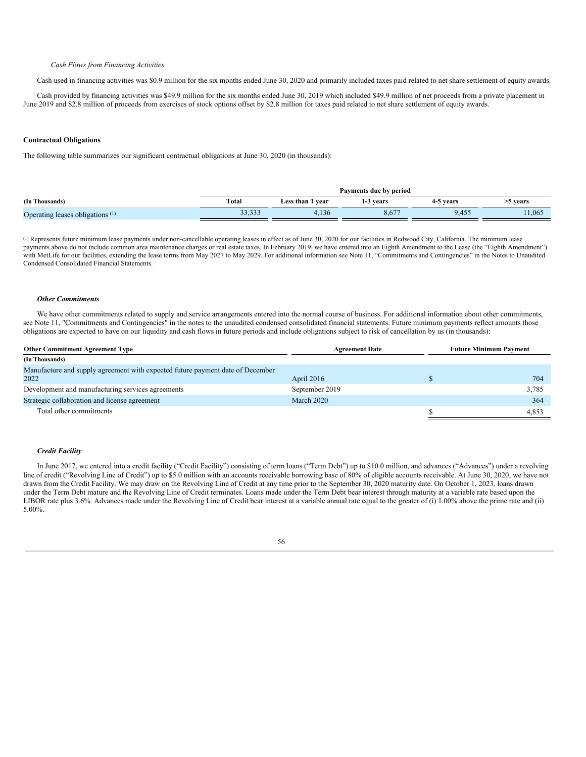#### *Cash Flows from Financing Activities*

Cash used in financing activities was \$0.9 million for the six months ended June 30, 2020 and primarily included taxes paid related to net share settlement of equity awards.

Cash provided by financing activities was \$49.9 million for the six months ended June 30, 2019 which included \$49.9 million of net proceeds from a private placement in June 2019 and \$2.8 million of proceeds from exercises of stock options offset by \$2.8 million for taxes paid related to net share settlement of equity awards.

### **Contractual Obligations**

The following table summarizes our significant contractual obligations at June 30, 2020 (in thousands):

|                                    |                 |                  | Payments due by period |       |          |
|------------------------------------|-----------------|------------------|------------------------|-------|----------|
| (In Thousands)                     | <b>Total</b>    | Less than 1 year | vears                  | vears | -5 vears |
| Operating leases obligations $(1)$ | 22.22<br>JJ.JJJ | <b>1.156</b>     | 8.677                  | 9.455 | 1.065    |

(1) Represents future minimum lease payments under non-cancellable operating leases in effect as of June 30, 2020 for our facilities in Redwood City, California. The minimum lease payments above do not include common area maintenance charges or real estate taxes. In February 2019, we have entered into an Eighth Amendment to the Lease (the "Eighth Amendment") with MetLife for our facilities, extending the lease terms from May 2027 to May 2029. For additional information see Note 11, "Commitments and Contingencies" in the Notes to Unaudited Condensed Consolidated Financial Statements.

### *Other Commitments*

We have other commitments related to supply and service arrangements entered into the normal course of business. For additional information about other commitments, see Note 11, "Commitments and Contingencies" in the notes to the unaudited condensed consolidated financial statements. Future minimum payments reflect amounts those obligations are expected to have on our liquidity and cash flows in future periods and include obligations subject to risk of cancellation by us (in thousands):

| <b>Other Commitment Agreement Type</b>                                                 | <b>Agreement Date</b> | <b>Future Minimum Payment</b> |  |  |  |
|----------------------------------------------------------------------------------------|-----------------------|-------------------------------|--|--|--|
| (In Thousands)                                                                         |                       |                               |  |  |  |
| Manufacture and supply agreement with expected future payment date of December<br>2022 | April 2016            | 704                           |  |  |  |
| Development and manufacturing services agreements                                      | September 2019        | 3,785                         |  |  |  |
| Strategic collaboration and license agreement                                          | March 2020            | 364                           |  |  |  |
| Total other commitments                                                                |                       | 4.853                         |  |  |  |

### *Credit Facility*

In June 2017, we entered into a credit facility ("Credit Facility") consisting of term loans ("Term Debt") up to \$10.0 million, and advances ("Advances") under a revolving line of credit ("Revolving Line of Credit") up to \$5.0 million with an accounts receivable borrowing base of 80% of eligible accounts receivable. At June 30, 2020, we have not drawn from the Credit Facility. We may draw on the Revolving Line of Credit at any time prior to the September 30, 2020 maturity date. On October 1, 2023, loans drawn under the Term Debt mature and the Revolving Line of Credit terminates. Loans made under the Term Debt bear interest through maturity at a variable rate based upon the LIBOR rate plus 3.6%. Advances made under the Revolving Line of Credit bear interest at a variable annual rate equal to the greater of (i) 1.00% above the prime rate and (ii) 5.00%.

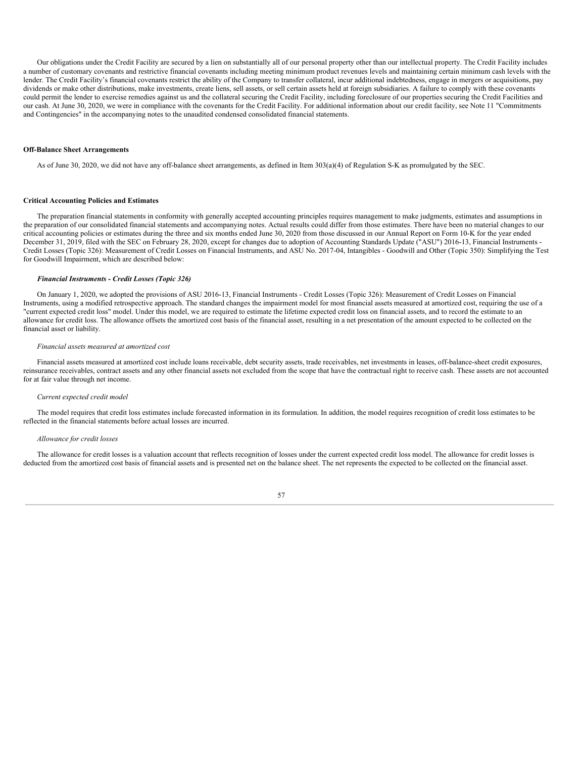Our obligations under the Credit Facility are secured by a lien on substantially all of our personal property other than our intellectual property. The Credit Facility includes a number of customary covenants and restrictive financial covenants including meeting minimum product revenues levels and maintaining certain minimum cash levels with the lender. The Credit Facility's financial covenants restrict the ability of the Company to transfer collateral, incur additional indebtedness, engage in mergers or acquisitions, pay dividends or make other distributions, make investments, create liens, sell assets, or sell certain assets held at foreign subsidiaries. A failure to comply with these covenants could permit the lender to exercise remedies against us and the collateral securing the Credit Facility, including foreclosure of our properties securing the Credit Facilities and our cash. At June 30, 2020, we were in compliance with the covenants for the Credit Facility. For additional information about our credit facility, see Note 11 "Commitments and Contingencies" in the accompanying notes to the unaudited condensed consolidated financial statements.

#### **Off-Balance Sheet Arrangements**

As of June 30, 2020, we did not have any off-balance sheet arrangements, as defined in Item 303(a)(4) of Regulation S-K as promulgated by the SEC.

#### **Critical Accounting Policies and Estimates**

The preparation financial statements in conformity with generally accepted accounting principles requires management to make judgments, estimates and assumptions in the preparation of our consolidated financial statements and accompanying notes. Actual results could differ from those estimates. There have been no material changes to our critical accounting policies or estimates during the three and six months ended June 30, 2020 from those discussed in our Annual Report on Form 10-K for the year ended December 31, 2019, filed with the SEC on February 28, 2020, except for changes due to adoption of Accounting Standards Update ("ASU") 2016-13, Financial Instruments -Credit Losses (Topic 326): Measurement of Credit Losses on Financial Instruments, and ASU No. 2017-04, Intangibles - Goodwill and Other (Topic 350): Simplifying the Test for Goodwill Impairment, which are described below:

### *Financial Instruments - Credit Losses (Topic 326)*

On January 1, 2020, we adopted the provisions of ASU 2016-13, Financial Instruments - Credit Losses (Topic 326): Measurement of Credit Losses on Financial Instruments, using a modified retrospective approach. The standard changes the impairment model for most financial assets measured at amortized cost, requiring the use of a "current expected credit loss" model. Under this model, we are required to estimate the lifetime expected credit loss on financial assets, and to record the estimate to an allowance for credit loss. The allowance offsets the amortized cost basis of the financial asset, resulting in a net presentation of the amount expected to be collected on the financial asset or liability.

#### *Financial assets measured at amortized cost*

Financial assets measured at amortized cost include loans receivable, debt security assets, trade receivables, net investments in leases, off-balance-sheet credit exposures, reinsurance receivables, contract assets and any other financial assets not excluded from the scope that have the contractual right to receive cash. These assets are not accounted for at fair value through net income.

#### *Current expected credit model*

The model requires that credit loss estimates include forecasted information in its formulation. In addition, the model requires recognition of credit loss estimates to be reflected in the financial statements before actual losses are incurred.

#### *Allowance for credit losses*

The allowance for credit losses is a valuation account that reflects recognition of losses under the current expected credit loss model. The allowance for credit losses is deducted from the amortized cost basis of financial assets and is presented net on the balance sheet. The net represents the expected to be collected on the financial asset.

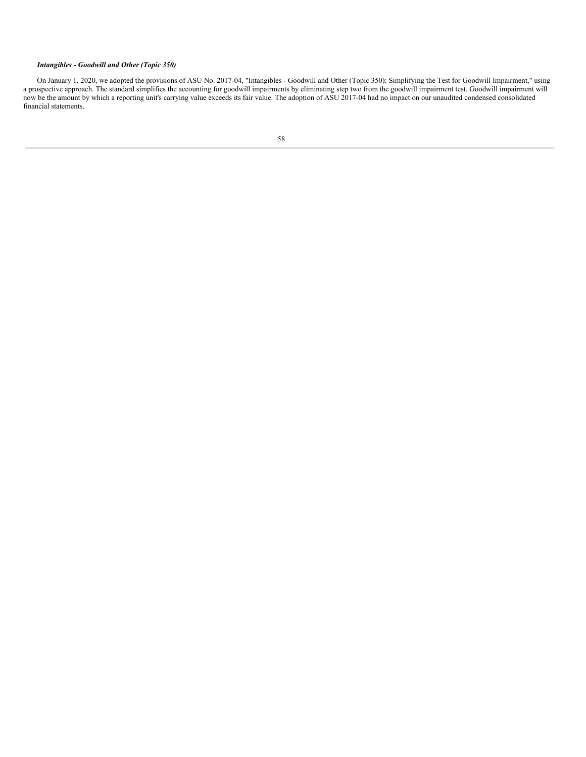### *Intangibles - Goodwill and Other (Topic 350)*

<span id="page-57-0"></span>On January 1, 2020, we adopted the provisions of ASU No. 2017-04, "Intangibles - Goodwill and Other (Topic 350): Simplifying the Test for Goodwill Impairment," using a prospective approach. The standard simplifies the accounting for goodwill impairments by eliminating step two from the goodwill impairment test. Goodwill impairment will now be the amount by which a reporting unit's carrying value exceeds its fair value. The adoption of ASU 2017-04 had no impact on our unaudited condensed consolidated financial statements.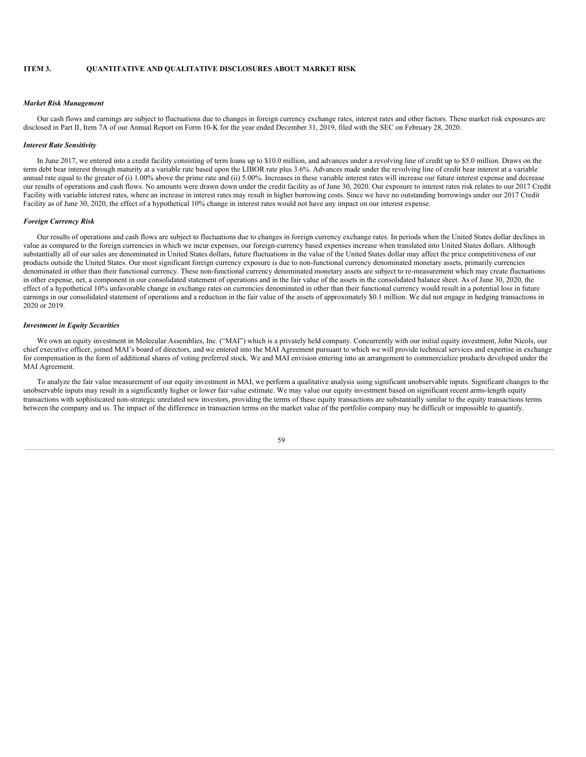## **ITEM 3. QUANTITATIVE AND QUALITATIVE DISCLOSURES ABOUT MARKET RISK**

### *Market Risk Management*

Our cash flows and earnings are subject to fluctuations due to changes in foreign currency exchange rates, interest rates and other factors. These market risk exposures are disclosed in Part II, Item 7A of our Annual Report on Form 10-K for the year ended December 31, 2019, filed with the SEC on February 28, 2020.

#### *Interest Rate Sensitivity*

In June 2017, we entered into a credit facility consisting of term loans up to \$10.0 million, and advances under a revolving line of credit up to \$5.0 million. Draws on the term debt bear interest through maturity at a variable rate based upon the LIBOR rate plus 3.6%. Advances made under the revolving line of credit bear interest at a variable annual rate equal to the greater of (i) 1.00% above the prime rate and (ii) 5.00%. Increases in these variable interest rates will increase our future interest expense and decrease our results of operations and cash flows. No amounts were drawn down under the credit facility as of June 30, 2020. Our exposure to interest rates risk relates to our 2017 Credit Facility with variable interest rates, where an increase in interest rates may result in higher borrowing costs. Since we have no outstanding borrowings under our 2017 Credit Facility as of June 30, 2020, the effect of a hypothetical 10% change in interest rates would not have any impact on our interest expense.

#### *Foreign Currency Risk*

Our results of operations and cash flows are subject to fluctuations due to changes in foreign currency exchange rates. In periods when the United States dollar declines in value as compared to the foreign currencies in which we incur expenses, our foreign-currency based expenses increase when translated into United States dollars. Although substantially all of our sales are denominated in United States dollars, future fluctuations in the value of the United States dollar may affect the price competitiveness of our products outside the United States. Our most significant foreign currency exposure is due to non-functional currency denominated monetary assets, primarily currencies denominated in other than their functional currency. These non-functional currency denominated monetary assets are subject to re-measurement which may create fluctuations in other expense, net, a component in our consolidated statement of operations and in the fair value of the assets in the consolidated balance sheet. As of June 30, 2020, the effect of a hypothetical 10% unfavorable change in exchange rates on currencies denominated in other than their functional currency would result in a potential loss in future earnings in our consolidated statement of operations and a reduction in the fair value of the assets of approximately \$0.1 million. We did not engage in hedging transactions in 2020 or 2019.

### *Investment in Equity Securities*

We own an equity investment in Molecular Assemblies, Inc. ("MAI") which is a privately held company. Concurrently with our initial equity investment, John Nicols, our chief executive officer, joined MAI's board of directors, and we entered into the MAI Agreement pursuant to which we will provide technical services and expertise in exchange for compensation in the form of additional shares of voting preferred stock. We and MAI envision entering into an arrangement to commercialize products developed under the MAI Agreement.

<span id="page-58-0"></span>To analyze the fair value measurement of our equity investment in MAI, we perform a qualitative analysis using significant unobservable inputs. Significant changes to the unobservable inputs may result in a significantly higher or lower fair value estimate. We may value our equity investment based on significant recent arms-length equity transactions with sophisticated non-strategic unrelated new investors, providing the terms of these equity transactions are substantially similar to the equity transactions terms between the company and us. The impact of the difference in transaction terms on the market value of the portfolio company may be difficult or impossible to quantify.

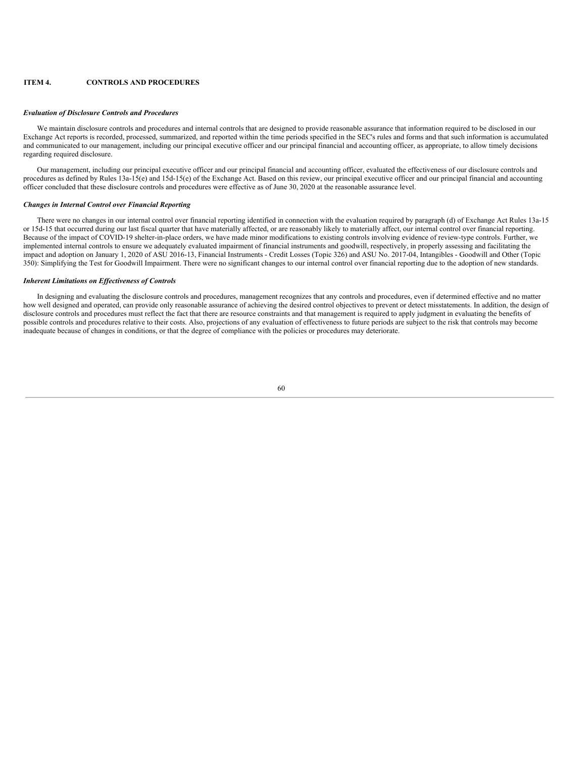### **ITEM 4. CONTROLS AND PROCEDURES**

#### *Evaluation of Disclosure Controls and Procedures*

We maintain disclosure controls and procedures and internal controls that are designed to provide reasonable assurance that information required to be disclosed in our Exchange Act reports is recorded, processed, summarized, and reported within the time periods specified in the SEC's rules and forms and that such information is accumulated and communicated to our management, including our principal executive officer and our principal financial and accounting officer, as appropriate, to allow timely decisions regarding required disclosure.

Our management, including our principal executive officer and our principal financial and accounting officer, evaluated the effectiveness of our disclosure controls and procedures as defined by Rules 13a-15(e) and 15d-15(e) of the Exchange Act. Based on this review, our principal executive officer and our principal financial and accounting officer concluded that these disclosure controls and procedures were effective as of June 30, 2020 at the reasonable assurance level.

### *Changes in Internal Control over Financial Reporting*

There were no changes in our internal control over financial reporting identified in connection with the evaluation required by paragraph (d) of Exchange Act Rules 13a-15 or 15d-15 that occurred during our last fiscal quarter that have materially affected, or are reasonably likely to materially affect, our internal control over financial reporting. Because of the impact of COVID-19 shelter-in-place orders, we have made minor modifications to existing controls involving evidence of review-type controls. Further, we implemented internal controls to ensure we adequately evaluated impairment of financial instruments and goodwill, respectively, in properly assessing and facilitating the impact and adoption on January 1, 2020 of ASU 2016-13, Financial Instruments - Credit Losses (Topic 326) and ASU No. 2017-04, Intangibles - Goodwill and Other (Topic 350): Simplifying the Test for Goodwill Impairment. There were no significant changes to our internal control over financial reporting due to the adoption of new standards.

#### *Inherent Limitations on Ef ectiveness of Controls*

<span id="page-59-0"></span>In designing and evaluating the disclosure controls and procedures, management recognizes that any controls and procedures, even if determined effective and no matter how well designed and operated, can provide only reasonable assurance of achieving the desired control objectives to prevent or detect misstatements. In addition, the design of disclosure controls and procedures must reflect the fact that there are resource constraints and that management is required to apply judgment in evaluating the benefits of possible controls and procedures relative to their costs. Also, projections of any evaluation of effectiveness to future periods are subject to the risk that controls may become inadequate because of changes in conditions, or that the degree of compliance with the policies or procedures may deteriorate.

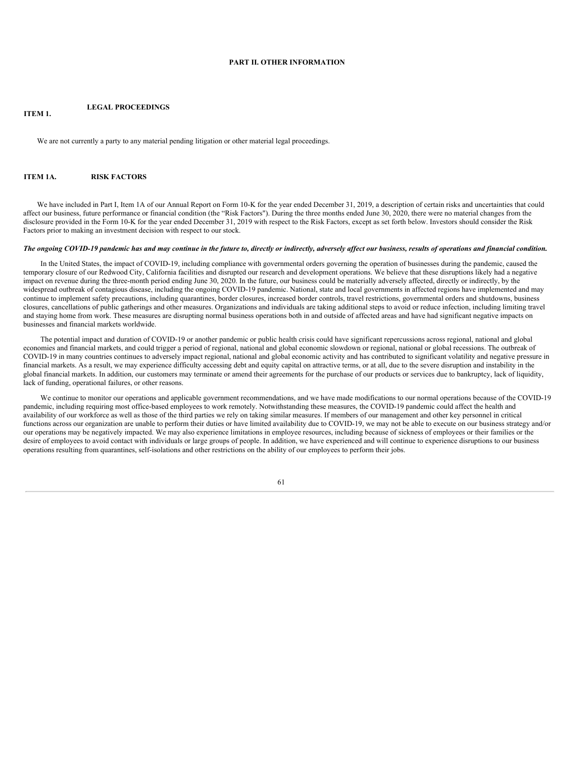### **PART II. OTHER INFORMATION**

#### <span id="page-60-0"></span>**ITEM 1. LEGAL PROCEEDINGS**

<span id="page-60-1"></span>We are not currently a party to any material pending litigation or other material legal proceedings.

### **ITEM 1A. RISK FACTORS**

We have included in Part I, Item 1A of our Annual Report on Form 10-K for the year ended December 31, 2019, a description of certain risks and uncertainties that could affect our business, future performance or financial condition (the "Risk Factors"). During the three months ended June 30, 2020, there were no material changes from the disclosure provided in the Form 10-K for the year ended December 31, 2019 with respect to the Risk Factors, except as set forth below. Investors should consider the Risk Factors prior to making an investment decision with respect to our stock.

### The ongoing COVID-19 pandemic has and may continue in the future to, directly or indirectly, adversely affect our business, results of operations and financial condition.

In the United States, the impact of COVID-19, including compliance with governmental orders governing the operation of businesses during the pandemic, caused the temporary closure of our Redwood City, California facilities and disrupted our research and development operations. We believe that these disruptions likely had a negative impact on revenue during the three-month period ending June 30, 2020. In the future, our business could be materially adversely affected, directly or indirectly, by the widespread outbreak of contagious disease, including the ongoing COVID-19 pandemic. National, state and local governments in affected regions have implemented and may continue to implement safety precautions, including quarantines, border closures, increased border controls, travel restrictions, governmental orders and shutdowns, business closures, cancellations of public gatherings and other measures. Organizations and individuals are taking additional steps to avoid or reduce infection, including limiting travel and staying home from work. These measures are disrupting normal business operations both in and outside of affected areas and have had significant negative impacts on businesses and financial markets worldwide.

The potential impact and duration of COVID-19 or another pandemic or public health crisis could have significant repercussions across regional, national and global economies and financial markets, and could trigger a period of regional, national and global economic slowdown or regional, national or global recessions. The outbreak of COVID-19 in many countries continues to adversely impact regional, national and global economic activity and has contributed to significant volatility and negative pressure in financial markets. As a result, we may experience difficulty accessing debt and equity capital on attractive terms, or at all, due to the severe disruption and instability in the global financial markets. In addition, our customers may terminate or amend their agreements for the purchase of our products or services due to bankruptcy, lack of liquidity, lack of funding, operational failures, or other reasons.

We continue to monitor our operations and applicable government recommendations, and we have made modifications to our normal operations because of the COVID-19 pandemic, including requiring most office-based employees to work remotely. Notwithstanding these measures, the COVID-19 pandemic could affect the health and availability of our workforce as well as those of the third parties we rely on taking similar measures. If members of our management and other key personnel in critical functions across our organization are unable to perform their duties or have limited availability due to COVID-19, we may not be able to execute on our business strategy and/or our operations may be negatively impacted. We may also experience limitations in employee resources, including because of sickness of employees or their families or the desire of employees to avoid contact with individuals or large groups of people. In addition, we have experienced and will continue to experience disruptions to our business operations resulting from quarantines, self-isolations and other restrictions on the ability of our employees to perform their jobs.

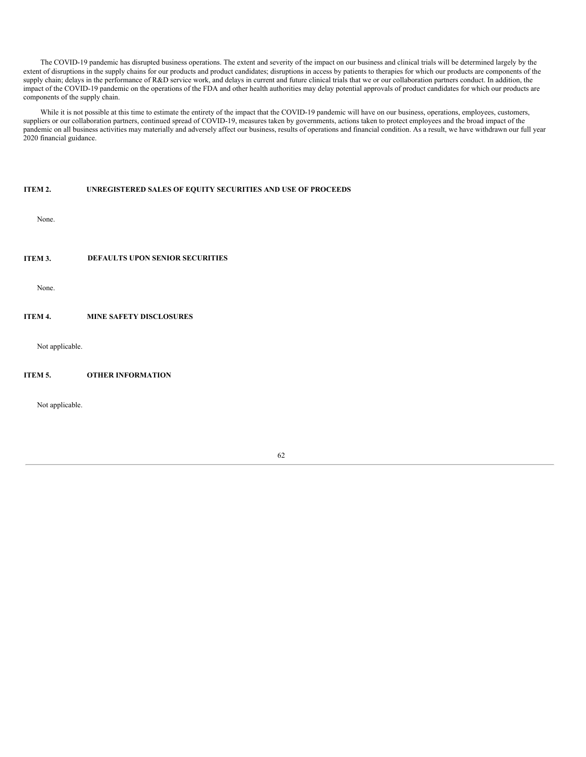The COVID-19 pandemic has disrupted business operations. The extent and severity of the impact on our business and clinical trials will be determined largely by the extent of disruptions in the supply chains for our products and product candidates; disruptions in access by patients to therapies for which our products are components of the supply chain; delays in the performance of R&D service work, and delays in current and future clinical trials that we or our collaboration partners conduct. In addition, the impact of the COVID-19 pandemic on the operations of the FDA and other health authorities may delay potential approvals of product candidates for which our products are components of the supply chain.

While it is not possible at this time to estimate the entirety of the impact that the COVID-19 pandemic will have on our business, operations, employees, customers, suppliers or our collaboration partners, continued spread of COVID-19, measures taken by governments, actions taken to protect employees and the broad impact of the pandemic on all business activities may materially and adversely affect our business, results of operations and financial condition. As a result, we have withdrawn our full year 2020 financial guidance.

## <span id="page-61-0"></span>**ITEM 2. UNREGISTERED SALES OF EQUITY SECURITIES AND USE OF PROCEEDS**

<span id="page-61-1"></span>None.

## **ITEM 3. DEFAULTS UPON SENIOR SECURITIES**

None.

## <span id="page-61-2"></span>**ITEM 4. MINE SAFETY DISCLOSURES**

<span id="page-61-3"></span>Not applicable.

### **ITEM 5. OTHER INFORMATION**

<span id="page-61-4"></span>Not applicable.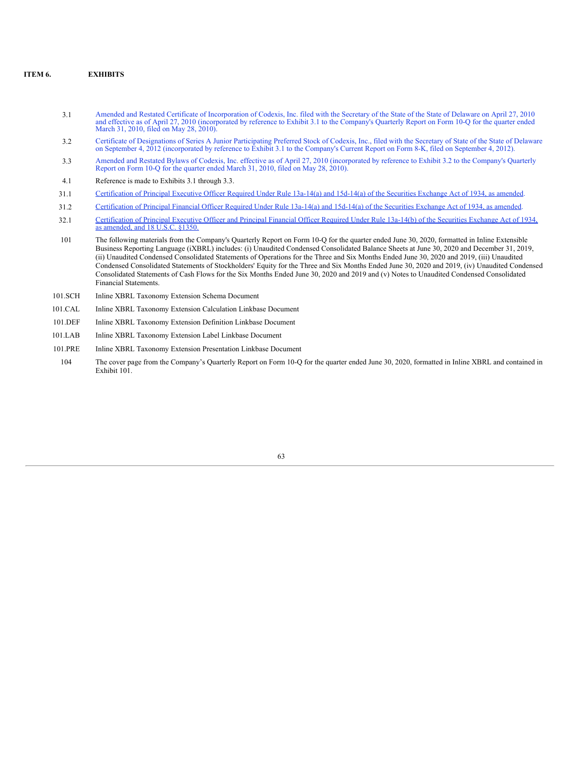### **ITEM 6. EXHIBITS**

- 3.1 Amended and Restated Certificate of [Incorporation](http://www.sec.gov/Archives/edgar/data/1200375/000095013010000138/dex31.htm) of Codexis, Inc. filed with the Secretary of the State of the State of Delaware on April 27, 2010 and effective as of April 27, 2010 (incorporated by reference to Exhib March 31, 2010, filed on May 28, 2010).
- 3.2 Certificate of [Designations](http://www.sec.gov/Archives/edgar/data/1200375/000119312512378221/d405085dex31.htm) of Series A Junior Participating Preferred Stock of Codexis, Inc., filed with the Secretary of State of the State of Delaware on September 4, 2012 (incorporated by reference to Exhibit 3.1 to the Company's Current Report on Form 8-K, filed on September 4, 2012).
- 3.3 Amended and Restated Bylaws of Codexis, Inc. effective as of April 27, 2010 [\(incorporated](http://www.sec.gov/Archives/edgar/data/1200375/000095013010000138/dex32.htm) by reference to Exhibit 3.2 to the Company's Quarterly Report on Form 10-Q for the quarter ended March 31, 2010, filed on May 28
- 4.1 Reference is made to Exhibits 3.1 through 3.3.
- 31.1 [Certification](#page-64-0) of Principal Executive Officer Required Under Rule 13a-14(a) and 15d-14(a) of the Securities Exchange Act of 1934, as amended.
- 31.2 [Certification](#page-65-0) of Principal Financial Officer Required Under Rule 13a-14(a) and 15d-14(a) of the Securities Exchange Act of 1934, as amended.
- 32.1 [Certification](#page-66-0) of Principal Executive Officer and Principal Financial Officer Required Under Rule 13a-14(b) of the Securities Exchange Act of 1934, as amended, and 18 U.S.C. §1350.
- 101 The following materials from the Company's Quarterly Report on Form 10-Q for the quarter ended June 30, 2020, formatted in Inline Extensible Business Reporting Language (iXBRL) includes: (i) Unaudited Condensed Consolidated Balance Sheets at June 30, 2020 and December 31, 2019, (ii) Unaudited Condensed Consolidated Statements of Operations for the Three and Six Months Ended June 30, 2020 and 2019, (iii) Unaudited Condensed Consolidated Statements of Stockholders' Equity for the Three and Six Months Ended June 30, 2020 and 2019, (iv) Unaudited Condensed Consolidated Statements of Cash Flows for the Six Months Ended June 30, 2020 and 2019 and (v) Notes to Unaudited Condensed Consolidated Financial Statements.
- 101.SCH Inline XBRL Taxonomy Extension Schema Document
- 101.CAL Inline XBRL Taxonomy Extension Calculation Linkbase Document
- 101.DEF Inline XBRL Taxonomy Extension Definition Linkbase Document
- 101.LAB Inline XBRL Taxonomy Extension Label Linkbase Document
- 101.PRE Inline XBRL Taxonomy Extension Presentation Linkbase Document
- <span id="page-62-0"></span>104 The cover page from the Company's Quarterly Report on Form 10-Q for the quarter ended June 30, 2020, formatted in Inline XBRL and contained in Exhibit 101.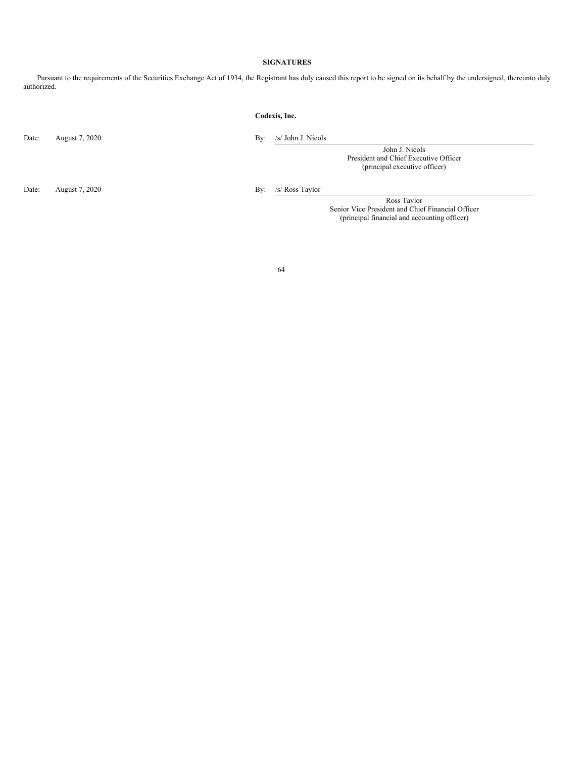### **SIGNATURES**

Pursuant to the requirements of the Securities Exchange Act of 1934, the Registrant has duly caused this report to be signed on its behalf by the undersigned, thereunto duly authorized.

### **Codexis, Inc.**

Date: August 7, 2020 By: /s/ John J. Nicols

John J. Nicols President and Chief Executive Officer (principal executive officer)

Date: August 7, 2020 By: /s/ Ross Taylor

Ross Taylor Senior Vice President and Chief Financial Officer (principal financial and accounting officer)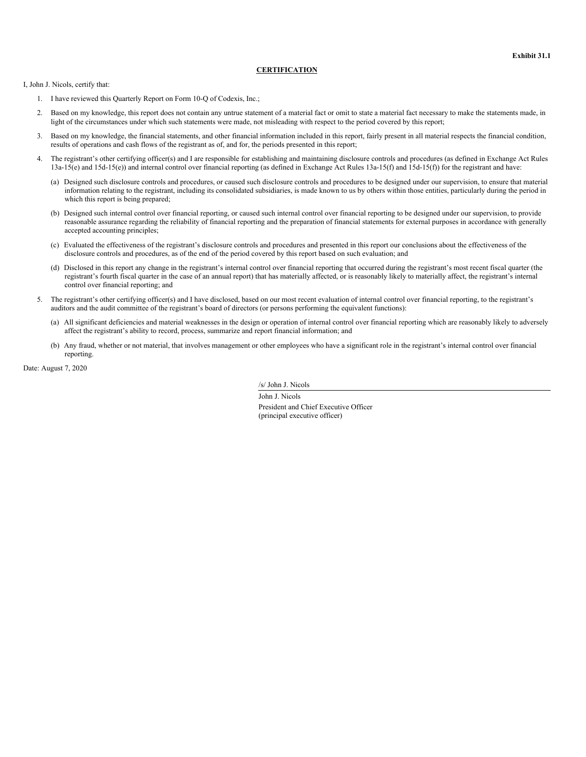### **CERTIFICATION**

<span id="page-64-0"></span>I, John J. Nicols, certify that:

- 1. I have reviewed this Quarterly Report on Form 10-Q of Codexis, Inc.;
- 2. Based on my knowledge, this report does not contain any untrue statement of a material fact or omit to state a material fact necessary to make the statements made, in light of the circumstances under which such statements were made, not misleading with respect to the period covered by this report;
- 3. Based on my knowledge, the financial statements, and other financial information included in this report, fairly present in all material respects the financial condition, results of operations and cash flows of the registrant as of, and for, the periods presented in this report;
- 4. The registrant's other certifying officer(s) and I are responsible for establishing and maintaining disclosure controls and procedures (as defined in Exchange Act Rules 13a-15(e) and 15d-15(e)) and internal control over financial reporting (as defined in Exchange Act Rules 13a-15(f) and 15d-15(f)) for the registrant and have:
	- (a) Designed such disclosure controls and procedures, or caused such disclosure controls and procedures to be designed under our supervision, to ensure that material information relating to the registrant, including its consolidated subsidiaries, is made known to us by others within those entities, particularly during the period in which this report is being prepared;
	- (b) Designed such internal control over financial reporting, or caused such internal control over financial reporting to be designed under our supervision, to provide reasonable assurance regarding the reliability of financial reporting and the preparation of financial statements for external purposes in accordance with generally accepted accounting principles;
	- (c) Evaluated the effectiveness of the registrant's disclosure controls and procedures and presented in this report our conclusions about the effectiveness of the disclosure controls and procedures, as of the end of the period covered by this report based on such evaluation; and
	- (d) Disclosed in this report any change in the registrant's internal control over financial reporting that occurred during the registrant's most recent fiscal quarter (the registrant's fourth fiscal quarter in the case of an annual report) that has materially affected, or is reasonably likely to materially affect, the registrant's internal control over financial reporting; and
- 5. The registrant's other certifying officer(s) and I have disclosed, based on our most recent evaluation of internal control over financial reporting, to the registrant's auditors and the audit committee of the registrant's board of directors (or persons performing the equivalent functions):
	- (a) All significant deficiencies and material weaknesses in the design or operation of internal control over financial reporting which are reasonably likely to adversely affect the registrant's ability to record, process, summarize and report financial information; and
	- (b) Any fraud, whether or not material, that involves management or other employees who have a significant role in the registrant's internal control over financial reporting.

Date: August 7, 2020

/s/ John J. Nicols

John J. Nicols President and Chief Executive Officer (principal executive officer)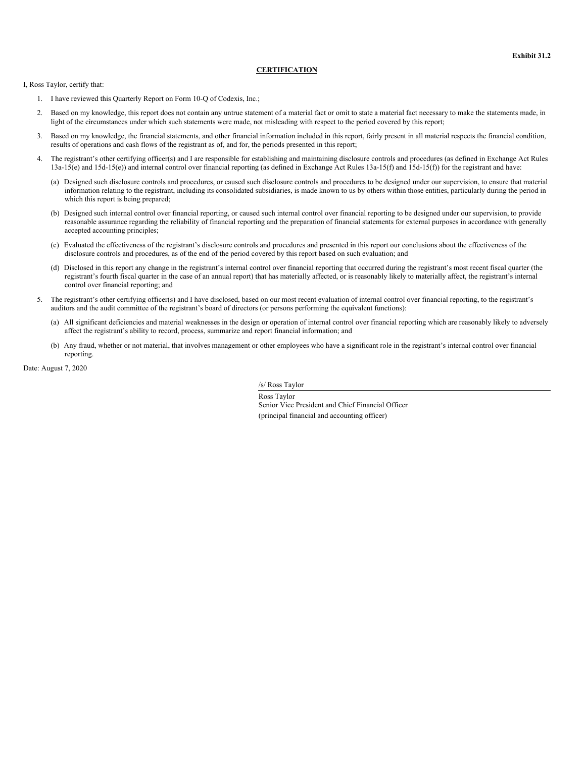### **CERTIFICATION**

<span id="page-65-0"></span>I, Ross Taylor, certify that:

- 1. I have reviewed this Quarterly Report on Form 10-Q of Codexis, Inc.;
- 2. Based on my knowledge, this report does not contain any untrue statement of a material fact or omit to state a material fact necessary to make the statements made, in light of the circumstances under which such statements were made, not misleading with respect to the period covered by this report;
- 3. Based on my knowledge, the financial statements, and other financial information included in this report, fairly present in all material respects the financial condition, results of operations and cash flows of the registrant as of, and for, the periods presented in this report;
- 4. The registrant's other certifying officer(s) and I are responsible for establishing and maintaining disclosure controls and procedures (as defined in Exchange Act Rules 13a-15(e) and 15d-15(e)) and internal control over financial reporting (as defined in Exchange Act Rules 13a-15(f) and 15d-15(f)) for the registrant and have:
	- (a) Designed such disclosure controls and procedures, or caused such disclosure controls and procedures to be designed under our supervision, to ensure that material information relating to the registrant, including its consolidated subsidiaries, is made known to us by others within those entities, particularly during the period in which this report is being prepared;
	- (b) Designed such internal control over financial reporting, or caused such internal control over financial reporting to be designed under our supervision, to provide reasonable assurance regarding the reliability of financial reporting and the preparation of financial statements for external purposes in accordance with generally accepted accounting principles;
	- (c) Evaluated the effectiveness of the registrant's disclosure controls and procedures and presented in this report our conclusions about the effectiveness of the disclosure controls and procedures, as of the end of the period covered by this report based on such evaluation; and
	- (d) Disclosed in this report any change in the registrant's internal control over financial reporting that occurred during the registrant's most recent fiscal quarter (the registrant's fourth fiscal quarter in the case of an annual report) that has materially affected, or is reasonably likely to materially affect, the registrant's internal control over financial reporting; and
- 5. The registrant's other certifying officer(s) and I have disclosed, based on our most recent evaluation of internal control over financial reporting, to the registrant's auditors and the audit committee of the registrant's board of directors (or persons performing the equivalent functions):
	- (a) All significant deficiencies and material weaknesses in the design or operation of internal control over financial reporting which are reasonably likely to adversely affect the registrant's ability to record, process, summarize and report financial information; and
	- (b) Any fraud, whether or not material, that involves management or other employees who have a significant role in the registrant's internal control over financial reporting.

Date: August 7, 2020

/s/ Ross Taylor

Ross Taylor Senior Vice President and Chief Financial Officer (principal financial and accounting officer)